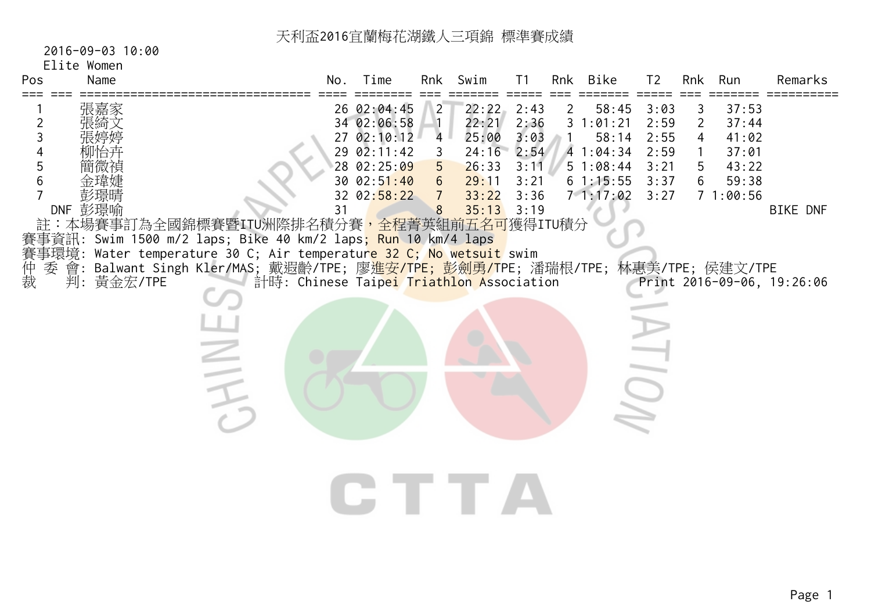# 2016-09-03 10:00

# Elite Women

|    | Time | Rnk                                                                                 | Swim                                                                                                  | T <sub>1</sub>                                                               | Rnk                                                                                                | <b>Bike</b>                                              | T <sub>2</sub>                                                                                                        | Rnk                                             | Run                                                | Remarks                                                                                                                               |
|----|------|-------------------------------------------------------------------------------------|-------------------------------------------------------------------------------------------------------|------------------------------------------------------------------------------|----------------------------------------------------------------------------------------------------|----------------------------------------------------------|-----------------------------------------------------------------------------------------------------------------------|-------------------------------------------------|----------------------------------------------------|---------------------------------------------------------------------------------------------------------------------------------------|
| 31 |      | 2<br>$\overline{4}$<br>3<br>5 <sup>5</sup><br>6 <sup>1</sup><br>$\overline{7}$<br>8 | 22:22<br>22:21<br>25:00<br>26:33<br>29:11<br>33:22<br>35:13                                           | 2:43<br>2:36<br>3:03<br>3:11<br>3:21<br>3:36                                 | $\mathbf{2}$                                                                                       | 58:45<br>58:14                                           | 3:03<br>2:59<br>2:55<br>2:59<br>3:21<br>3:37<br>3:27                                                                  | 3<br>$\overline{2}$<br>$\overline{4}$<br>5<br>6 | 37:53<br>37:44<br>41:02<br>37:01<br>43:22<br>59:38 | <b>BIKE DNF</b>                                                                                                                       |
|    |      |                                                                                     |                                                                                                       |                                                                              |                                                                                                    |                                                          |                                                                                                                       |                                                 |                                                    |                                                                                                                                       |
|    |      |                                                                                     |                                                                                                       |                                                                              |                                                                                                    |                                                          |                                                                                                                       |                                                 |                                                    |                                                                                                                                       |
|    |      | No.                                                                                 | 26 02:04:45<br>34 02:06:58<br>27 02:10:12<br>29 02:11:42<br>28 02:25:09<br>30 02:51:40<br>32 02:58:22 | 賽事資訊: Swim 1500 m/2 laps; Bike 40 km/2 laps <mark>; Run 10 k</mark> m/4 laps | 24:16<br>3:19<br>賽事環境: Water temperature 30 C; Air temperatur <mark>e 32 C; No wetsuit</mark> swim | 2:54<br>計時: Chinese Taipei Triathlon Association<br>CTTA | 31:01:21<br>4 1:04:34<br>51:08:44<br>61:15:55<br>71:17:02<br>註:本場賽事訂為全國錦標賽暨ITU洲際排名積分賽 <mark>,全程菁英組前五名可</mark> 獲得ITU積分 |                                                 |                                                    | 71:00:56<br>Balwant Singh Kler/MAS; 戴遐齡/TPE; 廖 <mark>進安/TPE; 彭劍勇/T</mark> PE; 潘瑞根/TPE; 林惠美/TPE; 侯建文/TPE<br>Print 2016-09-06, 19:26:06 |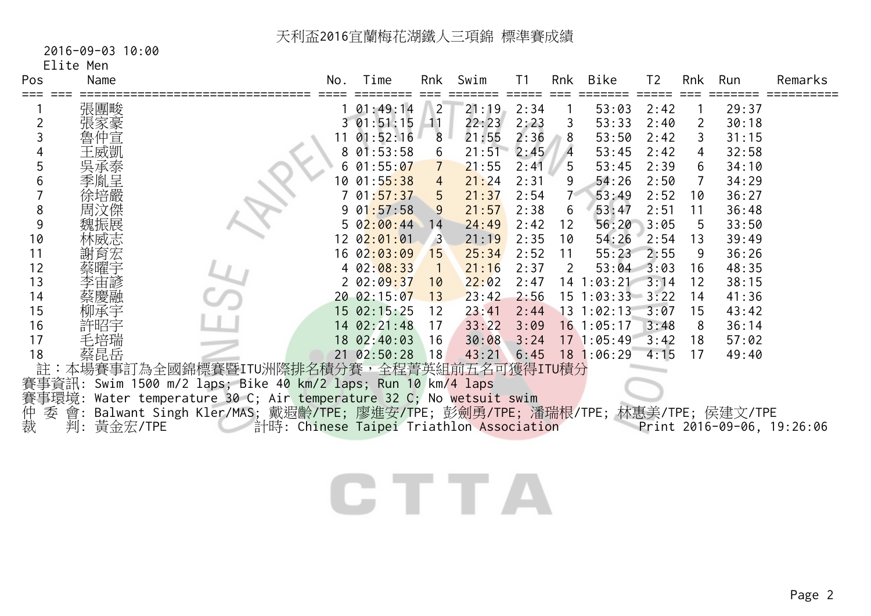# 2016-09-03 10:00

Elite Men

| Pos            | Name          |                                                                                 | No. | Time          | Rnk            | Swim  | T <sub>1</sub> | Rnk            | Bike                  | T <sub>2</sub> | Rnk            | Run   | Remarks                    |
|----------------|---------------|---------------------------------------------------------------------------------|-----|---------------|----------------|-------|----------------|----------------|-----------------------|----------------|----------------|-------|----------------------------|
|                | 張團畯           |                                                                                 |     | 01:49:14      | $\sqrt{2}$     | 21:19 | 2:34           |                | 53:03                 | 2:42           |                | 29:37 |                            |
| $\overline{2}$ |               |                                                                                 |     | $3\,01:51:15$ | 11             | 22:23 | 2:23           | 3              | 53:33                 | 2:40           | $\overline{2}$ | 30:18 |                            |
| 3              | 仲宣            |                                                                                 |     | 01:52:16      | 8              | 21:55 | 2:36           | 8              | 53:50                 | 2:42           | 3              | 31:15 |                            |
|                | 王威凱           |                                                                                 | 8   | 01:53:58      | 6              | 21:51 | 2:45           | $\overline{4}$ | 53:45                 | 2:42           | 4              | 32:58 |                            |
| 5              |               |                                                                                 |     | 01:55:07      |                | 21:55 | 2:41           | 5              | 53:45                 | 2:39           | 6              | 34:10 |                            |
| 6              | 季胤呈           |                                                                                 | 10  | 01:55:38      | 4              | 21:24 | 2:31           | 9              | 54:26                 | 2:50           | 7              | 34:29 |                            |
|                | 徐培嚴           |                                                                                 |     | 01:57:37      | 5              | 21:37 | 2:54           | $7^{\circ}$    | 53:49                 | 2:52           | 10             | 36:27 |                            |
| 8              |               |                                                                                 |     | 01:57:58      | 9              | 21:57 | 2:38           | 6              | 53:47                 | 2:51           | 11             | 36:48 |                            |
| 9              |               |                                                                                 |     | $5\,02:00:44$ | 14             | 24:49 | 2:42           | 12             | 56:20                 | 3:05           | 5              | 33:50 |                            |
| 10             |               |                                                                                 |     | 12 02:01:01   | $\overline{3}$ | 21:19 | 2:35           | 10             | 54:26                 | 2:54           | 13             | 39:49 |                            |
| 11             | 謝育宏           |                                                                                 |     | 16 02:03:09   | 15             | 25:34 | 2:52           | 11             | 55:23                 | 2:55           | 9              | 36:26 |                            |
| 12             |               |                                                                                 |     | 402:08:33     |                | 21:16 | 2:37           | 2              | $53:04$ $3:03$        |                | 16             | 48:35 |                            |
| 13             | 孚宙諺           |                                                                                 |     | $2\,02:09:37$ | 10             | 22:02 | 2:47           |                | $14$ 1:03:21          | $-3:14$        | 12             | 38:15 |                            |
| 14             |               |                                                                                 |     | 20 02:15:07   | 13             | 23:42 | 2:56           |                | $15$ $1:03:33$ $3:22$ |                | 14             | 41:36 |                            |
| 15             |               |                                                                                 |     | 15 02:15:25   | 12             | 23:41 | 2:44           |                | $13 \t1:02:13$        | 3:07           | 15             | 43:42 |                            |
| 16             |               |                                                                                 |     | 14 02:21:48   | 17             | 33:22 | 3:09           |                | $16$ 1:05:17          | 3:48           | 8              | 36:14 |                            |
| 17             | 毛培瑞           |                                                                                 |     | 18 02:40:03   | 16             | 30:08 | 3:24           |                | 17 1:05:49            | 3:42           | 18             | 57:02 |                            |
| 18             | 蔡昆岳           |                                                                                 |     | 21 02:50:28   | 18             | 43:21 | 6:45           |                | 18 1:06:29            | 4:15           | 17             | 49:40 |                            |
| 註              |               | 本場賽事訂為全國錦標賽暨ITU洲際排名積分賽,全程菁英組前五名可獲得ITU積分                                         |     |               |                |       |                |                |                       |                |                |       |                            |
|                |               | 賽事資訊: Swim 1500 m/2 laps; Bike 40 km/2 laps; Run 10 km/4 laps                   |     |               |                |       |                |                |                       |                |                |       |                            |
|                |               | 賽事環境: Water temperature 30 C; Air temperature 32 C; No wetsuit swim             |     |               |                |       |                |                |                       |                |                |       |                            |
| 仲裁<br>委        |               | 會: Balwant Singh Kler/MAS; 戴遐齡/TPE; 廖進安/TPE; 彭劍勇/TPE; 潘瑞根/TPE; 林惠美/TPE; 侯建文/TPE |     |               |                |       |                |                |                       |                |                |       |                            |
|                | 黃金宏/TPE<br>判: | 計時: Chinese Taipei Triathlon Association                                        |     |               |                |       |                |                |                       |                |                |       | Print 2016-09-06, 19:26:06 |
|                |               |                                                                                 |     |               |                |       |                |                |                       |                |                |       |                            |
|                |               |                                                                                 |     |               |                |       |                |                |                       |                |                |       |                            |
|                |               |                                                                                 |     |               |                |       |                |                |                       |                |                |       |                            |
|                |               |                                                                                 |     |               |                |       |                |                |                       |                |                |       |                            |
|                |               |                                                                                 |     |               |                |       |                |                |                       |                |                |       |                            |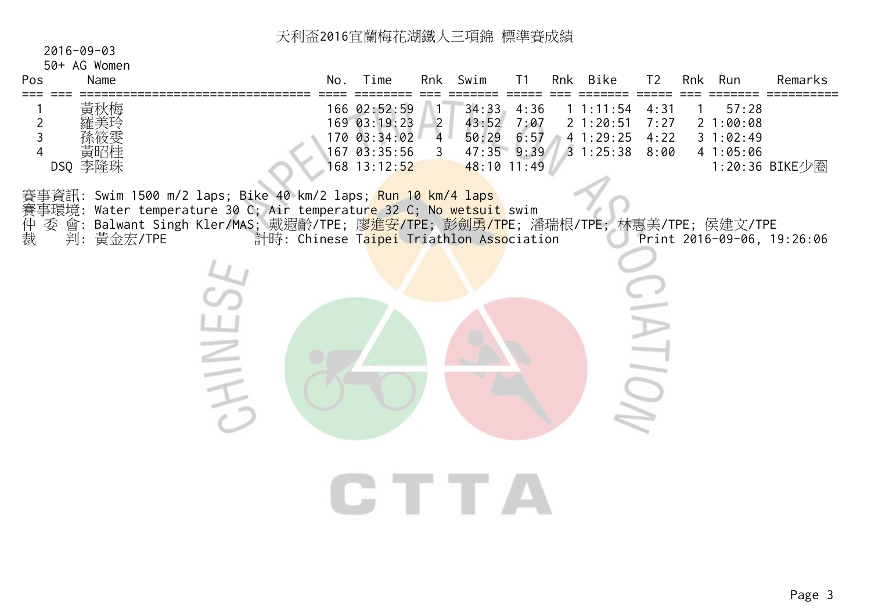| $2016 - 09 - 03$<br>50+ AG Women<br>Name<br>Pos<br>===                                                                                                                                                                                                                                 |      | No. | Time                                                                         |                                                             | Rnk Swim                                             | T1                   | Rnk Bike                                              | T <sub>2</sub>                                    | Rnk Run                                   | Remarks                    |
|----------------------------------------------------------------------------------------------------------------------------------------------------------------------------------------------------------------------------------------------------------------------------------------|------|-----|------------------------------------------------------------------------------|-------------------------------------------------------------|------------------------------------------------------|----------------------|-------------------------------------------------------|---------------------------------------------------|-------------------------------------------|----------------------------|
| 黃秋梅<br>$\overline{2}$<br>3<br>車叫<br>DSQ 李隆珠                                                                                                                                                                                                                                            |      |     | 166 02:52:59<br>169 03:19:23<br>170 03:34:02<br>167 03:35:56<br>168 13:12:52 | $\overline{2}$<br>4 <sup>1</sup><br>$\overline{\mathbf{3}}$ | 34:33<br>43:52<br>50:29<br>47:35 9:39<br>48:10 11:49 | 4:36<br>7:07<br>6:57 | $1 \t1:11:54$<br>21:20:51<br>41:29:25<br>31:25:388:90 | 4:31<br>7:27<br>4:22                              | 57:28<br>21:00:08<br>31:02:49<br>41:05:06 | 1:20:36 BIKE少圈             |
| 賽事資訊: Swim 1500 m/2 laps; Bike 40 km/2 laps; <mark>Run 10 km/4 laps</mark><br>賽事環境: Water temperature 30 C; Air temperatur <mark>e 32 C; No wetsuit</mark> swim<br>委 會: Balwant Singh Kler/MAS; 戴遐齡/TPE; 廖 <mark>進安/TP</mark> E; 彭劍勇/TPE; 潘瑞根/TPE; 林惠美/TPE; 侯建文/TPE<br>仲裁<br>判:黃金宏/TPE |      |     | 計時: Chinese Taipei Triathlon Association                                     |                                                             |                                                      |                      |                                                       |                                                   |                                           | Print 2016-09-06, 19:26:06 |
|                                                                                                                                                                                                                                                                                        | HINE |     |                                                                              |                                                             |                                                      |                      |                                                       | $\overline{\phantom{a}}$<br>$\overline{\bigcirc}$ |                                           |                            |
|                                                                                                                                                                                                                                                                                        |      |     | CITTA                                                                        |                                                             |                                                      |                      |                                                       |                                                   |                                           |                            |
|                                                                                                                                                                                                                                                                                        |      |     |                                                                              |                                                             |                                                      |                      |                                                       |                                                   |                                           |                            |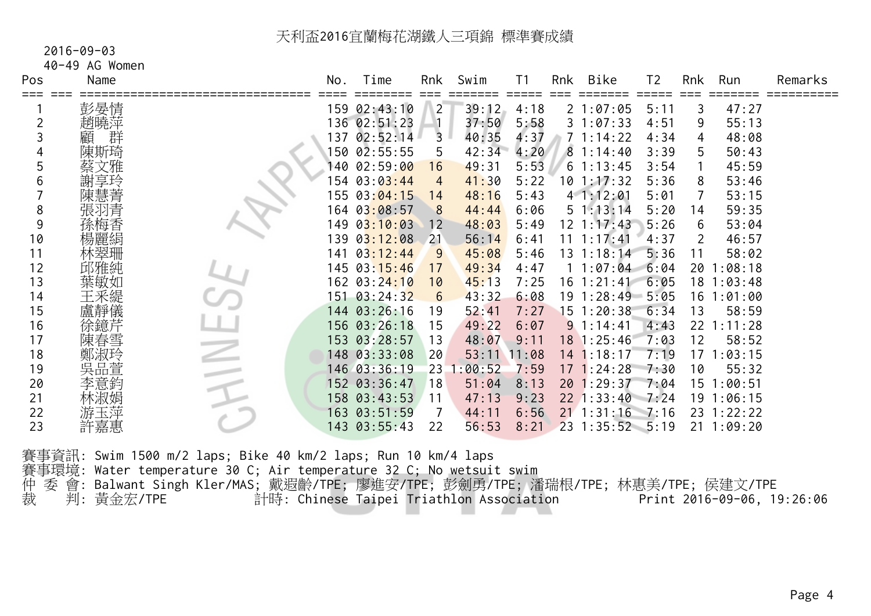#### 2016-09-03

40-49 AG Women

| Pos | Name   | No. | Time                        | Rnk     | Swim    | T <sub>1</sub> | Rnk | Bike              | T <sub>2</sub> | Rnk | Run            | Remarks |
|-----|--------|-----|-----------------------------|---------|---------|----------------|-----|-------------------|----------------|-----|----------------|---------|
|     | 彭晏情    |     | 159 02:43:10                | $2^{-}$ | 39:12   | 4:18           |     | 21:07:05          | =====<br>5:11  | 3   | 47:27          |         |
| 2   | 趙曉萍    |     | 136 02:51:23                |         | 37:50   | 5:58           |     | 31:07:33          | 4:51           | 9   | 55:13          |         |
|     | 群<br>顧 |     | 137 02:52:14                | 3       | 40:35   | 4:37           |     | 71:14:22          | 4:34           | 4   | 48:08          |         |
|     | 陳斯琦    |     | 150 02:55:55                | 5       | 42:34   | 4:20           |     | 81:14:40          | 3:39           | 5   | 50:43          |         |
|     | 蔡文雅    |     | 140 02:59: <mark>00</mark>  | 16      | 49:31   | 5:53           |     | $6 \t1:13:45$     | 3:54           |     | 45:59          |         |
| 6   | 謝享玲    |     | 154 03:03:44                | 4       | 41:30   | 5:22           |     | 101:17:32         | 5:36           | 8   | 53:46          |         |
|     | 陳慧菁    |     | 155 03:04:15                | 14      | 48:16   | 5:43           |     | 41:12:01          | 5:01           |     | 53:15          |         |
| 8   | 張羽青    |     | 164 03:08:57                | 8       | 44:44   | 6:06           |     | $5 \; 1:13:14$    | 5:20           | 14  | 59:35          |         |
| 9   | 孫梅香    |     | 149 03:10:03                | 12      | 48:03   | 5:49           |     | 12 1:17:43        | 5:26           | 6   | 53:04          |         |
| 10  | 楊麗絹    |     | 139 0 <mark>3:12:</mark> 08 | 21      | 56:14   | 6:41           |     | $11 \t1:17:41$    | 4:37           | 2   | 46:57          |         |
| 11  | 林翠珊    | 141 | 03:12:44                    | 9       | 45:08   | 5:46           |     | 13 1:18:14        | 5:36           | 11  | 58:02          |         |
| 12  | 邱雅純    |     | 145 03: 15:46               | 17      | 49:34   | 4:47           |     | 11:07:04          | 6:04           | 20  | 1:08:18        |         |
| 13  | 葉敏如    |     | 162 03:24:10                | 10      | 45:13   | 7:25           |     | $16 \t1:21:41$    | 6:05           | 18  | 1:03:48        |         |
| 14  | 王釆緹    |     | 151 03:24:32                | 6       | 43:32   | 6:08           |     | $19 \t1:28:49$    | $-5:05$        | 16  | 1:01:00        |         |
| 15  | 盧靜儀    |     | 144 03:26:16                | 19      | 52:41   | 7:27           |     | 15 1:20:38        | 6:34           | 13  | 58:59          |         |
| 16  | 徐鐿芹    |     | 156 03:26:18                | 15      | 49:22   | 6:07           |     | 91:14:41          | 4:43           | 22  | 1:11:28        |         |
| 17  | 陳春雪    |     | 153 03:28:57                | 13      | 48:07   | 9:11           |     | $18 \; 1:25:46$   | 7:03           | 12  | 58:52          |         |
| 18  | 鄭淑玲    |     | 148 03:33:08                | 20      | 53:11   | 11:08          |     | 14 1:18:17        | 7:19           | 17  | 1:03:15        |         |
| 19  | 吳品萱    |     | 146 03:36:19                | 23      | 1:00:52 | 7:59           |     | 17 1:24:28        | 7:30           | 10  | 55:32          |         |
| 20  | 李意鈞    |     | 152 03:36:47                | 18      | 51:04   | 8:13           |     | 20 1:29:37        | 7:04           | 15  | 1:00:51        |         |
| 21  | 林淑娟    |     | 158 03:43:53                | 11      | 47:13   | 9:23           |     | $22$ 1:33:40 7:24 |                |     | 19 1:06:15     |         |
| 22  | 游玉淬    |     | 163 03:51:59                |         | 44:11   | 6:56           |     | $21 \t1:31:16$    | 7:16           |     | 23 1:22:22     |         |
| 23  | 許嘉惠    |     | 143 03:55:43                | 22      | 56:53   | 8:21           |     | 23 1:35:52 5:19   |                |     | $21 \t1:09:20$ |         |
|     |        |     |                             |         |         |                |     |                   |                |     |                |         |

| 賽事資訊: Swim 1500 m/2 laps; Bike 40 km/2 laps; Run 10 km/4 laps                       |                            |
|-------------------------------------------------------------------------------------|----------------------------|
| 賽事環境: Water temperature 30 C; Air temperature 32 C; No wetsuit swim                 |                            |
| 仲 委 會: Balwant Singh Kler/MAS; 戴遐齡/TPE; 廖進安/TPE; 彭劍勇/TPE; 潘瑞根/TPE; 林惠美/TPE; 侯建文/TPE |                            |
| 裁  判:黃金宏/TPE<br>計時: Chinese Taipei Triathlon Association                            | Print 2016-09-06, 19:26:06 |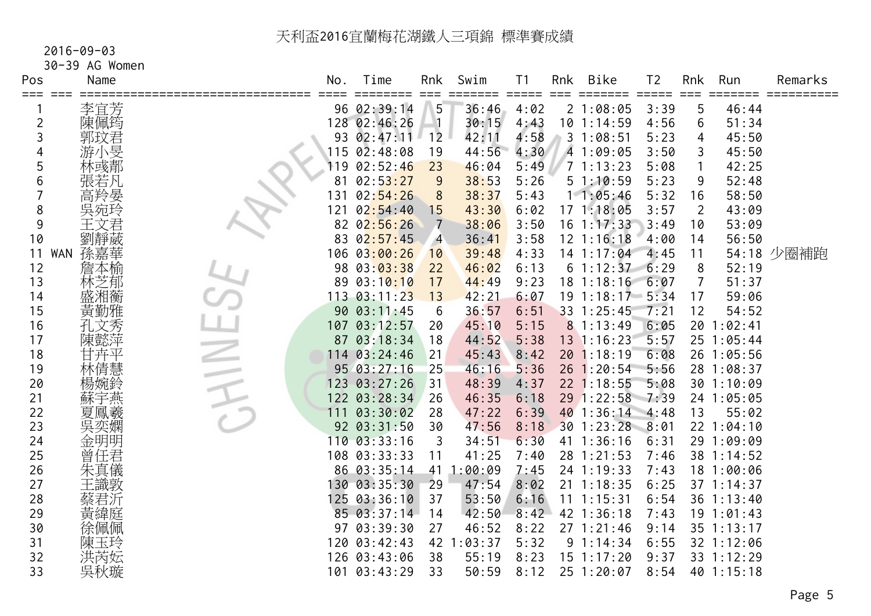## 2016-09-03

30-39 AG Women

| Pos | Name                                | No. | Time                 | Rnk                           | Swim       | T <sub>1</sub> | Rnk | Bike                  | T <sub>2</sub> | Rnk            | Run        | Remarks    |
|-----|-------------------------------------|-----|----------------------|-------------------------------|------------|----------------|-----|-----------------------|----------------|----------------|------------|------------|
| === | 李宜芳                                 |     | =====<br>96 02:39:14 | $=$ $=$ $=$<br>5 <sup>5</sup> | 36:46      | 4:02           |     | 21:08:05              | 3:39           | 5              | 46:44      |            |
| 2   | 陳佩筠                                 |     | 128 02:46:26         |                               | 30:15      | 4:43           |     | $10$ 1:14:59          | 4:56           | 6              | 51:34      |            |
| 3   | 郭玟君                                 |     | 93 02:47:11          | 12                            | 42:11      | 4:58           |     | 31:08:51              | 5:23           | 4              | 45:50      |            |
|     | 游小旻                                 |     | $115 \ \ 02:48:08$   | 19                            | 44:56      | 4:30           |     | 4 1:09:05             | 3:50           | 3              | 45:50      |            |
| 5   | 林彧郬                                 | 119 | 02:52:46             | 23                            | 46:04      | 5:49           |     | 71:13:23              | 5:08           |                | 42:25      |            |
| 6   | 張若凡                                 | 81  | 02:53:27             | 9                             | 38:53      | 5:26           |     | 51:10:59              | 5:23           | 9              | 52:48      |            |
|     | 高羚晏                                 | 131 | 02:54:26             | 8                             | 38:37      | 5:43           |     | 11:05:46              | 5:32           | 16             | 58:50      |            |
| 8   | 吳宛玲                                 | 121 | 02:54:40             | 15                            | 43:30      | 6:02           |     | 171:18:05             | 3:57           | $\overline{2}$ | 43:09      |            |
| 9   | 文君                                  |     | 82 02:56:26          | $\overline{7}$                | 38:06      | 3:50           |     | $16$ 1:17:33          | 3:49           | 10             | 53:09      |            |
| 10  | 劉靜葳                                 |     | 83 02:57:45          | $\overline{4}$                | 36:41      | 3:58           |     | $12$ $1:16:18$        | 4:00           | 14             | 56:50      |            |
| 11  | <b>孫嘉華<br/>詹本</b><br><br><b>WAN</b> |     | 106 03:00:26         | 10                            | 39:48      | 4:33           |     | $14$ 1:17:04          | 4:45           | 11             |            | 54:18 少圈補跑 |
| 12  |                                     |     | 98 03:03:38          | 22                            | 46:02      | 6:13           |     | 61:12:37              | 6:29           | 8              | 52:19      |            |
| 13  | 林芝郁                                 |     | 89 03:10:10          | 17                            | 44:49      | 9:23           |     | $18$ 1:18:16          | 6:07           | $\overline{7}$ | 51:37      |            |
| 14  | 盛湘蘅                                 | 113 | 03:11:23             | 13                            | 42:21      | 6:07           |     | $19$ $1:18:17$ $5:34$ |                | 17             | 59:06      |            |
| 15  | 黃勤雅                                 |     | 90 03:11:45          | 6                             | 36:57      | 6:51           |     | 33 1:25:45            | 7:21           | 12             | 54:52      |            |
| 16  | 孔文秀                                 |     | 107 03:12:57         | 20                            | 45:10      | 5:15           |     | 81:13:49              | 6:05           |                | 20 1:02:41 |            |
| 17  | 陳懿萍                                 |     | 87 03:18:34          | 18                            | 44:52      | 5:38           |     | 13 1:16:23            | 5:57           |                | 25 1:05:44 |            |
| 18  | 甘卉平                                 |     | $114 \ \ 03:24:46$   | 21                            | 45:43      | 8:42           |     | 20 1:18:19            | 6:08           |                | 26 1:05:56 |            |
| 19  | 林倩慧                                 |     | 95 03:27:16          | 25                            | 46:16      | 5:36           |     | $26$ 1:20:54          | 5:56           |                | 28 1:08:37 |            |
| 20  | 楊婉鈴                                 |     | 123 03:27:26         | 31                            | 48:39      | 4:37           |     | $22$ 1:18:55          | 5:08           |                | 30 1:10:09 |            |
| 21  | 蘇宇燕                                 |     | 122 03:28:34         | 26                            | 46:35      | 6:18           |     | 29 1:22:58 7:39       |                |                | 24 1:05:05 |            |
| 22  | 夏鳳羲                                 | 111 | 03:30:02             | 28                            | 47:22      | 6:39           |     | 40 1:36:14 4:48       |                | 13             | 55:02      |            |
| 23  |                                     |     | 92 03:31:50          | 30                            | 47:56      | 8:18           |     | 30 1:23:28            | 8:01           |                | 22 1:04:10 |            |
| 24  | 金明明                                 |     | 110 03:33:16         | 3                             | 34:51      | 6:30           |     | $41 \t1:36:16$        | 6:31           |                | 29 1:09:09 |            |
| 25  | 曾任君                                 |     | 108 03:33:33         | 11                            | 41:25      | 7:40           |     | 28 1:21:53            | 7:46           |                | 38 1:14:52 |            |
| 26  | 朱真儀                                 |     | 86 03:35:14          | 41                            | 1:00:09    | 7:45           |     | 24 1:19:33            | 7:43           |                | 18 1:00:06 |            |
| 27  | 王識敦                                 |     | 130 03:35:30         | 29                            | 47:54      | 8:02           |     | $21 \t1:18:35$        | 6:25           |                | 37 1:14:37 |            |
| 28  | 蔡君沂                                 |     | 125 03:36:10         | 37                            | 53:50      | 6:16           |     | $11 \t1:15:31$        | 6:54           |                | 36 1:13:40 |            |
| 29  | 黃緯庭                                 |     | 85 03:37:14          | 14                            | 42:50      | 8:42           |     | 42 1:36:18            | 7:43           |                | 19 1:01:43 |            |
| 30  | 徐佩佩                                 |     | 97 03:39:30          | 27                            | 46:52      | 8:22           |     | 271:21:46             | 9:14           |                | 35 1:13:17 |            |
| 31  | 陳玉玲                                 |     | 120 03:42:43         |                               | 42 1:03:37 | 5:32           |     | 91:14:34              | 6:55           |                | 32 1:12:06 |            |
| 32  | 洪芮妘                                 |     | 126 03:43:06         | 38                            | 55:19      | 8:23           |     | $15$ $1:17:20$        | 9:37           |                | 33 1:12:29 |            |
| 33  | 吳秋璇                                 |     | 101 03:43:29         | 33                            | 50:59      | 8:12           |     | 25 1:20:07            | 8:54           |                | 40 1:15:18 |            |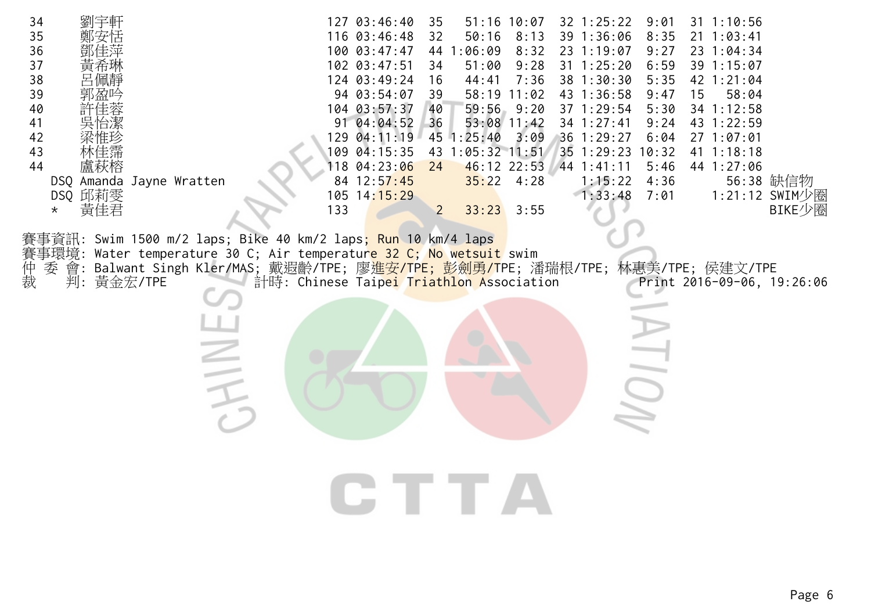| 34<br>35<br>36<br>37<br>38<br>39<br>40<br>41<br>42<br>43<br>44<br>盧秋榕<br>DSQ Amanda Jayne Wratten<br>DSQ 邱莉雯<br>黃佳君<br>$\star$ |                                                                                                                                                                                                                                            | 127 03:46:40<br>116 03:46:48<br>100 03:47:47<br>102 03:47:51<br>124 03:49:24<br>94 03:54:07<br>104 03:57:37<br>91 04:04:52<br>129 04:11:19<br>109 04:15:35<br>118 04:23:06<br>84 12:57:45<br>105 14:15:29<br>133 | $51:16$ 10:07<br>35<br>50:16<br>32<br>44 1:06:09<br>51:00<br>34<br>44:41<br>16<br>$58:19$ 11:02<br>39<br>$59:56$ $9:20$<br>40<br>$53:08$ 11:42<br>36<br>45 1:25:40<br>43 1:05:32 11:51<br>46:12 22:53<br>24<br>$35:22$ 4:28<br>$\overline{2}$<br>33:23 | $32$ 1:25:22<br>39 1:36:06<br>8:13<br>23 1:19:07<br>8:32<br>9:28<br>$31 \t1:25:20$<br>38 1:30:30<br>7:36<br>43 1:36:58<br>37 1:29:54<br>34 1:27:41<br>36 1:29:27<br>3:09<br>35 1:29:23<br>$44$ 1:41:11<br>1:15:22<br>1:33:48<br>3:55 | 9:01<br>$31 \t1:10:56$<br>8:35<br>$21 \t1:03:41$<br>9:27<br>23 1:04:34<br>6:59<br>39 1:15:07<br>5:35<br>42 1:21:04<br>9:47<br>15<br>58:04<br>5:30<br>34 1:12:58<br>9:24<br>43 1:22:59<br>6:04<br>271:07:01<br>10:32<br>41 1:18:18<br>5:46<br>44 1:27:06<br>56:38 缺信物<br>4:36<br>1:21:12 SWIM少圈<br>7:01<br>BIKE少圈 |
|--------------------------------------------------------------------------------------------------------------------------------|--------------------------------------------------------------------------------------------------------------------------------------------------------------------------------------------------------------------------------------------|------------------------------------------------------------------------------------------------------------------------------------------------------------------------------------------------------------------|--------------------------------------------------------------------------------------------------------------------------------------------------------------------------------------------------------------------------------------------------------|--------------------------------------------------------------------------------------------------------------------------------------------------------------------------------------------------------------------------------------|------------------------------------------------------------------------------------------------------------------------------------------------------------------------------------------------------------------------------------------------------------------------------------------------------------------|
| 賽事環境:<br>仲裁<br>委<br>會:<br>判: 黃金宏/TPE                                                                                           | 事資訊: Swim 1500 m/2 laps; Bike 40 km/2 laps <mark>; Run 10 km/4 laps</mark><br>Water temperature 30 C; Air temperature 32 C; No wetsuit swim<br>Balwant Singh Kler/MAS; 戴遐齡/TPE; 廖 <mark>進安/TPE; 彭劍勇/T</mark> PE; 潘瑞根/TPE; 林惠美/TPE; 侯建文/TPE | 計時: Chinese Taipei Triathlon Association                                                                                                                                                                         |                                                                                                                                                                                                                                                        |                                                                                                                                                                                                                                      | Print 2016-09-06, 19:26:06                                                                                                                                                                                                                                                                                       |
|                                                                                                                                |                                                                                                                                                                                                                                            |                                                                                                                                                                                                                  | CTTA                                                                                                                                                                                                                                                   |                                                                                                                                                                                                                                      |                                                                                                                                                                                                                                                                                                                  |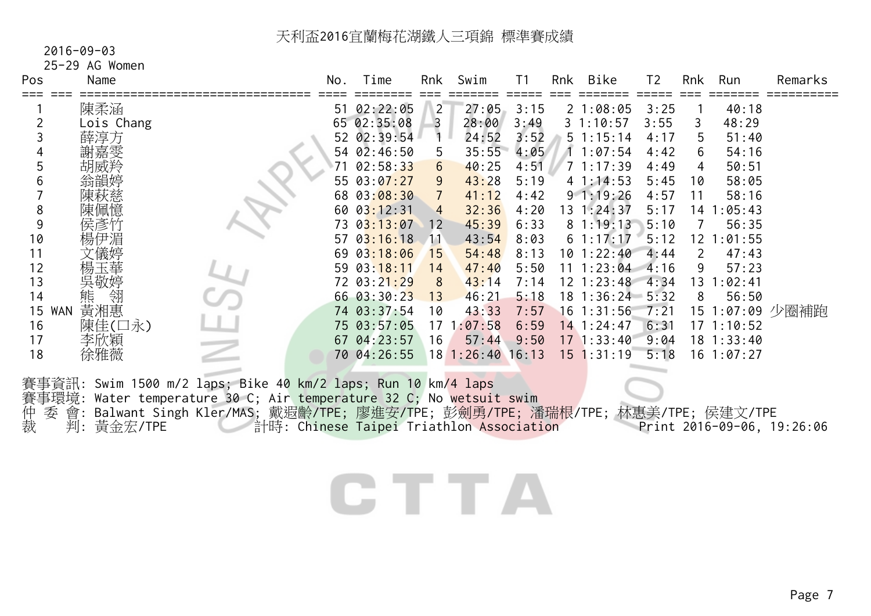#### 2016-09-03

25-29 AG Women

| Pos                                                                                                 | Name                                                                                                          |                                                                                                                                                                                                                                                                                  | No.       | Time                                                                                                                                                                                                                                                                   | Rnk                                                                                                                                                   | Swim                                                                                                                                                                        | T <sub>1</sub>                                                                                                                                | Rnk | <b>Bike</b>                                                                                                                                                                                                                                                    | T <sub>2</sub>                                                                                                                       | Rnk                                                                        | Run                                                                                                                                                                                    | Remarks                    |
|-----------------------------------------------------------------------------------------------------|---------------------------------------------------------------------------------------------------------------|----------------------------------------------------------------------------------------------------------------------------------------------------------------------------------------------------------------------------------------------------------------------------------|-----------|------------------------------------------------------------------------------------------------------------------------------------------------------------------------------------------------------------------------------------------------------------------------|-------------------------------------------------------------------------------------------------------------------------------------------------------|-----------------------------------------------------------------------------------------------------------------------------------------------------------------------------|-----------------------------------------------------------------------------------------------------------------------------------------------|-----|----------------------------------------------------------------------------------------------------------------------------------------------------------------------------------------------------------------------------------------------------------------|--------------------------------------------------------------------------------------------------------------------------------------|----------------------------------------------------------------------------|----------------------------------------------------------------------------------------------------------------------------------------------------------------------------------------|----------------------------|
| 2<br>3<br>4<br>5<br>6<br>8<br>9<br>10<br>11<br>12<br>13<br>14<br>15<br><b>WAN</b><br>16<br>17<br>18 | 陳柔涵<br>Lois Chang<br>薛淳方<br>謝嘉雯<br>胡威羚<br>翁韻婷<br>陳秋慈<br>侯彥竹<br>愓伊湄<br>吳敬婷<br>熊<br>黃湘惠<br>陳佳(口永)<br>李欣穎<br>徐雅薇 |                                                                                                                                                                                                                                                                                  | 51<br>∤71 | 02:22:05<br>65 02:35:08<br>52 02:39:54<br>54 02:46:50<br>02:58:33<br>55 03:07:27<br>68 03:08:30<br>60 03:12:31<br>73 03:13:07<br>57 $03:16:18$<br>69 03:18:06<br>59 03:18:11<br>72 03:21:29<br>66 03:30:23<br>74 03:37:54<br>75 03:57:05<br>67 04:23:57<br>70 04:26:55 | $\overline{2}$<br>$\overline{3}$<br>$\ddagger$<br>5<br>$6\overline{6}$<br>9<br>$\overline{4}$<br>12<br>$\Delta$ 11<br>15<br>14<br>8<br>13<br>10<br>16 | 27:05<br>28:00<br>24:52<br>35:55<br>40:25<br>43:28<br>41:12<br>32:36<br>45:39<br>43:54<br>54:48<br>47:40<br>43:14<br>46:21<br>43:33<br>$17 \t1:07:58$<br>57:44<br>181:26:40 | 3:15<br>3:49<br>3:52<br>4:05<br>4:51<br>5:19<br>4:42<br>4:20<br>6:33<br>8:03<br>8:13<br>5:50<br>7:14<br>5:18<br>7:57<br>6:59<br>9:50<br>16:13 |     | 21:08:05<br>31:10:57<br>51:15:14<br>11:07:54<br>71:17:39<br>41:14:53<br>91:19:26<br>$13 \t1:24:37$<br>81:19:13<br>61:17:17<br>$10$ 1:22:40<br>$11 \t1:23:04$<br>$12 \t1:23:48$<br>18 1:36:24 5:32<br>$16$ 1:31:56<br>$14$ 1:24:47<br>171:33:40<br>$15$ 1:31:19 | 3:25<br>3:55<br>4:17<br>4:42<br>4:49<br>5:45<br>4:57<br>5:17<br>5:10<br>5:12<br>4:44<br>4:16<br>4:34<br>7:21<br>6:31<br>9:04<br>5:18 | 3<br>5<br>6<br>4<br>10<br>11<br>$\overline{7}$<br>$\overline{2}$<br>9<br>8 | 40:18<br>48:29<br>51:40<br>54:16<br>50:51<br>58:05<br>58:16<br>14 1:05:43<br>56:35<br>12 1:01:55<br>47:43<br>57:23<br>13 1:02:41<br>56:50<br>171:10:52<br>$18$ 1:33:40<br>$16$ 1:07:27 | 15 1:07:09 少圈補跑            |
| 仲裁<br>季                                                                                             | 判: 黃金宏/TPE                                                                                                    | 賽事資訊: Swim 1500 m/2 laps; Bike 40 km/2 laps; Run 10 km/4 laps<br>賽事環境: Water temperature 30 C; Air temperature 32 C; No <mark>wetsuit swim</mark><br>會: Balwant Singh Kler/MAS; 戴遐齡/TPE; 廖進安/TPE; 彭劍勇/TPE; 潘瑞根/TPE; 林惠美/TPE; 侯建文/TPE<br>計時: Chinese Taipei Triathlon Association |           | C TTA                                                                                                                                                                                                                                                                  |                                                                                                                                                       |                                                                                                                                                                             |                                                                                                                                               |     |                                                                                                                                                                                                                                                                |                                                                                                                                      |                                                                            |                                                                                                                                                                                        | Print 2016-09-06, 19:26:06 |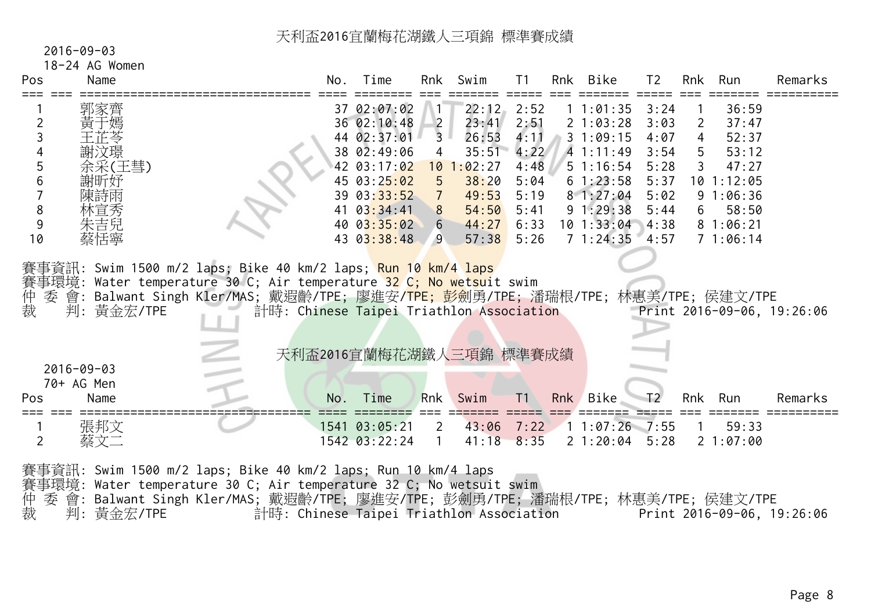|  | $2016 - 09 - 03$ |                  |
|--|------------------|------------------|
|  |                  | $10.21 \pm 0.01$ |

# 18-24 AG Women

| Pos            | Name             |                                                                                   | No. | Time                                     | Rnk            | Swim         | T1             | Rnk | Bike            | T <sub>2</sub> | Rnk | Run        | Remarks                    |
|----------------|------------------|-----------------------------------------------------------------------------------|-----|------------------------------------------|----------------|--------------|----------------|-----|-----------------|----------------|-----|------------|----------------------------|
|                | 郭家齊              |                                                                                   |     | 37 02:07:02                              |                | 22:12        | 2:52           |     | 11:01:35        | 3:24           |     | 36:59      |                            |
| 2              | 于嫣               |                                                                                   |     | 36 02:10:48                              | $\overline{2}$ | 23:41        | 2:51           |     | 21:03:28        | 3:03           | 2   | 37:47      |                            |
|                |                  |                                                                                   |     | 44 02:37:01                              | $\overline{3}$ | 26:53        | 4:11           |     | 31:09:15        | 4:07           | 4   | 52:37      |                            |
|                | 謝汶璟              |                                                                                   |     | 38 02:49:06                              | 4              | 35:51        | 4:22           |     | 41:11:49        | 3:54           | 5   | 53:12      |                            |
| 5              | 余采(王彗)           |                                                                                   |     | 42 03:17:02                              |                | $10$ 1:02:27 | 4:48           |     | 51:16:54        | 5:28           | 3   | 47:27      |                            |
| 6              | 謝昕妤              |                                                                                   |     | 45 03:25:02                              | 5 <sup>5</sup> | 38:20        | 5:04           |     | 61:23:58        | 5:37           |     | 10 1:12:05 |                            |
|                | 陳詩雨              |                                                                                   |     | 39 03:33:52                              | $\overline{7}$ | 49:53        | 5:19           |     | 81:27:04        | 5:02           |     | 91:06:36   |                            |
| 8              | 林宣秀              |                                                                                   | 41  | 03:34:41                                 | 8 <sup>°</sup> | 54:50        | 5:41           |     | 91:29:38        | 5:44           | 6   | 58:50      |                            |
| 9              | 朱吉兒              |                                                                                   |     | 40 03:35:02                              | 6 <sup>1</sup> | 44:27        | 6:33           |     | 10 1:33:04      | 14:38          |     | 81:06:21   |                            |
| 10             | 蔡恬寧              |                                                                                   |     | 43 03:38:48                              | $9^{\circ}$    | 57:38        | 5:26           |     | 71:24:35        | $-4:57$        |     | 71:06:14   |                            |
| 仲<br>裁         | 判:黃金宏/TPE        | 委 會: Balwant Singh Kler/MAS; 戴遐齡/TPE; 廖進安/TPE; 彭劍勇/TPE; 潘瑞根/TPE; 林惠美/TPE; 侯建文/TPE |     | 計時: Chinese Taipei Triathlon Association |                |              |                |     |                 |                |     |            | Print 2016-09-06, 19:26:06 |
|                |                  |                                                                                   |     | 天利盃2016宜蘭梅花湖鐵人三項錦 標準賽成績                  |                |              |                |     |                 |                |     |            |                            |
|                | $2016 - 09 - 03$ |                                                                                   |     |                                          |                |              |                |     |                 |                |     |            |                            |
|                | 70+ AG Men       |                                                                                   |     |                                          |                |              |                |     |                 |                |     |            |                            |
| Pos            | Name             |                                                                                   | No. | Time                                     | Rnk            | Swim         | T <sub>1</sub> | Rnk | Bike            | T <sub>2</sub> |     | Rnk Run    | Remarks                    |
|                | 張邦文              |                                                                                   |     | 1541 03:05:21                            | $\overline{2}$ | 43:06        | 7:22           |     | $11:07:26$ 7:55 |                |     | 59:33      |                            |
| $\overline{2}$ | 蔡文二              |                                                                                   |     | 1542 03:22:24                            |                | 41:18        | 8:35           |     | 21:20:04        | 5:28           |     | 21:07:00   |                            |
|                |                  |                                                                                   |     |                                          |                |              |                |     |                 |                |     |            |                            |
|                |                  | 賽事資訊: Swim 1500 m/2 laps; Bike 40 km/2 laps; Run 10 km/4 laps                     |     |                                          |                |              |                |     |                 |                |     |            |                            |

賽事環境: Water temperature 30 C; Air temperature 32 C; No wetsuit swim

仲 委 會: Balwant Singh Kler/MAS; 戴遐齡/TPE; 廖進安/TPE; 彭劍勇/TPE; 潘瑞根/TPE; 林惠美/TPE; 侯建文/TPE 裁 判: 黃金宏/TPE 計時: Chinese Taipei Triathlon Association Print 2016-09-06, 19:26:06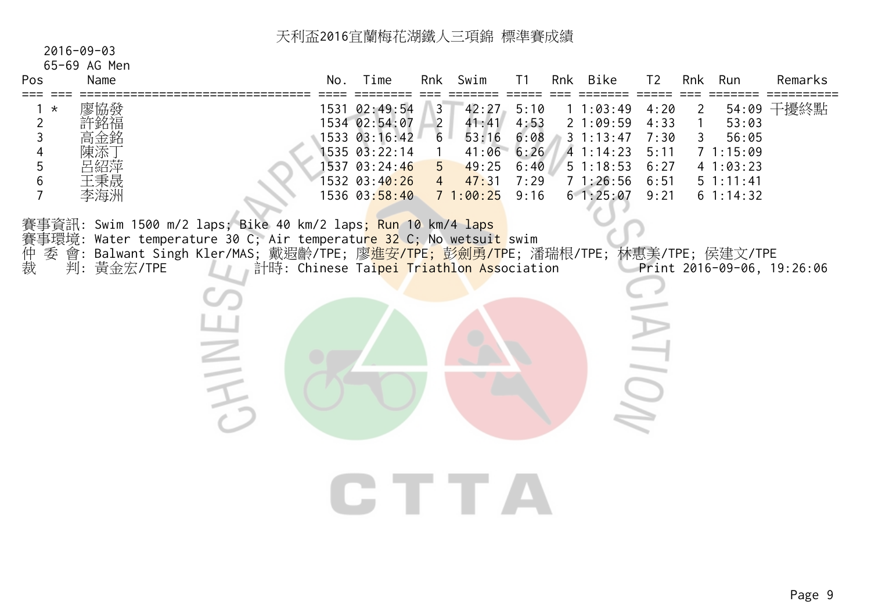|  | $2016 - 09 - 03$ |
|--|------------------|
|  |                  |

# 65-69 AG Men

| Pos                 | Name                                   | No.  | ⊺ime                                                                                                      | Rnk                                | Swim                                               |                                              | Rnk              | Bike                                                              | エク                                           | Rnk | Run                                                            | Remarks |
|---------------------|----------------------------------------|------|-----------------------------------------------------------------------------------------------------------|------------------------------------|----------------------------------------------------|----------------------------------------------|------------------|-------------------------------------------------------------------|----------------------------------------------|-----|----------------------------------------------------------------|---------|
| $\star$<br><u>_</u> | 廖協發<br>許銘福<br>高金銘<br>陳添丁<br>呂紹萍<br>王秉晟 | 1531 | 02:49:54<br>1534 02:54:07<br>$1533$ $03:16:42$<br>$1535$ $03:22:14$<br>1537 03:24:46<br>$1532$ $03:40:26$ | 6<br>$5^{\circ}$<br>$\overline{4}$ | 42:27<br>41:41<br>53:16<br>41:06<br>49:25<br>47:31 | 5:10<br>4:53<br>6:08<br>6:26<br>6:40<br>7:29 | $\overline{3}$ 1 | :03:49 .<br>1:09:59<br>1:13:47<br>41:14:23<br>51:18:53<br>1:26:56 | 4:20<br>4:33<br>7:30<br>5:11<br>6:27<br>6:51 | 41  | 54:09<br>53:03<br>56:05<br>1:15:09<br>1:03:23<br>$5 \t1:11:41$ | 干擾終點    |
|                     | 李海洲                                    |      | 1536 03:58:40                                                                                             |                                    | 1:00:25                                            | 9:16                                         |                  | 61:25:07                                                          | 9:21                                         |     | $6 \t1:14:32$                                                  |         |

賽事資訊: Swim 1500 m/2 laps; Bike 40 km/2 laps; Run 10 km/4 laps

- 
- <del>賽</del>事環境: Water temperature 30 C; Air temperature 32 C; No wetsuit swim<br>仲 委 會: Balwant Singh Kler/MAS; 戴遐齡/TPE; 廖<mark>進安/TPE; 彭劍勇/T</mark>PE; 潘<br>裁 判: 黃金宏/TPE 計時: Chinese Tai<mark>pei Triathlon Ass</mark>ociati 仲 委 會: Balwant Singh Kler/MAS; 戴遐齡/TPE; 廖<mark>進安/TPE; 彭劍勇/TP</mark>E; 潘瑞根/TPE; 林惠美/TPE; 侯建文/TPE 裁 判: 黃金宏/TPE 計時: Chinese Ta<mark>ipei Triathlon Ass</mark>ociation Print 2016-09-06, 19:26:06
	- CHINE  $\sum_{i=1}^{n}$

CTTA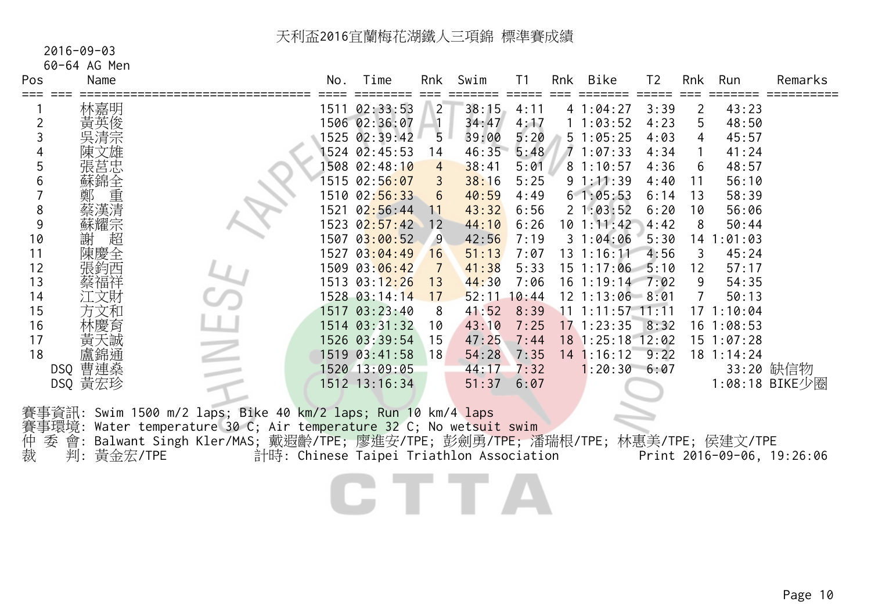# 2016-09-03

60-64 AG Men

| Pos            | Name       |                                                                              | No.  | Time                                     | Rnk            | Swim  | T <sub>1</sub> | Rnk | <b>Bike</b>        | T <sub>2</sub> | Rnk            | Run          | Remarks                    |
|----------------|------------|------------------------------------------------------------------------------|------|------------------------------------------|----------------|-------|----------------|-----|--------------------|----------------|----------------|--------------|----------------------------|
| ===            | 林嘉明        |                                                                              |      | 1511 02:33:53                            | $\overline{2}$ | 38:15 | 4:11           |     | 41:04:27           | 3:39           | $\overline{2}$ | 43:23        |                            |
| $\overline{2}$ |            |                                                                              |      | 1506 02:36:07                            |                | 34:47 | 4:17           |     | 11:03:52           | 4:23           | 5              | 48:50        |                            |
| 3              |            |                                                                              |      | 1525 02:39:42                            | 5              | 39:00 | 5:20           |     | 51:05:25           | 4:03           | 4              | 45:57        |                            |
| 4              |            |                                                                              |      | 1524 02:45:53                            | 14             | 46:35 | 5:48           |     | 71:07:33           | 4:34           |                | 41:24        |                            |
| 5              |            |                                                                              |      | 1508 02:48:10                            | $\overline{4}$ | 38:41 | 5:01           |     | 81:10:57           | 4:36           | 6              | 48:57        |                            |
| 6              | 蘇錦全        |                                                                              |      | 1515 02:56:07                            |                | 38:16 | 5:25           |     | 91:11:39           | 4:40           | 11             | 56:10        |                            |
|                | 重          |                                                                              |      | 1510 02:56:33                            | 6              | 40:59 | 4:49           |     | 61:05:53           | 6:14           | 13             | 58:39        |                            |
| 8              | 蔡漢清        |                                                                              | 1521 | 02:56:44                                 | 11             | 43:32 | 6:56           |     | 21:03:52           | 6:20           | 10             | 56:06        |                            |
| 9              | 蘇耀宗        |                                                                              |      | 1523 02:57:42                            | 12             | 44:10 | 6:26           |     | 101:11:42          | 4:42           | 8              | 50:44        |                            |
| 10             | 超<br>謝     |                                                                              |      | 1507 03:00:52                            | $\overline{9}$ | 42:56 | 7:19           |     | 31:04:06           | 5:30           | 14             | :01:03       |                            |
| 11             | 陳慶全        |                                                                              |      | 1527 03:04:49                            | 16             | 51:13 | 7:07           |     | $13 \t1:16:11$     | 4:56           | 3              | 45:24        |                            |
| 12             | 張鈞西        |                                                                              |      | 1509 03:06:42                            | 7              | 41:38 | 5:33           |     | $15$ 1:17:06       | 5:10           | 12             | 57:17        |                            |
| 13             | 蔡福祥        |                                                                              |      | 1513 03:12:26                            | 13             | 44:30 | 7:06           |     | $16$ 1:19:14       | 7:02           | 9              | 54:35        |                            |
| 14             | 江文財        |                                                                              |      | 1528 03:14:14                            | 17             | 52:11 | 10:44          |     | $12$ 1:13:06 8:01  |                | $\overline{7}$ | 50:13        |                            |
| 15             | 方文和        |                                                                              |      | 1517 03:23:40                            | 8              | 41:52 | 8:39           |     | $11$ 1:11:57 11:11 |                |                | 171:10:04    |                            |
| 16             |            |                                                                              |      | 1514 03:31:32                            | 10             | 43:10 | 7:25           |     | $17$ 1:23:35       | 8:32           |                | $16$ 1:08:53 |                            |
| 17             |            |                                                                              |      | 1526 03:39:54                            | 15             | 47:25 | 7:44           |     | 18 1:25:18 12:02   |                |                | 15 1:07:28   |                            |
| 18             | 盧錦通        |                                                                              |      | 1519 03:41:58                            | 18             | 54:28 | 7:35           |     | $14$ 1:16:12       | 9:22           |                | $18$ 1:14:24 |                            |
|                | DSQ 曹連燊    |                                                                              |      | 1520 13:09:05                            |                | 44:17 | 7:32           |     | 1:20:30 6:07       |                |                |              | 33:20 缺信物                  |
|                | DSQ 黃宏珍    |                                                                              |      | 1512 13:16:34                            |                | 51:37 | 6:07           |     |                    |                |                |              | 1:08:18 BIKE少圈             |
|                |            | 賽事資訊: Swim 1500 m/2 laps; Bike 40 km/2 laps; Run 10 km/4 laps                |      |                                          |                |       |                |     |                    |                |                |              |                            |
|                |            | 賽事環境: Water temperature 30 C; Air temperature 32 C; No wetsuit swim          |      |                                          |                |       |                |     |                    |                |                |              |                            |
| 仲<br>季         | 會:         | Balwant Singh Kler/MAS; 戴遐齡/TPE; 廖進安/TPE; 彭劍勇/TPE; 潘瑞根/TPE; 林惠美/TPE; 侯建文/TPE |      |                                          |                |       |                |     |                    |                |                |              |                            |
| 裁              | 判: 黃金宏/TPE |                                                                              |      | 計時: Chinese Taipei Triathlon Association |                |       |                |     |                    |                |                |              | Print 2016-09-06, 19:26:06 |
|                |            |                                                                              |      |                                          |                |       |                |     |                    |                |                |              |                            |
|                |            |                                                                              |      |                                          |                |       |                |     |                    |                |                |              |                            |
|                |            |                                                                              |      |                                          |                |       |                |     |                    |                |                |              |                            |
|                |            |                                                                              |      |                                          |                |       |                |     |                    |                |                |              |                            |
|                |            |                                                                              |      |                                          |                |       |                |     |                    |                |                |              |                            |
|                |            |                                                                              |      |                                          |                |       |                |     |                    |                |                |              |                            |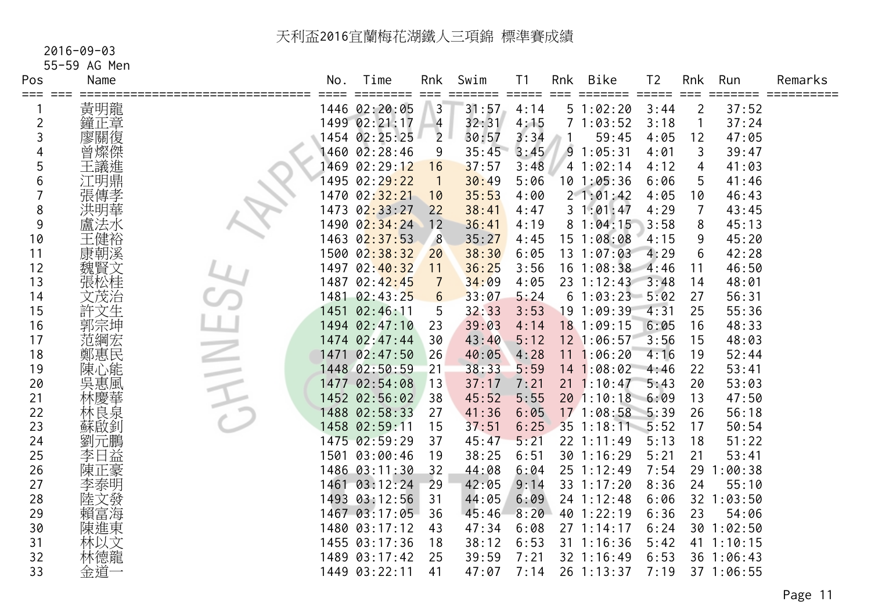#### 2016-09-03

55-59 AG Men

| Pos            | Name |                          | No.  | Time<br>=====               | Rnk            | Swim  | Τ1                          | Rnk | <b>Bike</b>       | T <sub>2</sub> | Rnk          | Run        | Remarks |
|----------------|------|--------------------------|------|-----------------------------|----------------|-------|-----------------------------|-----|-------------------|----------------|--------------|------------|---------|
| ===            | 黃明龍  |                          |      | 1446 02:20:05               | $\mathbf{3}$   | 31:57 | $=$ $=$ $=$ $=$ $=$<br>4:14 |     | 51:02:20          | 3:44           | 2            | 37:52      |         |
| $\overline{c}$ | 鐘正章  |                          |      | 1499 02:21:17               | $\overline{4}$ | 32:31 | 4:15                        |     | 71:03:52          | 3:18           | $\mathbf{1}$ | 37:24      |         |
| 3              | 廖關復  |                          |      | 1454 02:25:25               | $\overline{2}$ | 30:57 | 3:34                        |     | 59:45             | 4:05           | 12           | 47:05      |         |
|                | 曾燦傑  |                          |      | 1460 02:28:46               | 9              | 35:45 | 3:45                        |     | 91:05:31          | 4:01           | 3            | 39:47      |         |
| 5              | 王議進  |                          |      | 1469 02:29:12               | 16             | 37:57 | 3:48                        |     | 41:02:14          | 4:12           | 4            | 41:03      |         |
| 6              | 江明鼎  |                          |      | 1495 02:2 <mark>9:22</mark> | $\overline{1}$ | 30:49 | 5:06                        |     | 101:05:36         | 6:06           | 5            | 41:46      |         |
|                | 張傳孝  |                          |      | 1470 02: <mark>32:21</mark> | 10             | 35:53 | 4:00                        |     | 21:01:42          | 4:05           | 10           | 46:43      |         |
| 8              | 洪明華  |                          |      | 1473 02 <mark>:33:27</mark> | 22             | 38:41 | 4:47                        |     | 31:01:47          | 4:29           | 7            | 43:45      |         |
| 9              |      |                          | 1490 | 02:34:24                    | 12             | 36:41 | 4:19                        |     | 81:04:15          | 3:58           | 8            | 45:13      |         |
| 10             | 王健裕  |                          |      | 1463 02:37:53               | 8              | 35:27 | 4:45                        |     | 15 1:08:08        | 4:15           | 9            | 45:20      |         |
| 11             | 康朝溪  |                          |      | 1500 02:38:32               | 20             | 38:30 | 6:05                        |     | $13 \t1:07:03$    | 4:29           | 6            | 42:28      |         |
| 12             | 魏賢文  |                          |      | 1497 02:40:32               | 11             | 36:25 | 3:56                        |     | $16$ 1:08:38      | 4:46           | 11           | 46:50      |         |
| 13             | 張松桂  |                          |      | 1487 02:42:45               | $\overline{7}$ | 34:09 | 4:05                        |     | $23 \t1:12:43$    | 3:48           | 14           | 48:01      |         |
| 14             | 文茂治  |                          | 1481 | 02:43:25                    | 6              | 33:07 | 5:24                        |     | 61:03:235:5:02    |                | 27           | 56:31      |         |
| 15             | 許文生  |                          |      | 1451 02:46:11               | 5              | 32:33 | 3:53                        |     | 19 1:09:39        | 4:31           | 25           | 55:36      |         |
| 16             | 郭宗坤  |                          |      | 1494 02:47:10               | 23             | 39:03 | 4:14                        |     | 18 1:09:15        | 6:05           | 16           | 48:33      |         |
| 17             | 范綱宏  |                          |      | 1474 02:47:44               | 30             | 43:40 | 5:12                        |     | 12 1:06:57        | 3:56           | 15           | 48:03      |         |
| 18             | 鄭惠民  |                          |      | 1471 02:47:50               | 26             | 40:05 | 4:28                        |     | 11 1:06:20        | 4:16           | 19           | 52:44      |         |
| 19             | 陳心能  | $\overline{\phantom{a}}$ |      | 1448 02:50:59               | 21             | 38:33 | 5:59                        |     | 141:08:02         | 4:46           | 22           | 53:41      |         |
| 20             | 吳惠風  |                          |      | 1477 02:54:08               | 13             | 37:17 | 7:21                        |     | $21 \t1:10:47$    | 5:43           | 20           | 53:03      |         |
| 21             | 林慶華  |                          |      | 1452 02:56:02               | 38             | 45:52 | 5:55                        |     | $20$ 1:10:18 6:09 |                | 13           | 47:50      |         |
| 22             | 林良泉  |                          |      | 1488 02:58:33               | 27             | 41:36 | 6:05                        |     | 17 1:08:58        | 5:39           | 26           | 56:18      |         |
| 23             | 蘇啟釗  |                          |      | 1458 02:59:11               | 15             | 37:51 | 6:25                        |     | 35 1:18:11 5:52   |                | 17           | 50:54      |         |
| 24             | 劉元鵬  |                          |      | 1475 02:59:29               | 37             | 45:47 | 5:21                        |     | 22 1:11:49        | 5:13           | 18           | 51:22      |         |
| 25             | 李日益  |                          | 1501 | 03:00:46                    | 19             | 38:25 | 6:51                        |     | 30 1:16:29        | 5:21           | 21           | 53:41      |         |
| 26             | 陳正豪  |                          |      | 1486 03:11:30               | 32             | 44:08 | 6:04                        |     | 25 1:12:49        | 7:54           | 29           | :00:38     |         |
| 27             | 李泰明  |                          |      | 1461 03:12:24               | 29             | 42:05 | 9:14                        |     | 33 1:17:20        | 8:36           | 24           | 55:10      |         |
| 28             | 陸文發  |                          |      | 1493 03:12:56               | 31             | 44:05 | 6:09                        |     | 24 1:12:48        | 6:06           |              | 32 1:03:50 |         |
| 29             | 賴富海  |                          |      | 1467 03:17:05               | 36             | 45:46 | 8:20                        |     | 40 1:22:19        | 6:36           | 23           | 54:06      |         |
| 30             | 陳進東  |                          |      | 1480 03:17:12               | 43             | 47:34 | 6:08                        |     | 271:14:17         | 6:24           |              | 30 1:02:50 |         |
| 31             | 林以文  |                          |      | 1455 03:17:36               | 18             | 38:12 | 6:53                        |     | 31 1:16:36        | 5:42           | 41           | 1:10:15    |         |
| 32             | 林德龍  |                          |      | 1489 03:17:42               | 25             | 39:59 | 7:21                        |     | 32 1:16:49        | 6:53           |              | 36 1:06:43 |         |
| 33             | 金道一  |                          |      | 1449 03:22:11               | 41             | 47:07 | 7:14                        |     | 26 1:13:37        | 7:19           |              | 37 1:06:55 |         |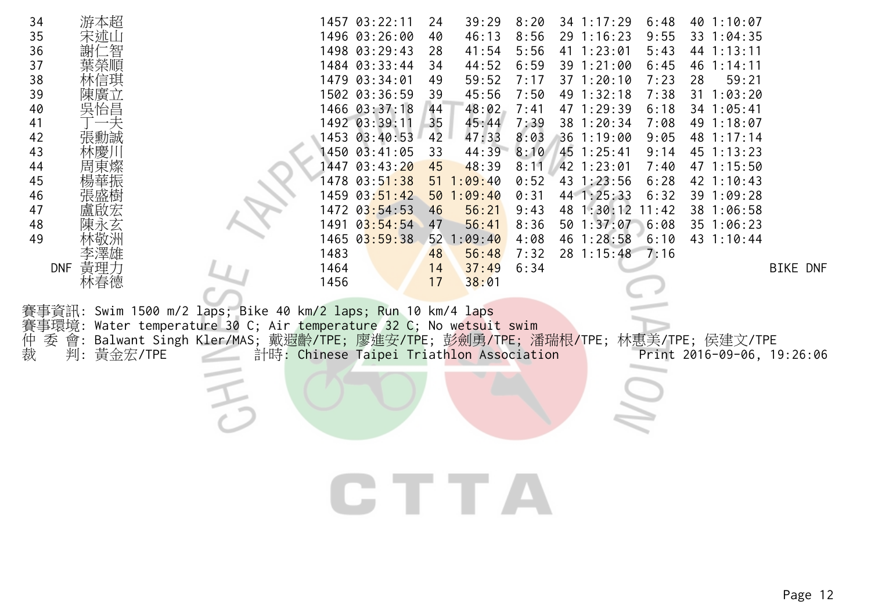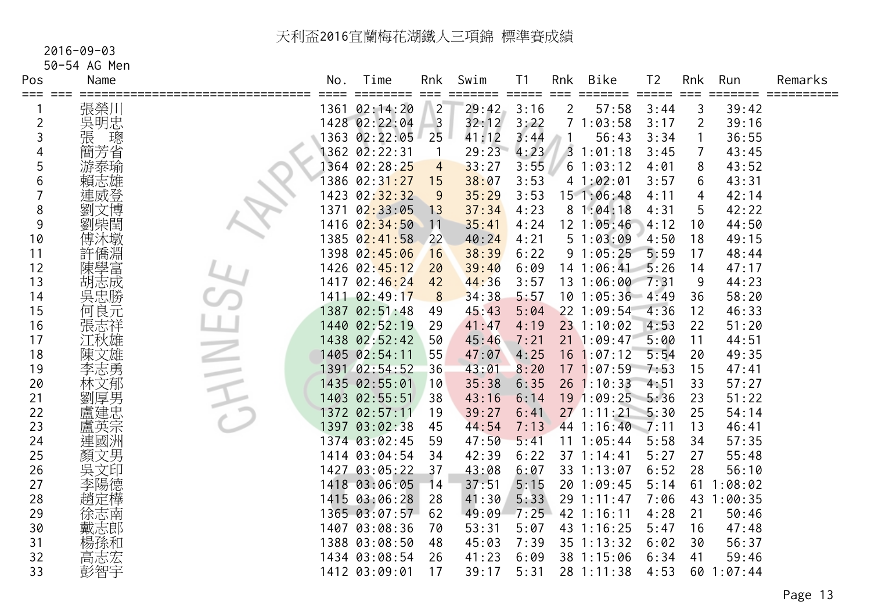#### 2016-09-03

50-54 AG Men

| Pos            | Name   | No.  | Time                        | Rnk<br>$==$    | Swim  | T <sub>1</sub>              | Rnk       | Bike            | T <sub>2</sub> | Rnk            | Run     | Remarks |
|----------------|--------|------|-----------------------------|----------------|-------|-----------------------------|-----------|-----------------|----------------|----------------|---------|---------|
| ===            | 張榮川    |      | 1361 02:14:20               | $\overline{2}$ | 29:42 | $=$ $=$ $=$ $=$ $=$<br>3:16 | $==$<br>2 | 57:58           | =====<br>3:44  | 3              | 39:42   |         |
| $\overline{2}$ | 吳明忠    |      | 1428 02:22:04               | $\overline{3}$ | 32:12 | 3:22                        |           | 71:03:58        | 3:17           | $\overline{2}$ | 39:16   |         |
| 3              | 璁<br>張 |      | 1363 02:22:05               | 25             | 41:12 | 3:44                        |           | 56:43           | 3:34           |                | 36:55   |         |
| 4              | 簡芳省    |      | 1362 02:22:31               | $\mathbf 1$    | 29:23 | 4:23                        |           | $3 \t1:01:18$   | 3:45           | $\overline{7}$ | 43:45   |         |
| 5              | 游泰瑜    |      | 1364 02:28:25               | 4              | 33:27 | 3:55                        | 6         | 1:03:12         | 4:01           | 8              | 43:52   |         |
| 6              | 賴志雄    |      | 1386 02:31 <mark>:27</mark> | 15             | 38:07 | 3:53                        |           | 41:02:01        | 3:57           | 6              | 43:31   |         |
|                | 連威登    | 1423 | 02:32:32                    | 9              | 35:29 | 3:53                        |           | 15 1:06:48      | 4:11           | 4              | 42:14   |         |
| 8              | 文博     | 1371 | 02:33:05                    | 13             | 37:34 | 4:23                        |           | 81:04:18        | 4:31           | 5              | 42:22   |         |
| 9              | 劉柴閏    |      | 1416 02:34:50               | 11             | 35:41 | 4:24                        |           | 12 1:05:46      | 4:12           | 10             | 44:50   |         |
| 10             | 傅沐墩    |      | 1385 02:41:58               | 22             | 40:24 | 4:21                        |           | 51:03:09        | 4:50           | 18             | 49:15   |         |
| 11             | 許僑淵    |      | 1398 02:45:06               | 16             | 38:39 | 6:22                        |           | 91:05:25        | 5:59           | 17             | 48:44   |         |
| 12             | 陳學富    |      | 1426 02:45:12               | 20             | 39:40 | 6:09                        |           | $14$ 1:06:41    | 5:26           | 14             | 47:17   |         |
| 13             |        |      | 1417 02:46:24               | 42             | 44:36 | 3:57                        |           | 13 1:06:00      | 7:31           | 9              | 44:23   |         |
| 14             | 胡志成勝   | 1411 | 02:49:17                    | 8              | 34:38 | 5:57                        |           | $10$ $1:05:36$  | 4:49           | 36             | 58:20   |         |
| 15             | 何良元    |      | 1387 02:51:48               | 49             | 45:43 | 5:04                        |           | 22 1:09:54      | 4:36           | 12             | 46:33   |         |
| 16             | 張志祥    |      | 1440 02:52:19               | 29             | 41:47 | 4:19                        |           | $23$ 1:10:02    | 4:53           | 22             | 51:20   |         |
| 17             | 江秋雄    |      | 1438 02:52:42               | 50             | 45:46 | 7:21                        |           | $21 \t1:09:47$  | 5:00           | 11             | 44:51   |         |
| 18             | 陳文雄    |      | 1405 02:54:11               | 55             | 47:07 | 4:25                        |           | $16$ 1:07:12    | 5:54           | 20             | 49:35   |         |
| 19             | 李志勇    |      | 1391 02:54:52               | 36             | 43:01 | 8:20                        |           | 171:07:59       | 7:53           | 15             | 47:41   |         |
| 20             | 林文郁    |      | 1435 02:55:01               | 10             | 35:38 | 6:35                        |           | 26 1:10:33      | 4:51           | 33             | 57:27   |         |
| 21             | 劉厚男    |      | 1403 02:55:51               | 38             | 43:16 | 6:14                        |           | 19 1:09:25      | 5:36           | 23             | 51:22   |         |
| 22             | 盧建忠    |      | 1372 02:57:11               | 19             | 39:27 | 6:41                        |           | $27$ 1:11:21    | 5:30           | 25             | 54:14   |         |
| 23             | 盧英宗    | 1397 | 03:02:38                    | 45             | 44:54 | 7:13                        |           | 44 1:16:40      | $-7:11$        | 13             | 46:41   |         |
| 24             | 連國洲    |      | 1374 03:02:45               | 59             | 47:50 | 5:41                        |           | $11 \t1:05:44$  | 5:58           | 34             | 57:35   |         |
| 25             | 顏文男    |      | 1414 03:04:54               | 34             | 42:39 | 6:22                        |           | $37 \; 1:14:41$ | 5:27           | 27             | 55:48   |         |
| 26             | 吳文印    |      | 1427 03:05:22               | 37             | 43:08 | 6:07                        |           | 33 1:13:07      | 6:52           | 28             | 56:10   |         |
| 27             | 李陽德    |      | 1418 03:06:05               | 14             | 37:51 | 5:15                        |           | 20 1:09:45      | 5:14           | 61             | 1:08:02 |         |
| 28             | 趙定樺    |      | 1415 03:06:28               | 28             | 41:30 | 5:33                        |           | 29 1:11:47      | 7:06           | 43             | 1:00:35 |         |
| 29             | 徐志南    |      | 1365 03:07:57               | 62             | 49:09 | 7:25                        |           | 42 1:16:11      | 4:28           | 21             | 50:46   |         |
| 30             | 戴志郎    |      | 1407 03:08:36               | 70             | 53:31 | 5:07                        |           | 43 1:16:25      | 5:47           | 16             | 47:48   |         |
| 31             | 楊孫和    |      | 1388 03:08:50               | 48             | 45:03 | 7:39                        |           | 35 1:13:32      | 6:02           | 30             | 56:37   |         |
| 32             | 高志宏    |      | 1434 03:08:54               | 26             | 41:23 | 6:09                        |           | 38 1:15:06      | 6:34           | 41             | 59:46   |         |
| 33             | 彭智宇    |      | 1412 03:09:01               | 17             | 39:17 | 5:31                        |           | 28 1:11:38      | 4:53           | 60             | 1:07:44 |         |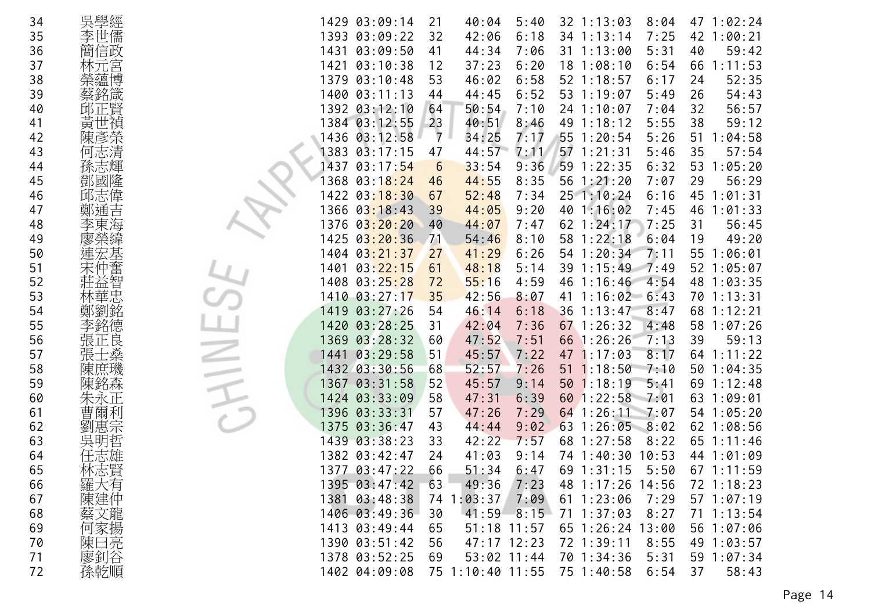| 34 | 吳學經     | 47 1:02:24<br>1429 03:09:14<br>40:04<br>5:40<br>32 1:13:03<br>8:04<br>21                    |
|----|---------|---------------------------------------------------------------------------------------------|
| 35 | 李世儒     | 1393 03:09:22<br>6:18<br>7:25<br>1:00:21<br>32<br>42:06<br>34 1:13:14<br>42                 |
| 36 | 簡信政     | 59:42<br>1431<br>03:09:50<br>41<br>44:34<br>7:06<br>31 1:13:00<br>5:31<br>40                |
| 37 | 林元宮     | 1421<br>03:10:38<br>12<br>37:23<br>6:20<br>181:08:10<br>6:54<br>66<br>1:11:53               |
| 38 | 榮蘊博     | 03:10:48<br>53<br>46:02<br>6:58<br>52 1:18:57<br>52:35<br>1379<br>6:17<br>24                |
| 39 | 蔡銘箴     | 1400 03:11:13<br>6:52<br>53 1:19:07<br>54:43<br>44<br>44:45<br>5:49<br>26                   |
| 40 | 邱正賢     | 1392 03:12:10<br>56:57<br>50:54<br>7:10<br>24 1:10:07<br>7:04<br>32<br>64                   |
| 41 | 黃世禎     | 1384 03:12:55<br>23<br>40:51<br>5:55<br>38<br>59:12<br>8:46<br>49 1:18:12                   |
| 42 | 陳彥榮     | $\overline{7}$<br>1436 03:12:58<br>34:25<br>7:17<br>55 1:20:54<br>5:26<br>1:04:58<br>51     |
| 43 | 何志清     | 1383<br>44:57<br>$57$ 1:21:31<br>$0\overline{3}:17:15$<br>47<br>7:11<br>5:46<br>35<br>57:54 |
| 44 | 孫志輝     | 1437<br>03:17:54<br>6:32<br>53<br>1:05:20<br>6<br>33:54<br>9:36<br>59 1:22:35               |
| 45 | 鄧國隆     | 29<br>56:29<br>368 03:18:24<br>44:55<br>8:35<br>56 1:21:20<br>7:07<br>46                    |
| 46 | 邱志偉     | 1422 03:18:30<br>52:48<br>251:10:24<br>6:16<br>45<br>1:01:31<br>67<br>7:34                  |
|    |         |                                                                                             |
| 47 | 鄭通<br>吉 | 1366<br>9:20<br>40 1:16:02<br>46<br>03:18:43<br>39<br>44:05<br>7:45<br>1:01:33              |
| 48 |         | 1376<br>03:20:20<br>62 1:24:17<br>7:25<br>56:45<br>40<br>44:07<br>7:47<br>31                |
| 49 |         | 1425 03:20:36<br>71<br>54:46<br>8:10<br>58 1:22:18<br>6:04<br>19<br>49:20                   |
| 50 | 連宏基     | 1404 03:21:37<br>6:26<br>54 1:20:34<br>7:11<br>1:06:01<br>27<br>41:29<br>55                 |
| 51 | 仲奮      | 1401<br>03:22:15<br>39 1:15:49<br>52 1:05:07<br>61<br>48:18<br>5:14<br>7:49                 |
| 52 | 智<br>血  | 1408 03:25:28<br>55:16<br>4:59<br>46 1:16:46<br>4:54<br>48<br>1:03:35<br>72                 |
| 53 | 林華忠     | 1410 03:27:17<br>35<br>8:07<br>1:16:02<br>42:56<br>41<br>$-6:43$<br>70 1:13:31              |
| 54 |         | 1419<br>03:27:26<br>36<br>8:47<br>68<br>54<br>46:14<br>6:18<br>1:13:47<br>1:12:21           |
| 55 | 李銘德     | 1:07:26<br>1420 03:28:25<br>42:04<br>$67$ 1:26:32<br>4:48<br>58<br>31<br>7:36               |
| 56 | 張正良     | 1369<br>03:28:32<br>47:52<br>7:51<br>66 1:26:26<br>7:13<br>39<br>59:13<br>60                |
| 57 | 上燊      | 1441<br>03:29:58<br>51<br>45:57<br>7:22<br>8:17<br>1:11:22<br>47 1:17:03<br>64              |
| 58 | 陳庶璣     | 1432 03:30:56<br>52:57<br>7:26<br>$51 \t1:18:50$<br>1:04:35<br>68<br>7:10<br>50             |
| 59 | 陳銘森     | 52<br>501:18:19<br>1367 03:31:58<br>45:57<br>9:14<br>5:41<br>69<br>1:12:48                  |
| 60 |         | 03:33:09<br>60 1:22:58<br>7:01<br>1:09:01<br>1424<br>58<br>47:31<br>6:39<br>63              |
| 61 | 曹爾利     | 1396 03:33:31<br>$64$ 1:26:11<br>7:29<br>54 1:05:20<br>57<br>47:26<br>7:07                  |
| 62 | 劉惠宗     | 1375 03:36:47<br>9:02<br>63 1:26:05<br>62 1:08:56<br>43<br>44:44<br>8:02                    |
| 63 |         | 1439 03:38:23<br>42:22<br>7:57<br>68 1:27:58<br>$65$ 1:11:46<br>33<br>8:22                  |
| 64 |         | 1382 03:42:47<br>41:03<br>74 1:40:30<br>10:53<br>44 1:01:09<br>24<br>9:14                   |
| 65 | 林志賢     | 1377 03:47:22<br>66<br>69 1:31:15<br>51:34<br>6:47<br>5:50<br>$67$ 1:11:59                  |
| 66 | 羅大有     | 1395 03:47:42<br>63<br>49:36<br>7:23<br>48 1:17:26 14:56<br>72 1:18:23                      |
| 67 | 陳建仲     | 7:09<br>1381 03:48:38<br>74 1:03:37<br>$61 \t1:23:06$<br>7:29<br>571:07:19                  |
| 68 | 蔡文龍     | 1406 03:49:36<br>30<br>41:59<br>8:15<br>$71 \t1:37:03$<br>8:27<br>$71 \t1:13:54$            |
| 69 | 何家揚     | 1413 03:49:44<br>65 1:26:24 13:00<br>65<br>$51:18$ 11:57<br>56 1:07:06                      |
| 70 |         | 1390 03:51:42<br>56<br>8:55                                                                 |
|    | 陳曰亮     | $47:17$ 12:23<br>72 1:39:11<br>49 1:03:57<br>$53:02$ 11:44                                  |
| 71 | 廖釗谷     | 70 1:34:36<br>5:31<br>1378 03:52:25<br>69<br>59 1:07:34                                     |
| 72 | 孫乾順     | 1402 04:09:08<br>75 1:10:40 11:55<br>75 1:40:58<br>6:54<br>37<br>58:43                      |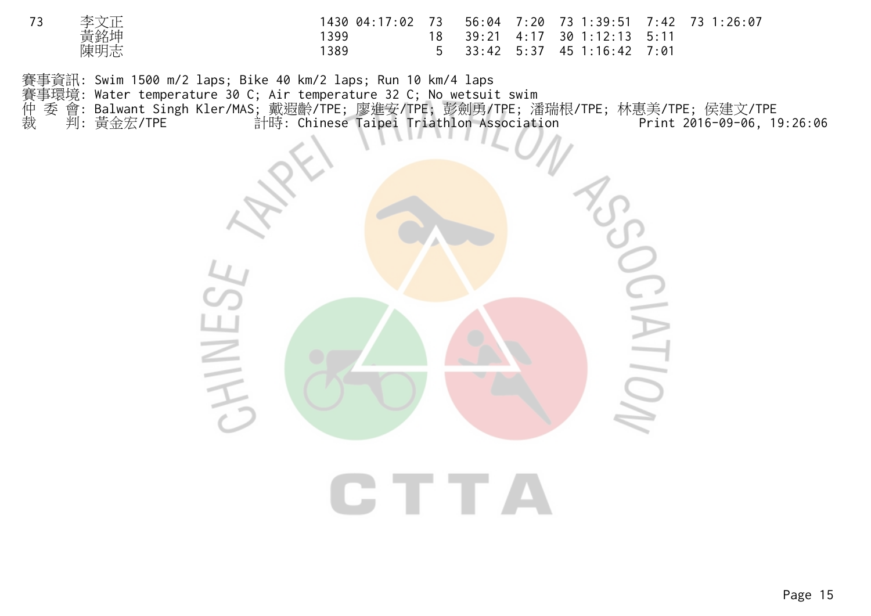| 李文正 | 1430 04:17:02 73 56:04 7:20 73 1:39:51 7:42 73 1:26:07 |  |                                |  |
|-----|--------------------------------------------------------|--|--------------------------------|--|
| 黃銘坤 | ' 399                                                  |  | 18 39:21 4:17 30 1:12:13 5:11  |  |
| 陳明志 | 1389                                                   |  | $5$ 33:42 5:37 45 1:16:42 7:01 |  |

賽事資訊: Swim 1500 m/2 laps; Bike 40 km/2 laps; Run 10 km/4 laps <del>賽事</del>環境: Water temperature 30 C; Air temperature 32 C; No wetsuit swim<br>仲 委 會: Balwant Singh Kler/MAS; 戴遐齡/TPE; 廖進安/TPE; 彭劍勇/TPE; 潘<br>裁 判: 黃金宏/TPE 計時: Chinese Taipei Triathlon Associati 仲 委 會: Balwant Singh Kler/MAS; 戴遐齡/TPE; 廖進安/TPE; 彭劍勇/TPE; 潘瑞根/TPE; 林惠美/TPE; 侯建文/TPE 裁 判: 黃金宏/TPE 計時: Chinese Taipei Triathlon Association Print 2016-09-06, 19:26:06



**CTTA**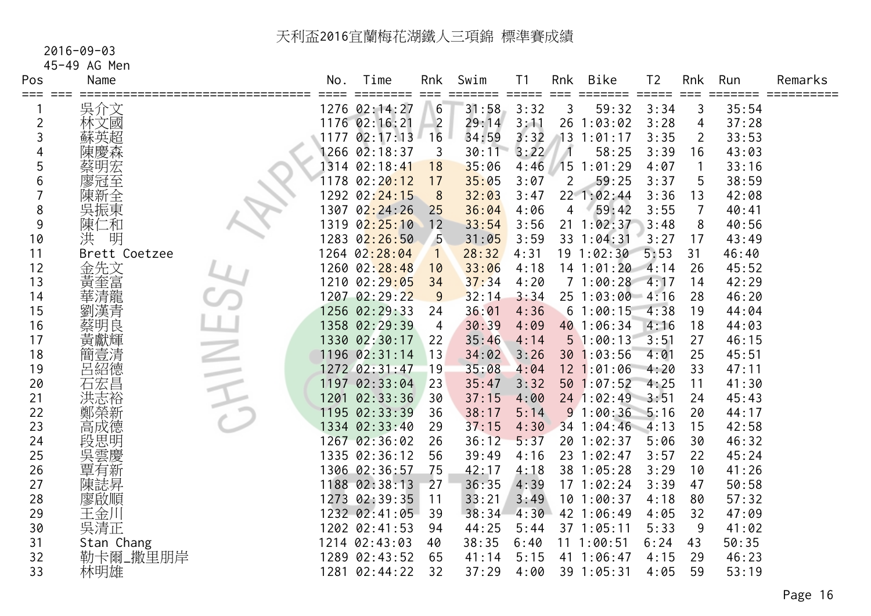#### 2016-09-03

45-49 AG Men

| Pos<br>≡≕≕ | Name          | No.  | Time<br>========            | Rnk<br>$==$    | Swim<br>====== | T <sub>1</sub><br>$=$ $=$ $=$ $=$ $=$ | Rnk<br>$==$    | Bike<br>=====   | T <sub>2</sub><br>$=$ $=$ $=$ $=$ $=$ | Rnk<br>$=$ $=$ $=$ | Run<br>===== | Remarks |
|------------|---------------|------|-----------------------------|----------------|----------------|---------------------------------------|----------------|-----------------|---------------------------------------|--------------------|--------------|---------|
|            | 吳介文           |      | 1276 02:14:27               | 6              | 31:58          | 3:32                                  | 3              | 59:32           | 3:34                                  | 3                  | 35:54        |         |
| 2          | 林文國           |      | 1176 02:16:21               | $\overline{2}$ | 29:14          | 3:11                                  | 26             | 1:03:02         | 3:28                                  | 4                  | 37:28        |         |
| 3          | 蘇英超           | 1177 | 02:17:13                    | 16             | 34:59          | 3:32                                  |                | 131:01:17       | 3:35                                  | $\overline{2}$     | 33:53        |         |
| 4          | 陳慶森           |      | 1266 02:18:37               | 3              | 30:11          | 3:22                                  |                | 58:25           | 3:39                                  | 16                 | 43:03        |         |
| 5          | 蔡明宏           |      | 1314 02:18:41               | 18             | 35:06          | 4:46                                  |                | 151:01:29       | 4:07                                  |                    | 33:16        |         |
| 6          | 廖冠至           | 1178 | 02:20:12                    | 17             | 35:05          | 3:07                                  | $\overline{2}$ | 59:25           | 3:37                                  | 5                  | 38:59        |         |
|            | 陳新全           |      | 1292 02: <mark>24:15</mark> | 8              | 32:03          | 3:47                                  |                | 22 1:02:44      | 3:36                                  | 13                 | 42:08        |         |
| 8          | 吳振東           |      | 1307 02:24:26               | 25             | 36:04          | 4:06                                  | 4              | 59:42           | 3:55                                  | $\overline{7}$     | 40:41        |         |
| 9          | 陳仁和           | 1319 | 02:25:10                    | 12             | 33:54          | 3:56                                  | 21             | 1:02:37         | 3:48                                  | 8                  | 40:56        |         |
| 10         | 明<br>洪        |      | 1283 02:26:50               | -5             | 31:05          | 3:59                                  |                | 33 1:04:31      | 3:27                                  | 17                 | 43:49        |         |
| 11         | Brett Coetzee |      | 1264 02:28:04               |                | 28:32          | 4:31                                  |                | 19 1:02:30      | 5:53                                  | 31                 | 46:40        |         |
| 12         | 金先文           |      | 1260 02:28:48               | 10             | 33:06          | 4:18                                  |                | $14$ 1:01:20    | 4:14                                  | 26                 | 45:52        |         |
| 13         | 黃奎富           |      | 1210 02:29:05               | 34             | 37:34          | 4:20                                  |                | 71:00:28        | 4:17                                  | 14                 | 42:29        |         |
| 14         | 華清龍           |      | 1207 02:29:22               | 9              | 32:14          | 3:34                                  |                | 25 1:03:00 4:16 |                                       | 28                 | 46:20        |         |
| 15         | 劉漢青           |      | 1256 02:29:33               | 24             | 36:01          | 4:36                                  |                | 61:00:15        | 4:38                                  | 19                 | 44:04        |         |
| 16         | 蔡明良           |      | 1358 02:29:39               | $\overline{4}$ | 30:39          | 4:09                                  |                | 40 1:06:34      | 4:16                                  | 18                 | 44:03        |         |
| 17         | 黃獻輝           |      | 1330 02:30:17               | 22             | 35:46          | 4:14                                  |                | 51:00:13        | 3:51                                  | 27                 | 46:15        |         |
| 18         | 簡壹清           |      | 1196 02:31:14               | 13             | 34:02          | 3:26                                  |                | 30 1:03:56      | 4:01                                  | 25                 | 45:51        |         |
| 19         | 呂紹德           |      | 1272 02:31:47               | 19             | 35:08          | 4:04                                  |                | 12 1:01:06      | 4:20                                  | 33                 | 47:11        |         |
| 20         | 石宏昌           |      | 1197 02:33:04               | 23             | 35:47          | 3:32                                  |                | 501:07:52       | 4:25                                  | 11                 | 41:30        |         |
| 21         | 洪志裕           | 1201 | 02:33:36                    | 30             | 37:15          | 4:00                                  |                | 24 1:02:49 3:51 |                                       | 24                 | 45:43        |         |
| 22         | 鄭榮新           |      | 1195 02:33:39               | 36             | 38:17          | 5:14                                  |                | 91:00:36        | 5:16                                  | 20                 | 44:17        |         |
| 23         | 高成德           |      | 1334 02:33:40               | 29             | 37:15          | 4:30                                  |                | 34 1:04:46      | 4:13                                  | 15                 | 42:58        |         |
| 24         | 段思明           |      | 1267 02:36:02               | 26             | 36:12          | 5:37                                  |                | 20 1:02:37      | 5:06                                  | 30                 | 46:32        |         |
| 25         | 吳雲慶           |      | 1335 02:36:12               | 56             | 39:49          | 4:16                                  |                | 23 1:02:47      | 3:57                                  | 22                 | 45:24        |         |
| 26         | 覃有新           |      | 1306 02:36:57               | 75             | 42:17          | 4:18                                  |                | 38 1:05:28      | 3:29                                  | 10                 | 41:26        |         |
| 27         | 陳誌昇           |      | 1188 02:38:13               | 27             | 36:35          | 4:39                                  |                | 171:02:24       | 3:39                                  | 47                 | 50:58        |         |
| 28         | 廖啟順           |      | 1273 02:39:35               | 11             | 33:21          | 3:49                                  |                | 101:00:37       | 4:18                                  | 80                 | 57:32        |         |
| 29         | 王金川           |      | 1232 02:41:05               | 39             | 38:34          | 4:30                                  |                | 42 1:06:49      | 4:05                                  | 32                 | 47:09        |         |
| 30         | 吳清正           |      | 1202 02:41:53               | 94             | 44:25          | 5:44                                  |                | 37 1:05:11      | 5:33                                  | 9                  | 41:02        |         |
| 31         | Stan Chang    |      | 1214 02:43:03               | 40             | 38:35          | 6:40                                  |                | 111:00:51       | 6:24                                  | 43                 | 50:35        |         |
| 32         | 勒卡爾_撒里朋岸      |      | 1289 02:43:52               | 65             | 41:14          | 5:15                                  |                | 41 1:06:47      | 4:15                                  | 29                 | 46:23        |         |
| 33         | 林明雄           |      | 1281 02:44:22               | 32             | 37:29          | 4:00                                  |                | 39 1:05:31      | 4:05                                  | 59                 | 53:19        |         |
|            |               |      |                             |                |                |                                       |                |                 |                                       |                    |              |         |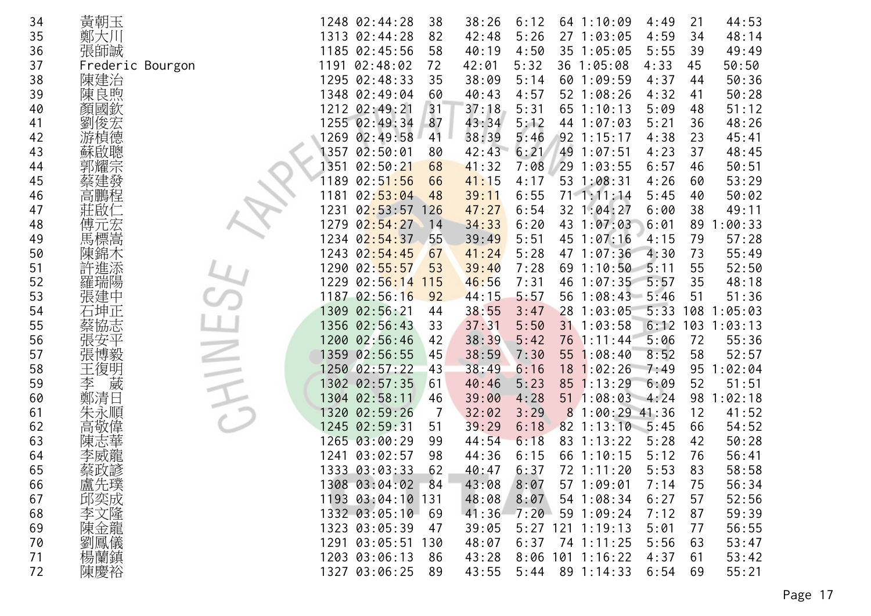| 34 | 黃朝玉              |      | 1248 02:44:28     | 38  | 38:26 | 6:12 |   | 64 1:10:09        | 4:49    | 21  | 44:53   |
|----|------------------|------|-------------------|-----|-------|------|---|-------------------|---------|-----|---------|
| 35 | 鄭大川              |      | 1313 02:44:28     | 82  | 42:48 | 5:26 |   | 27 1:03:05        | 4:59    | 34  | 48:14   |
| 36 | 張師誠              |      | 1185 02:45:56     | 58  | 40:19 | 4:50 |   | 35 1:05:05        | 5:55    | 39  | 49:49   |
| 37 | Frederic Bourgon | 1191 | 02:48:02          | 72  | 42:01 | 5:32 |   | 36 1:05:08        | 4:33    | 45  | 50:50   |
| 38 | 陳建治              |      | 1295 02:48:33     | 35  | 38:09 | 5:14 |   | 60 1:09:59        | 4:37    | 44  | 50:36   |
| 39 | 陳良煦              |      | 1348 02:49:04     | 60  | 40:43 | 4:57 |   | 52 1:08:26        | 4:32    | 41  | 50:28   |
| 40 | 顏國欽              |      | 1212 02:49:21     | 31  | 37:18 | 5:31 |   | 65 1:10:13        | 5:09    | 48  | 51:12   |
| 41 | 劉俊宏              |      | 1255 02:49:34     | 87  | 43:34 | 5:12 |   | 44 1:07:03        | 5:21    | 36  | 48:26   |
| 42 | 游楨德              | 1269 | 02:49:58          | 41  | 38:39 | 5:46 |   | $92$ 1:15:17      | 4:38    | 23  | 45:41   |
| 43 |                  | 1357 | 02:50:01          | 80  | 42:43 | 6:21 |   | 49 1:07:51        | 4:23    | 37  | 48:45   |
| 44 | 郭耀宗              | 1351 | 02:50:21          | 68  | 41:32 | 7:08 |   | 29 1:03:55        | 6:57    | 46  | 50:51   |
| 45 | 蔡建發              | 1189 | 02:51:56          | 66  | 41:15 | 4:17 |   | 53 1:08:31        | 4:26    | 60  | 53:29   |
| 46 | 高鵬程              | 1181 | 02:53:04          | 48  | 39:11 | 6:55 |   | 71.1:11:14        | 5:45    | 40  | 50:02   |
| 47 | 莊啟               | 1231 | 02:53:57          | 126 | 47:27 | 6:54 |   | 32 1:04:27        | 6:00    | 38  | 49:11   |
| 48 | 傅元宏              | 1279 | 02:54:27          | 14  | 34:33 | 6:20 |   | 43 1:07:03        | 6:01    | 89  | 1:00:33 |
| 49 | 馬標嵩              |      | 1234 02:54:37     | 55  | 39:49 | 5:51 |   | 45 1:07:16        | 4:15    | 79  | 57:28   |
| 50 | 陳錦木              |      | 1243 02:54:45     | 67  | 41:24 | 5:28 |   | 47 1:07:36        | 4:30    | 73  | 55:49   |
| 51 | 許進添              |      | 1290 02:55:57     | 53  | 39:40 | 7:28 |   | $69$ 1:10:50      | 5:11    | 55  | 52:50   |
| 52 | 羅瑞陽              | 1229 | 02:56:14          | 115 | 46:56 | 7:31 |   | 46 1:07:35        | 5:57    | 35  | 48:18   |
| 53 | 張建中              |      | 1187 02:56:16     | 92  | 44:15 | 5:57 |   | 56 1:08:43        | 5:46    | 51  | 51:36   |
| 54 | 石坤正              |      | 1309 02:56:21     | 44  | 38:55 | 3:47 |   | 28 1:03:05        | 5:33    | 108 | 1:05:03 |
| 55 | 協志               |      | 1356 02:56:43     | 33  | 37:31 | 5:50 |   | 31 1:03:58        | 6:12    | 103 | 1:03:13 |
| 56 |                  |      | 1200 02:56:46     | 42  | 38:39 | 5:42 |   | 76 1:11:44        | 5:06    | 72  | 55:36   |
| 57 | 張博毅              |      | 1359 02:56:55     | 45  | 38:59 | 7:30 |   | 55 1:08:40        | 8:52    | 58  | 52:57   |
| 58 | 王復明              |      | 1250 02:57:22     | 43  | 38:49 | 6:16 |   | 18 1:02:26        | 7:49    | 95  | 1:02:04 |
| 59 | 葳<br>李           |      | 1302 02:57:35     | 61  | 40:46 | 5:23 |   | 85 1:13:29        | 6:09    | 52  | 51:51   |
| 60 | 鄭清日              |      | 1304 02:58:11     | 46  | 39:00 | 4:28 |   | 511:08:03         | $-4:24$ | 98  | 1:02:18 |
| 61 | 朱永順              | 1320 | 02:59:26          | 7   | 32:02 | 3:29 | 8 | $1:00:29$ 41:36   |         | 12  | 41:52   |
| 62 | 高敬偉              |      | 1245 02:59:31     | 51  | 39:29 | 6:18 |   | $82$ 1:13:10 5:45 |         | 66  | 54:52   |
| 63 | 陳志               |      | 1265 03:00:29     | 99  | 44:54 | 6:18 |   | 83 1:13:22        | 5:28    | 42  | 50:28   |
| 64 | 李威龍              | 1241 | 03:02:57          | 98  | 44:36 | 6:15 |   | 66 1:10:15        | 5:12    | 76  | 56:41   |
| 65 | 蔡政諺              |      | 1333 03:03:33     | 62  | 40:47 | 6:37 |   | 72 1:11:20        | 5:53    | 83  | 58:58   |
| 66 | 盧先璞              |      | 1308 03:04:02     | 84  | 43:08 | 8:07 |   | 57 1:09:01        | 7:14    | 75  | 56:34   |
| 67 | 邱奕成              |      | 1193 03:04:10 131 |     | 48:08 | 8:07 |   | 54 1:08:34        | 6:27    | 57  | 52:56   |
| 68 | 李文隆              |      | 1332 03:05:10     | 69  | 41:36 | 7:20 |   | 59 1:09:24        | 7:12    | 87  | 59:39   |
| 69 | 陳金龍              |      | 1323 03:05:39     | 47  | 39:05 |      |   | 5:27 121 1:19:13  | 5:01    | 77  | 56:55   |
| 70 | 劉鳳儀              |      | 1291 03:05:51 130 |     | 48:07 | 6:37 |   | 74 1:11:25        | 5:56    | 63  | 53:47   |
| 71 | 楊蘭鎮              |      | 1203 03:06:13     | -86 | 43:28 |      |   | 8:06 101 1:16:22  | 4:37    | 61  | 53:42   |
| 72 | 陳慶裕              |      | 1327 03:06:25     | 89  | 43:55 | 5:44 |   | 89 1:14:33        | 6:54    | 69  | 55:21   |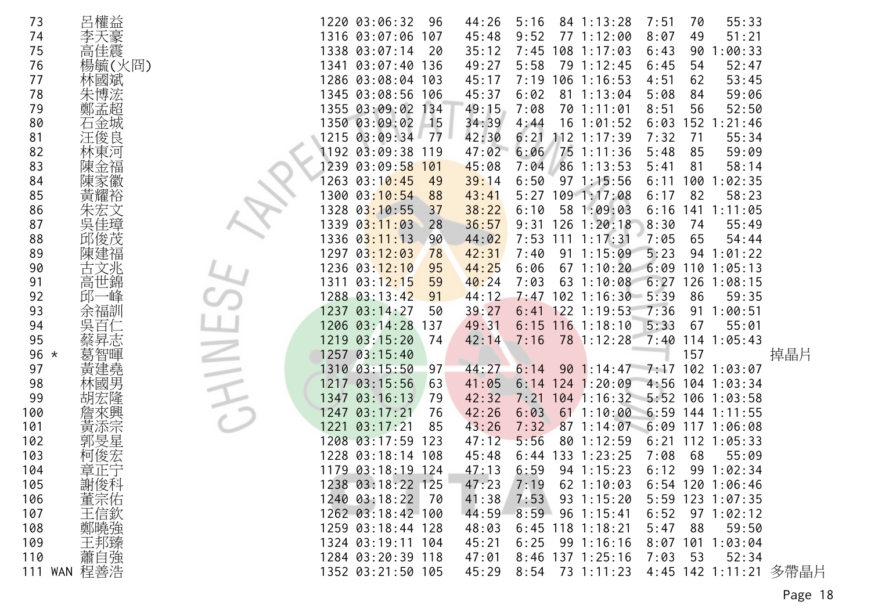| 73     | 呂權益         |      | 1220 03:06:32<br>96                | 44:26 | 5:16               | 84 1:13:28                   | 7:51       | 70   | 55:33              |                       |
|--------|-------------|------|------------------------------------|-------|--------------------|------------------------------|------------|------|--------------------|-----------------------|
| 74     | 李天豪         |      | 1316 03:07:06<br>107               | 45:48 | 9:52               | 77 1:12:00                   | 8:07       | 49   | 51:21              |                       |
| 75     | 高佳震         |      | 1338 03:07:14<br>20                | 35:12 | 7:45               | 108 1:17:03                  | 6:43       | 90   | :00:33             |                       |
| 76     | 楊毓(火冏)      |      | 1341 03:07:40<br>136               | 49:27 | 5:58               | 79 1:12:45                   | 6:45       | 54   | 52:47              |                       |
| 77     | 林國斌         |      | 1286 03:08:04<br>103               | 45:17 | 7:19               | 106 1:16:53                  | 4:51       | 62   | 53:45              |                       |
| 78     | 朱博浤         |      | 1345 03:08:56<br>106               | 45:37 | 6:02<br>81         | 1:13:04                      | 5:08       | 84   | 59:06              |                       |
| 79     | 鄭孟超         |      | 1355 03:09:02<br>134               | 49:15 | 7:08<br>70         | 1:11:01                      | 8:51       | 56   | 52:50              |                       |
| 80     | 石金城         |      | 1350 03:09:02<br>$-15$             | 34:39 | 4:44<br>16         | 1:01:52                      | 6:03       | 152  | 1:21:46            |                       |
| 81     | 汪俊良         |      | 1215 03:09:34<br>77                | 42:30 | 6:21               | $112$ $1:17:39$              | 7:32       | 71   | 55:34              |                       |
| 82     | 林東河         |      | 1192 03:09:38<br>119               | 47:02 | 6:06               | 75 1:11:36                   | 5:48       | 85   | 59:09              |                       |
| 83     | 陳金福         | 1239 | 03:09:58<br>101                    | 45:08 | 7:04               | 86 1:13:53                   | 5:41       | 81   | 58:14              |                       |
| 84     | 陳家徽         | 1263 | 03:10:45<br>49                     | 39:14 | 6:50               | $97 \; 1:15:56$              | 6:11       | 100  | :02:35             |                       |
| 85     | 黃耀裕         | 1300 | 03:10:54<br>88                     | 43:41 | 5:27               | 1091:17:08                   | 6:17       | 82   | 58:23              |                       |
| 86     |             | 1328 | 03:10:55<br>37                     | 38:22 | 6:10               | 58 1:09:03                   | 6:16       | 141  | 1:11:05            |                       |
| 87     |             | 1339 | 03:11:03<br>28                     | 36:57 | 9:31               | $126$ $1:20:18$              | 8:30       | 74   | 55:49              |                       |
| 88     | 邱俊茂         |      | 1336 0 <mark>3:11:</mark> 13<br>90 | 44:02 | 7:53<br>111        | 1:17:31                      | 7:05       | 65   | 54:44              |                       |
| 89     | 陳建福         |      | 1297 03:12:03<br>78                | 42:31 | 7:40<br>91         | 1:15:09                      | 5:23       | 94   | 1:01:22            |                       |
| 90     | 古文兆         |      | 1236 03: <mark>12:10</mark><br>95  | 44:25 | 6:06<br>67         | 1:10:20                      | 6:09       | 110  | 1:05:13            |                       |
| 91     | 高世錦         |      | 1311 03:1 <mark>2:15</mark><br>59  | 40:24 | 7:03<br>63         | 1:10:08                      | 6:27       | 126  | 1:08:15            |                       |
| 92     | →峰<br>邱-    |      | 1288 03:13:42<br>91                | 44:12 | 7:47               | $102$ 1:16:30 5:39           |            | 86   | 59:35              |                       |
| 93     | 余福訓         | 1237 | 03:14:27<br>50                     | 39:27 | 6:41               | $122$ 1:19:53                | 7:36       | 91   | 1:00:51            |                       |
| 94     | 吳百仁         |      | 1206 03:14:28<br>137               | 49:31 | 6:15               | $116$ 1:18:10                | 5:33       | 67   | 55:01              |                       |
| 95     | 蔡昇志         | 1219 | 03:15:20<br>74                     | 42:14 | 7:16               | 78 1:12:28                   | 7:40       |      | $114$ 1:05:43      |                       |
| 96 $*$ | 葛智暉         | 1257 | 03:15:40                           |       |                    |                              |            | 157  |                    | 掉晶片                   |
| 97     | 黃建堯         |      | 1310 03:15:50<br>97                | 44:27 | 6:14<br>90         | 1:14:47                      |            |      | 7:17 102 1:03:07   |                       |
| 98     | 林國男         | 1217 | 03:15:56<br>63                     | 41:05 | 6:14               | $124$ 1:20:09                |            |      | 4:56 104 1:03:34   |                       |
| 99     |             | 1347 | 03:16:13<br>79                     | 42:32 | 7:21               | 104 1:16:32 5:52 106 1:03:58 |            |      |                    |                       |
| 100    |             | 1247 | 03:17:21<br>76                     | 42:26 | 6:03<br>61         | 1:10:00                      | 6:59       |      | 144 1:11:55        |                       |
| 101    | 黃添宗         | 1221 | 03:17:21<br>85                     | 43:26 | 7:32<br>87         | 1:14:07                      | 6:09       |      | 117 1:06:08        |                       |
| 102    | 郭旻星         |      | 1208 03:17:59<br>123               | 47:12 | 5:56<br>80         | 1:12:59                      | 6:21       |      | 112 1:05:33        |                       |
| 103    | 柯俊宏         |      | 1228 03:18:14 108                  | 45:48 | 6:44<br>133        | 1:23:25                      | 7:08       | 68   | 55:09              |                       |
| 104    | 章正宁         |      | 1179 03:18:19 124                  | 47:13 | 6:59               | $94 \; 1:15:23$              | 6:12       | 99   | 1:02:34            |                       |
| 105    | 謝俊科         |      | 1238 03:18:22 125                  | 47:23 | 7:19               | $62$ 1:10:03                 |            |      | $6:54$ 120 1:06:46 |                       |
| 106    | 董宗佑<br>王信欽  |      | 1240 03:18:22<br>- 70              | 41:38 | 7:53               | $93 \t1:15:20$               |            |      | 5:59 123 1:07:35   |                       |
| 107    |             |      | 1262 03:18:42 100                  | 44:59 | 8:59               | $96 \t1:15:41$               | 6:52       |      | 97 1:02:12         |                       |
| 108    | 鄭曉強         |      | 1259 03:18:44 128                  | 48:03 | $6:45$ 118 1:18:21 |                              | 5:47       | 88   | 59:50              |                       |
| 109    | 王邦臻<br>蕭自強  |      | 1324 03:19:11 104                  | 45:21 | 6:25               | 991:16:16                    | $8:07$ 101 |      | 1:03:04            |                       |
| 110    |             |      | 1284 03:20:39 118                  | 47:01 | 8:46 137 1:25:16   |                              | 7:03       | - 53 | 52:34              |                       |
|        | 111 WAN 程善浩 |      | 1352 03:21:50 105                  | 45:29 | 8:54               | 73 1:11:23                   |            |      |                    | 4:45 142 1:11:21 多帶晶片 |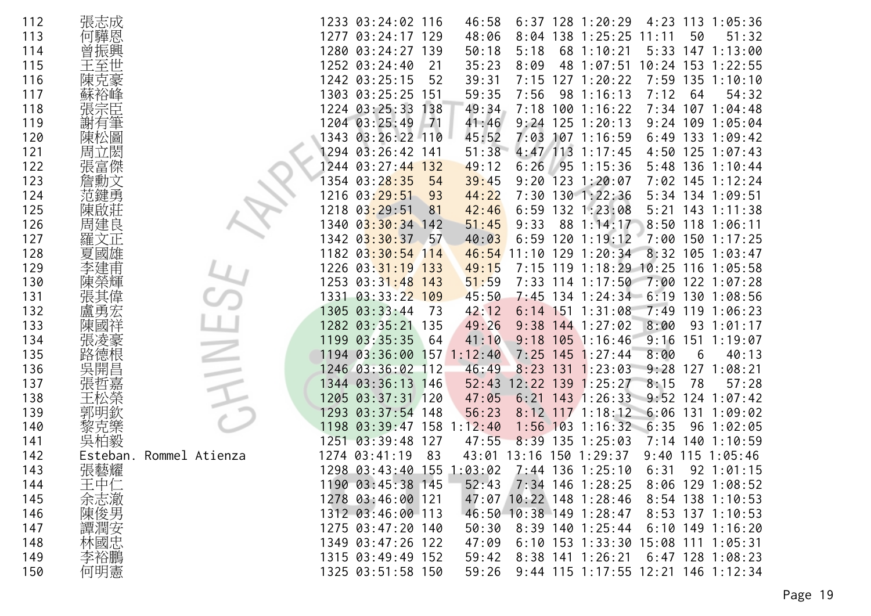| 112 | 張志成      |                |      | 1233 03:24:02 116 |       | 46:58   |            |     | $6:37$ 128 1:20:29                 | 4:23  | 113 | 1:05:36                            |
|-----|----------|----------------|------|-------------------|-------|---------|------------|-----|------------------------------------|-------|-----|------------------------------------|
| 113 | 何驊恩      |                | 1277 | $03:24:17$ 129    |       | 48:06   | 8:04       | 138 | 1:25:25                            | 11:11 | 50  | 51:32                              |
| 114 |          |                |      | 1280 03:24:27     | 139   | 50:18   | 5:18       | 68  | 1:10:21                            | 5:33  | 147 | 1:13:00                            |
| 115 |          |                |      | 1252 03:24:40     | 21    | 35:23   | 8:09       | 48  | 1:07:51                            | 10:24 | 153 | 1:22:55                            |
| 116 |          |                |      | 1242 03:25:15     | 52    | 39:31   | 7:15       | 127 | 1:20:22                            | 7:59  |     | $135$ $1:10:10$                    |
| 117 |          |                |      | 1303 03:25:25     | 151   | 59:35   | 7:56       | 98  | 1:16:13                            | 7:12  | 64  | 54:32                              |
| 118 |          |                |      | 1224 03:25:33     | 138   | 49:34   | 7:18       | 100 | 1:16:22                            | 7:34  | 107 | 1:04:48                            |
| 119 |          |                |      | 1204 03:25:49     | $-71$ | 41:46   | 9:24       | 125 | 1:20:13                            | 9:24  | 109 | 1:05:04                            |
| 120 | 陳松圖      |                |      | 1343 03:26:22 110 |       | 45:52   | 7:03       |     | $107$ 1:16:59                      | 6:49  | 133 | 1:09:42                            |
| 121 | 周立       |                |      | 1294 03:26:42     | 141   | 51:38   |            |     | 4:47 113 1:17:45                   |       |     | $4:50$ 125 1:07:43                 |
| 122 | 張富傑      |                | 244  | 03:27:44          | 132   | 49:12   | 6:26       |     | 951:15:36                          | 5:48  |     | $136$ $1:10:44$                    |
| 123 |          |                | 354  | 03:28:35          | 54    | 39:45   | 9:20       | 123 | 1:20:07                            | 7:02  |     | $145$ 1:12:24                      |
| 124 |          |                | 1216 | 03:29:51          | 93    | 44:22   |            |     | 7:30 130 1:22:36                   |       |     | 5:34 134 1:09:51                   |
| 125 | 陳啟莊      |                | 1218 | 03:29:51          | 81    | 42:46   | 6:59       |     | 132 1:23:08                        | 5:21  | 143 | 1:11:38                            |
| 126 | 周建良      |                | 1340 | 03:30:34          | 142   | 51:45   | 9:33       | 88  | 1:14:17                            | 8:50  | 118 | 1:06:11                            |
| 127 | 羅        |                |      | 1342 03:30:37     | -57   | 40:03   | 6:59       | 120 | 1:19:12                            | 7:00  |     | 1501:17:25                         |
| 128 | 夏<br>國雄  |                |      | 1182 03:30:54 114 |       | 46:54   | 11:10      | 129 | 1:20:34                            | 8:32  |     | $105$ 1:03:47                      |
| 129 |          |                | 1226 | 03:31:19          | 133   | 49:15   | 7:15       | 119 | 1:18:29                            | 10:25 | 116 | 1:05:58                            |
| 130 |          |                | 1253 | $03:31:48$ 143    |       | 51:59   | 7:33       | 114 | 1:17:50                            |       |     | 7:00 122 1:07:28                   |
| 131 |          |                | 1331 | $03:33:22$ 109    |       | 45:50   | 7:45       |     | $134$ 1:24:34 6:19                 |       | 130 | 1:08:56                            |
| 132 | 盧勇       |                | 1305 | 03:33:44          | 73    | 42:12   | 6:14       | 151 | 1:31:08                            | 7:49  | 119 | 1:06:23                            |
| 133 | 陳        |                |      | 1282 03:35:21     | 135   | 49:26   | 9:38       |     | $144$ 1:27:02                      | 8:00  | 93  | 1:01:17                            |
| 134 | 張凌豪      |                | 1199 | 03:35:35          | -64   | 41:10   |            |     | $9:18$ 105 1:16:46                 | 9:16  | 151 | 1:19:07                            |
| 135 | 路德根      |                | 1194 | 03:36:00          | 157   | 1:12:40 | 7:25       | 145 | 1:27:44                            | 8:00  | 6   | 40:13                              |
| 136 | 昌<br>吳   |                |      | 1246 03:36:02     | 112   | 46:49   | 8:23       | 131 | 1:23:03                            | 9:28  | 127 | 1:08:21                            |
| 137 | 張哲嘉      |                |      | 1344 03:36:13 146 |       | 52:43   | 12:22      | 139 | 1:25:27                            | 8:15  | 78  | 57:28                              |
| 138 |          |                | 1205 | 03:37:31          | 120   | 47:05   | 6:21       | 143 | 1:26:33                            | 9:52  | 124 | 1:07:42                            |
| 139 | 郭        |                | 1293 | 03:37:54          | 148   | 56:23   | $8:12$ 117 |     | 1:18:12                            | 6:06  | 131 | 1:09:02                            |
| 140 | 黎克樂      |                | 1198 | 03:39:47          | 158   | 1:12:40 | 1:56       | 103 | 1:16:32                            | 6:35  | 96  | 1:02:05                            |
| 141 | 吳柏毅      |                | 1251 | 03:39:48          | 127   | 47:55   | 8:39       | 135 | 1:25:03                            | 7:14  | 140 | 1:10:59                            |
| 142 | Esteban. | Rommel Atienza |      | 1274 03:41:19     | 83    | 43:01   | 13:16      |     | 1501:29:37                         | 9:40  |     | $115$ $1:05:46$                    |
| 143 | 張藝耀      |                |      | 1298 03:43:40     | 155   | 1:03:02 |            |     | 7:44 136 1:25:10                   | 6:31  |     | $92 \t1:01:15$                     |
| 144 | 王中仁      |                |      | 1190 03:45:38 145 |       | 52:43   |            |     | 7:34 146 1:28:25                   |       |     | 8:06 129 1:08:52                   |
| 145 | 余志澈      |                |      | 1278 03:46:00 121 |       |         |            |     | 47:07 10:22 148 1:28:46            |       |     | 8:54 138 1:10:53                   |
| 146 |          |                |      | 1312 03:46:00 113 |       |         |            |     | 46:50 10:38 149 1:28:47            |       |     | 8:53 137 1:10:53                   |
| 147 | 陳復男安     |                |      | 1275 03:47:20 140 |       | 50:30   |            |     | 8:39 140 1:25:44                   |       |     | $6:10$ 149 1:16:20                 |
| 148 | 林國忠      |                |      | 1349 03:47:26 122 |       | 47:09   |            |     | 6:10 153 1:33:30 15:08 111 1:05:31 |       |     |                                    |
| 149 | 李裕鵬      |                |      | 1315 03:49:49 152 |       | 59:42   |            |     | 8:38 141 1:26:21                   |       |     | $6:47$ 128 1:08:23                 |
| 150 | 何明憲      |                |      | 1325 03:51:58 150 |       | 59:26   |            |     |                                    |       |     | 9:44 115 1:17:55 12:21 146 1:12:34 |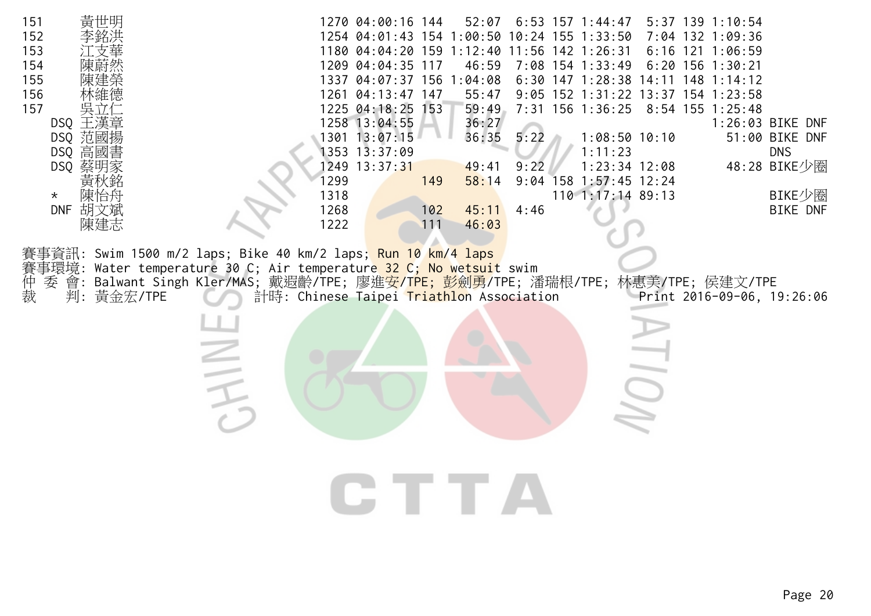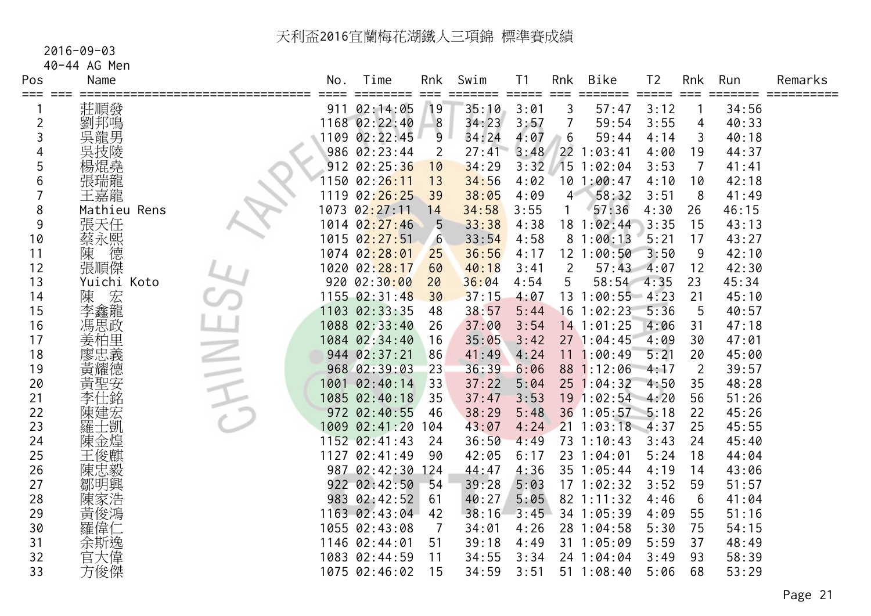#### 2016-09-03

40-44 AG Men

| Pos<br>≡≕≕     | Name         | No.  | Time                         | Rnk | Swim  | T <sub>1</sub> | Rnk            | Bike            | T <sub>2</sub> | Rnk            | Run   | Remarks |
|----------------|--------------|------|------------------------------|-----|-------|----------------|----------------|-----------------|----------------|----------------|-------|---------|
|                | 莊順發          |      | 911 02:14:05                 | 19  | 35:10 | 3:01           | 3              | 57:47           | 3:12           |                | 34:56 |         |
| $\overline{c}$ | 劉邦鳴          |      | 1168 02:22:40                | 8   | 34:23 | 3:57           |                | 59:54           | 3:55           | 4              | 40:33 |         |
| 3              | 吳龍男          |      | 1109 02:22:45                | 9   | 34:24 | 4:07           | 6              | 59:44           | 4:14           | 3              | 40:18 |         |
| 4              | 吳技陵          |      | $986 \ \ 02:23:44$           | 2   | 27:41 | 3:48           | 22             | 1:03:41         | 4:00           | 19             | 44:37 |         |
| 5              | 楊焜堯          |      | 912 02:25:36                 | 10  | 34:29 | 3:32           | 15             | 1:02:04         | 3:53           | 7              | 41:41 |         |
| 6              | 張瑞龍          | 1150 | 02:26:11                     | 13  | 34:56 | 4:02           |                | 101:00:47       | 4:10           | 10             | 42:18 |         |
|                | 王嘉龍          | 1119 | 02:26:25                     | 39  | 38:05 | 4:09           | 4 <sup>7</sup> | 58:32           | 3:51           | 8              | 41:49 |         |
| 8              | Mathieu Rens | 1073 | 02:27:11                     | 14  | 34:58 | 3:55           |                | 57:36           | 4:30           | 26             | 46:15 |         |
| 9              | 張天任          | 1014 | 02:27:46                     | 5   | 33:38 | 4:38           |                | 18 1:02:44      | 3:35           | 15             | 43:13 |         |
| 10             | 蔡永熙德         |      | 1015 0 <mark>2:27:5</mark> 1 | -6  | 33:54 | 4:58           |                | 81:00:13        | 5:21           | 17             | 43:27 |         |
| 11             |              |      | 1074 02:28:01                | 25  | 36:56 | 4:17           |                | 12 1:00:50      | 3:50           | 9              | 42:10 |         |
| 12             | 張順傑          |      | 1020 02: <mark>28:17</mark>  | 60  | 40:18 | 3:41           | 2              | 57:43           | 4:07           | 12             | 42:30 |         |
| 13             | Yuichi Koto  |      | 920 02:30:00                 | 20  | 36:04 | 4:54           | 5              | 58:54           | 4:35           | 23             | 45:34 |         |
| 14             | 陳 宏龍         |      | 1155 02:31:48                | 30  | 37:15 | 4:07           |                | 13 1:00:55 4:23 |                | 21             | 45:10 |         |
| 15             |              |      | 1103 02:33:35                | 48  | 38:57 | 5:44           |                | $16$ 1:02:23    | 5:36           | 5              | 40:57 |         |
| 16             | 馮思政          |      | 1088 02:33:40                | 26  | 37:00 | 3:54           |                | 14 1:01:25      | 4:06           | 31             | 47:18 |         |
| 17             | 。姜廖黃:        |      | 1084 02:34:40                | 16  | 35:05 | 3:42           |                | 27 1:04:45      | 4:09           | 30             | 47:01 |         |
| 18             |              |      | 944 02:37:21                 | 86  | 41:49 | 4:24           |                | 11 1:00:49      | 5:21           | 20             | 45:00 |         |
| 19             |              |      | 968 02:39:03                 | 23  | 36:39 | 6:06           |                | 88 1:12:06      | 4:17           | $\overline{2}$ | 39:57 |         |
| 20             | 黃聖安          |      | 1001 02:40:14                | 33  | 37:22 | 5:04           |                | 251:04:32       | 4:50           | 35             | 48:28 |         |
| 21             | 李仕銘          |      | 1085 02:40:18                | 35  | 37:47 | 3:53           |                | 19 1:02:54 4:20 |                | 56             | 51:26 |         |
| 22             | 陳建宏          |      | 972 02:40:55                 | 46  | 38:29 | 5:48           |                | 36 1:05:57      | 5:18           | 22             | 45:26 |         |
| 23             | 羅士凱          | 1009 | 02:41:20                     | 104 | 43:07 | 4:24           |                | $21 \t1:03:18$  | 4:37           | 25             | 45:55 |         |
| 24             | 陳金煌          |      | 1152 02:41:43                | 24  | 36:50 | 4:49           |                | 73 1:10:43      | 3:43           | 24             | 45:40 |         |
| 25             | 王俊麒          | 1127 | 02:41:49                     | 90  | 42:05 | 6:17           |                | 23 1:04:01      | 5:24           | 18             | 44:04 |         |
| 26             | 陳忠毅          |      | 987 02:42:30                 | 124 | 44:47 | 4:36           |                | 35 1:05:44      | 4:19           | 14             | 43:06 |         |
| 27             | 鄒明興          |      | 922 02:42:50                 | 54  | 39:28 | 5:03           |                | 171:02:32       | 3:52           | 59             | 51:57 |         |
| 28             | 陳家浩          |      | 983 02:42:52                 | 61  | 40:27 | 5:05           |                | 82 1:11:32      | 4:46           | 6              | 41:04 |         |
| 29             | 黃俊鴻          |      | 1163 02:43:04                | 42  | 38:16 | 3:45           |                | 34 1:05:39      | 4:09           | 55             | 51:16 |         |
| 30             | 羅偉仁          |      | 1055 02:43:08                | 7   | 34:01 | 4:26           |                | 28 1:04:58      | 5:30           | 75             | 54:15 |         |
| 31             | 余斯逸<br>官大偉   |      | 1146 02:44:01                | 51  | 39:18 | 4:49           |                | 31 1:05:09      | 5:59           | 37             | 48:49 |         |
| 32             |              |      | 1083 02:44:59                | 11  | 34:55 | 3:34           |                | 24 1:04:04      | 3:49           | 93             | 58:39 |         |
| 33             | 方俊傑          |      | 1075 02:46:02                | 15  | 34:59 | 3:51           |                | $51 \t1:08:40$  | 5:06           | 68             | 53:29 |         |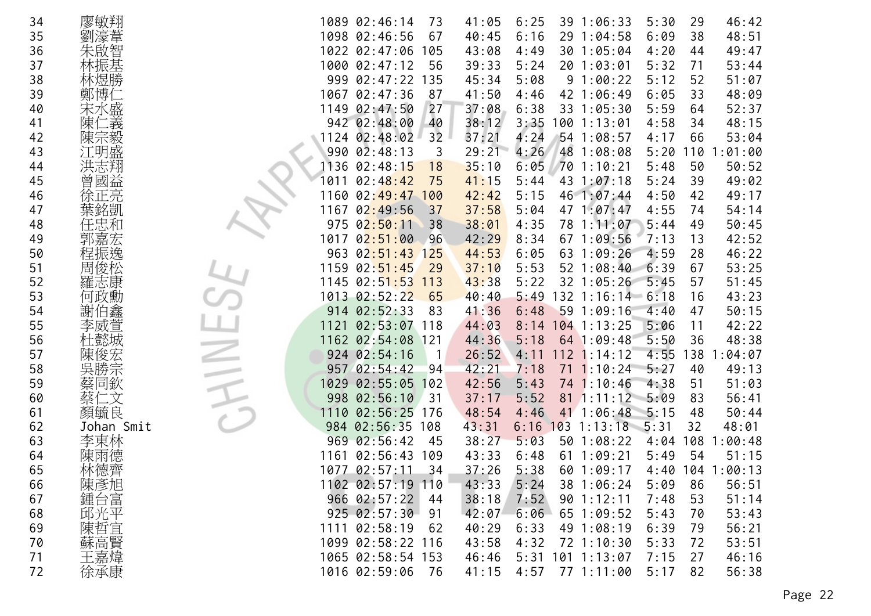| 34 | 廖敏翔        | 1089 02:46:14<br>39 1:06:33<br>5:30<br>46:42<br>41:05<br>6:25<br>29<br>73               |
|----|------------|-----------------------------------------------------------------------------------------|
| 35 | 劉濠葦        | 1098 02:46:56<br>6:09<br>38<br>48:51<br>67<br>40:45<br>6:16<br>29 1:04:58               |
| 36 | 朱啟智        | 1022 02:47:06<br>43:08<br>30 1:05:04<br>4:20<br>49:47<br>105<br>4:49<br>44              |
| 37 |            | 1000 02:47:12<br>39:33<br>5:24<br>20 1:03:01<br>5:32<br>71<br>53:44<br>56               |
| 38 | 林煜勝        | 999 02:47:22<br>135<br>45:34<br>5:08<br>91:00:22<br>5:12<br>52<br>51:07                 |
| 39 | 鄭博仁        | 1067<br>02:47:36<br>41:50<br>42 1:06:49<br>6:05<br>33<br>48:09<br>87<br>4:46            |
| 40 | 宋水盛        | 1149 02:47:50<br>27<br>37:08<br>6:38<br>5:59<br>52:37<br>33 1:05:30<br>64               |
| 41 | 二義<br>陳亻   | 942 02:48:00<br>38:12<br>3:35<br>4:58<br>48:15<br>40<br>100 1:13:01<br>34               |
| 42 | 陳宗毅        | 32<br>4:24<br>1124 02:48:02<br>37:21<br>54 1:08:57<br>4:17<br>53:04<br>66               |
| 43 | 江明盛        | 29:21<br>990 02:48:13<br>4:26<br>48 1:08:08<br>5:20<br>:01:00<br>3<br>110               |
| 44 | 洪志翔        | 35:10<br>70 1:10:21<br>5:48<br>50:52<br>1136<br>02:48:15<br>6:05<br>50<br>18            |
| 45 | 曾國益        | 49:02<br>02:48:42<br>41:15<br>5:44<br>43 1:07:18<br>5:24<br>39<br>1011<br>75            |
| 46 | 徐正亮        | 1160 02:49:47 100<br>46 1:07:44<br>4:50<br>49:17<br>42:42<br>5:15<br>42                 |
| 47 | 葉銘凱        | 02:49:56<br>37:58<br>4:55<br>54:14<br>1167<br>37<br>5:04<br>47 1:07:47<br>74            |
| 48 |            | 02:50:11<br>38:01<br>4:35<br>78 1:11:07<br>5:44<br>49<br>50:45<br>975<br>38             |
| 49 |            | 02:51:00<br>42:29<br>7:13<br>42:52<br>1017<br>8:34<br>67 1:09:56<br>13<br>96            |
| 50 | 程振逸        | 46:22<br>963 02:51:43 125<br>44:53<br>4:59<br>6:05<br>63 1:09:26<br>28                  |
| 51 | 周俊松        | 53:25<br>1159<br>02:51:45<br>5:53<br>52 1:08:40<br>6:39<br>67<br>29<br>37:10            |
| 52 | 羅志康        | $1145$ $02:51:53$<br>43:38<br>32 1:05:26<br>5:45<br>51:45<br>5:22<br>57<br>113          |
| 53 | 何政勳        | 1013 02:52:22<br>132 1:16:14 6:18<br>43:23<br>65<br>40:40<br>5:49<br>16                 |
| 54 | 謝伯鑫        | 914 02:52:33<br>591:09:16<br>4:40<br>50:15<br>83<br>41:36<br>6:48<br>47                 |
| 55 | 李威萱        | 02:53:07<br>104 1:13:25<br>42:22<br>1121<br>44:03<br>5:06<br>11<br>118<br>8:14          |
| 56 | 杜懿城        | 48:38<br>1162 02:54:08<br>44:36<br>5:50<br>$121$<br>5:18<br>64 1:09:48<br>36            |
| 57 | 陳俊宏        | 924 02:54:16<br>26:52<br>$112$ 1:14:12<br>4:55<br>138<br>:04:07<br>4:11<br>$\mathbf{1}$ |
| 58 | 勝宗<br>吳    | 957 02:54:42<br>42:21<br>$71 \t1:10:24$<br>7:18<br>5:27<br>49:13<br>94<br>40            |
| 59 | 蔡同欽        | 42:56<br>51<br>51:03<br>1029<br>02:55:05<br>5:43<br>74 1:10:46<br>4:38<br>102           |
| 60 | 二文         | 02:56:10<br>$81 \t1:11:12$<br>5:09<br>83<br>56:41<br>998<br>37:17<br>5:52<br>31         |
| 61 | 顏毓良        | 02:56:25<br>41 1:06:48<br>1110<br>48:54<br>4:46<br>5:15<br>50:44<br>176<br>48           |
| 62 | Johan Smit | $6:16$ 103 1:13:18 5:31<br>02:56:35 108<br>43:31<br>32<br>48:01<br>984                  |
| 63 | 李東林        | 969 02:56:42<br>38:27<br>5:03<br>50 1:08:22<br>108<br>45<br>4:04<br>1:00:48             |
| 64 | 陳雨德        | 02:56:43<br>611:09:21<br>54<br>1161<br>43:33<br>5:49<br>51:15<br>109<br>6:48            |
| 65 | 林德齊        | 1077 02:57:11<br>34<br>37:26<br>5:38<br>104<br>601:09:17<br>4:40<br>1:00:13             |
| 66 | 陳彥旭        | 56:51<br>1102 02:57:19 110<br>43:33<br>5:24<br>5:09<br>38 1:06:24<br>86                 |
| 67 | 鍾台富        | 966 02:57:22<br>38:18<br>7:52<br>51:14<br>901:12:11<br>7:48<br>53<br>44                 |
| 68 | 邱光平        | 925 02:57:30<br>42:07<br>6:06<br>65 1:09:52<br>5:43<br>53:43<br>91<br>70                |
| 69 | 陳哲宜        | 1111 02:58:19<br>40:29<br>49 1:08:19<br>6:39<br>56:21<br>62<br>6:33<br>79               |
| 70 | 蘇高賢        | 1099 02:58:22 116<br>5:33<br>53:51<br>43:58<br>4:32<br>72 1:10:30<br>72                 |
| 71 | 王嘉煒        | 5:31<br>46:16<br>1065 02:58:54 153<br>46:46<br>$101$ $1:13:07$<br>7:15<br>27            |
| 72 | 徐承康        | 1016 02:59:06<br>4:57<br>77 1:11:00<br>5:17<br>56:38<br>41:15<br>82<br>- 76             |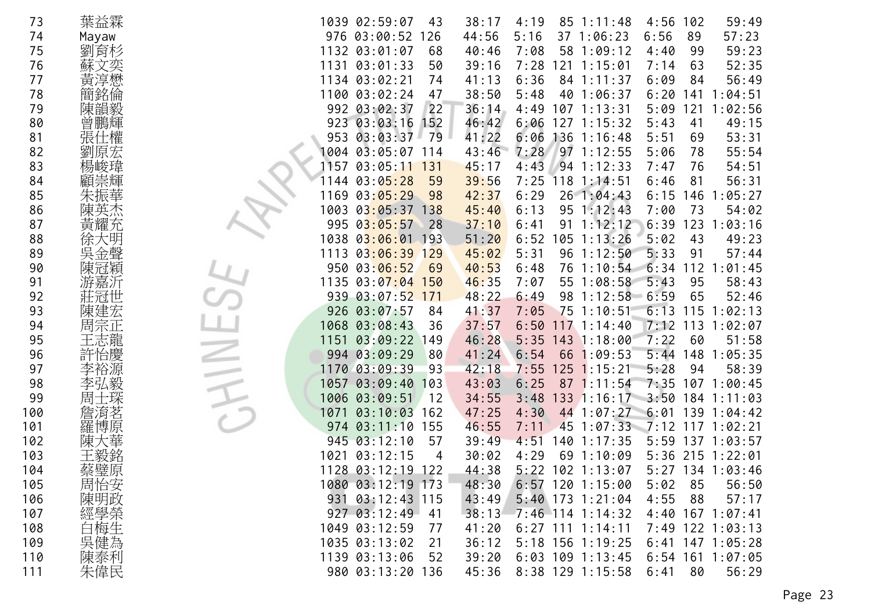| 73  | 葉益霖     | 1039 02:59:07         | 43             | 38:17 | 4:19               | $85 \t1:11:48$     | 4:56               | 102 | 59:49              |
|-----|---------|-----------------------|----------------|-------|--------------------|--------------------|--------------------|-----|--------------------|
| 74  | Mayaw   | 976 03:00:52          | 126            | 44:56 | 5:16               | 37 1:06:23         | 6:56               | 89  | 57:23              |
| 75  | 劉育杉     | 1132<br>03:01:07      | 68             | 40:46 | 7:08<br>58         | 1:09:12            | 4:40               | 99  | 59:23              |
| 76  | 蘇文奕     | 1131<br>03:01:33      | 50             | 39:16 | 7:28<br>121        | 1:15:01            | 7:14               | 63  | 52:35              |
| 77  | 黃淳懋     | 1134 03:02:21         | 74             | 41:13 | 6:36               | 84 1:11:37         | 6:09               | 84  | 56:49              |
| 78  | 簡銘倫     | 1100 03:02:24         | 47             | 38:50 | 5:48<br>40         | 1:06:37            | 6:20               | 141 | 1:04:51            |
| 79  | 陳韻毅     | 992 03:02:37          | 22             | 36:14 | 4:49               | $107$ 1:13:31      | 5:09               | 121 | 1:02:56            |
| 80  | 曾鵬輝     | 923 03:03:16          | 152            | 46:42 | 6:06               | $127$ $1:15:32$    | 5:43               | 41  | 49:15              |
| 81  | 張       | 953<br>03:03:37       | 79             | 41:22 | 6:06               | $136$ $1:16:48$    | 5:51               | 69  | 53:31              |
| 82  | 劉<br>原宏 | 1004 03:05:07         | 114            | 43:46 | 7:28               | $97 \t1:12:55$     | 5:06               | 78  | 55:54              |
| 83  | 楊峻瑋     | 157<br>03:05:11       | 131            | 45:17 | 4:43               | 941:12:33          | 7:47               | 76  | 54:51              |
| 84  | 顧崇輝     | 03:05:28<br>144       | 59             | 39:56 | 7:25               | $118$ 1:14:51      | 6:46               | 81  | 56:31              |
| 85  |         | 03:05:29<br>1169      | 98             | 42:37 | 6:29               | 26 1:04:43         | 6:15               | 146 | 1:05:27            |
| 86  | 陳英杰     | 1003                  | $03:05:37$ 138 | 45:40 | 6:13               | $95 \t1:12:43$     | 7:00               | 73  | 54:02              |
| 87  | 黃耀充     | 995<br>03:05:57       | 28             | 37:10 | 91<br>6:41         | 1:12:12            | 6:39               | 123 | 1:03:16            |
| 88  |         | 1038<br>03:06:01 193  |                | 51:20 | 6:52               | $105$ 1:13:26      | 5:02               | 43  | 49:23              |
| 89  | 吳金聲     | 1113                  | $03:06:39$ 129 | 45:02 | 5:31               | 96 1:12:50         | 5:33               | 91  | 57:44              |
| 90  | 陳冠穎     | 950<br>03:06:52       | 69             | 40:53 | 6:48<br>76         | 1:10:54            | 6:34               | 112 | 1:01:45            |
| 91  | 游嘉沂     | 1135                  | $03:07:04$ 150 | 46:35 | 7:07<br>55         | 1:08:58            | 5:43               | 95  | 58:43              |
| 92  | 莊冠      | 939<br>$03:07:52$ 171 |                | 48:22 | 6:49<br>98         | $1:12:58$ 6:59     |                    | 65  | 52:46              |
| 93  |         | 926<br>03:07:57       | 84             | 41:37 | 7:05<br>75         | 1:10:51            | 6:13               | 115 | 1:02:13            |
| 94  | 周宗正     | 1068 03:08:43         | 36             | 37:57 | 6:50               | $117$ $1:14:40$    | 7:12               | 113 | 1:02:07            |
| 95  | 王志龍     | 1151                  | 03:09:22 149   | 46:28 |                    | $5:35$ 143 1:18:00 | 7:22               | 60  | 51:58              |
| 96  | 許怡慶     | 994 03:09:29          | 80             | 41:24 | 6:54<br>66         | 1:09:53            | 5:44               | 148 | 1:05:35            |
| 97  | 裕源      | 1170 03:09:39         | 93             | 42:18 | 7:55<br>125        | 1:15:21            | 5:28               | 94  | 58:39              |
| 98  | 李弘毅     | 03:09:40<br>1057      | 103            | 43:03 | 6:25               | $87 \t1:11:54$     | $7:35$ 107         |     | 1:00:45            |
| 99  | 周       | 03:09:51<br>1006      | 12             | 34:55 | 133<br>3:48        | 1:16:17            | 3:50               | 184 | 1:11:03            |
| 100 |         | 03:10:03<br>1071      | 162            | 47:25 | 4:30               | 44 1:07:27         | 6:01               |     | 139 1:04:42        |
| 101 | 羅博原     | 03:11:10<br>974       | 155            | 46:55 | 7:11<br>45         | $1:07:33$ $7:12$   |                    | 117 | 1:02:21            |
| 102 |         | 03:12:10<br>945       | 57             | 39:49 | 4:51<br>140        | 1:17:35            | 5:59               |     | $137$ $1:03:57$    |
| 103 |         | 1021<br>03:12:15      | 4              | 30:02 | 4:29               | 69 1:10:09         |                    |     | 5:36 215 1:22:01   |
| 104 | 蔡璧原     | 1128 03:12:19         | 122            | 44:38 | 5:22               | $102$ 1:13:07      |                    |     | $5:27$ 134 1:03:46 |
| 105 | 周怡安     | 1080 03:12:19 173     |                | 48:30 |                    | $6:57$ 120 1:15:00 | 5:02               | 85  | 56:50              |
| 106 | 陳明政     | 931 03:12:43 115      |                | 43:49 |                    | $5:40$ 173 1:21:04 | 4:55               | 88  | 57:17              |
| 107 | 經學榮     | 927 03:12:49 41       |                | 38:13 |                    | $7:46$ 114 1:14:32 | $4:40$ 167 1:07:41 |     |                    |
| 108 | 白梅生     | 1049 03:12:59         | 77             | 41:20 | $6:27$ 111 1:14:11 |                    |                    |     | 7:49 122 1:03:13   |
| 109 | 吳健為     | 1035 03:13:02         | 21             | 36:12 |                    | 5:18 156 1:19:25   |                    |     | $6:41$ 147 1:05:28 |
| 110 | 陳泰利     | 1139 03:13:06         | 52             | 39:20 |                    | $6:03$ 109 1:13:45 |                    |     | $6:54$ 161 1:07:05 |
| 111 | 朱偉民     | 980 03:13:20 136      |                | 45:36 |                    | 8:38 129 1:15:58   | 6:41               | 80  | 56:29              |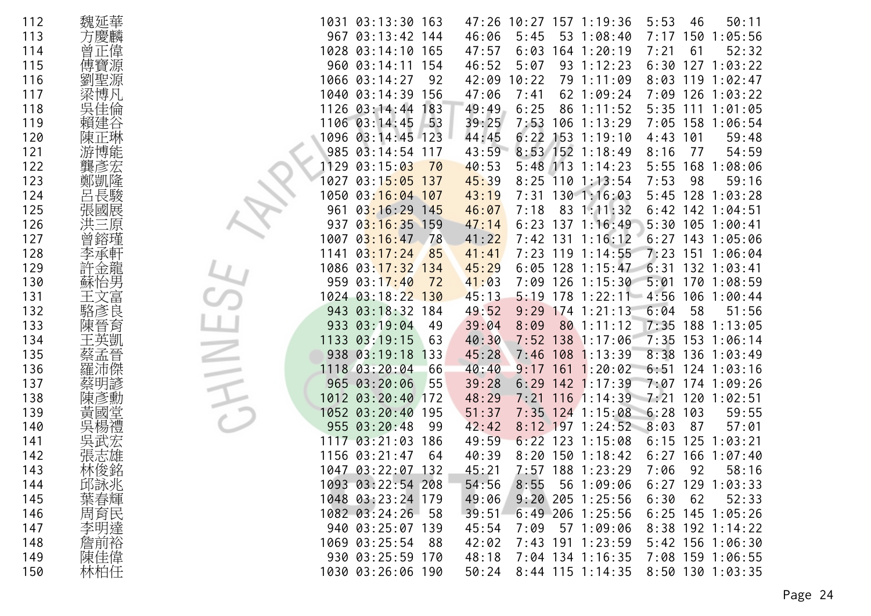| 112 | 魏延華     | 1031 03:13:30 163<br>5:53<br>50:11<br>47:26 10:27 157 1:19:36<br>46                    |
|-----|---------|----------------------------------------------------------------------------------------|
| 113 | 方慶麟     | 967 03:13:42 144<br>46:06<br>53 1:08:40<br>150<br>1:05:56<br>5:45<br>7:17              |
| 114 | 正偉      | 1028 03:14:10<br>165<br>47:57<br>6:03<br>$164$ 1:20:19<br>7:21<br>61<br>52:32          |
| 115 |         | 960 03:14:11<br>46:52<br>6:30<br>5:07<br>93 1:12:23<br>127<br>1:03:22<br>154           |
| 116 | 劉聖源     | 1066 03:14:27<br>92<br>42:09<br>10:22<br>79 1:11:09<br>8:03<br>1:02:47<br>119          |
| 117 | 梁博凡     | 1040 03:14:39<br>156<br>47:06<br>7:41<br>62 1:09:24<br>7:09<br>126<br>1:03:22          |
| 118 | 吳佳倫     | 1126 03:14:44<br>49:49<br>86 1:11:52<br>$5:35$ 111<br>6:25<br>1:01:05<br>183           |
| 119 | 賴建谷     | 39:25<br>7:05<br>1106 03:14:45<br>53<br>7:53<br>106 1:13:29<br>158<br>1:06:54          |
| 120 | 陳正琳     | 44:45<br>6:22<br>153<br>1096 03:14:45 123<br>1:19:10<br>4:43<br>101<br>59:48           |
| 121 |         | 43:59<br>8:53 152 1:18:49<br>985 03:14:54<br>8:16<br>77<br>54:59<br>117                |
| 122 | 彥宏      | 03:15:03<br>40:53<br>$5:48$ 113 1:14:23<br>5:55<br>168<br>1:08:06<br>1129<br>70        |
| 123 | 鄭凱隆     | 03:15:05<br>1027<br>137<br>45:39<br>8:25<br>$110$ 1:13:54<br>7:53<br>98<br>59:16       |
| 124 | 長駿      | 7:31 130 1:16:03<br>$5:45$ 128<br>03:16:04 107<br>43:19<br>1:03:28<br>1050             |
| 125 | 張國展     | $6:42$ 142<br>961<br>03:16:29<br>46:07<br>83 1:11:32<br>145<br>7:18<br>1:04:51         |
| 126 |         | 137<br>5:30<br>937<br>03:16:35<br>159<br>47:14<br>1:16:49<br>105<br>1:00:41<br>6:23    |
| 127 |         | 1007<br>03:16:47<br>41:22<br>$7:42$ 131<br>1:16:12<br>$6:27$ 143<br>1:05:06<br>-78     |
| 128 | 承軒      | 7:23<br>1141<br>03:17:24<br>$119$ 1:14:55<br>85<br>41:41<br>7:23<br>151 1:06:04        |
| 129 | ·金龍     | 6:31<br>$1086$ $03:17:32$<br>45:29<br>128<br>1:15:47<br>$132$ $1:03:41$<br>134<br>6:05 |
| 130 | 蘇怡男     | 959 03:17:40<br>5:01<br>41:03<br>$7:09$ 126<br>1:15:30<br>170<br>1:08:59<br>72         |
| 131 | :富      | 1024 03:18:22<br>130<br>45:13<br>178<br>$1:22:11$ 4:56<br>106<br>5:19<br>1:00:44       |
| 132 | 駱彥良     | 943 03:18:32<br>6:04<br>184<br>49:52<br>9:29<br>1:21:13<br>58<br>51:56<br>174          |
| 133 | 陳晉育     | 03:19:04<br>80 1:11:12<br>933<br>39:04<br>8:09<br>7:35<br>188<br>1:13:05<br>49         |
| 134 | 王英凱     | $7:35$ 153<br>1133 03:19:15<br>40:30<br>7:52<br>138 1:17:06<br>63<br>1:06:14           |
| 135 | 蔡孟晉     | 108 1:13:39<br>8:38<br>938 03:19:18<br>45:28<br>136<br>133<br>7:46<br>1:03:49          |
| 136 |         | 1118 03:20:04<br>40:40<br>161<br>1:20:02<br>6:51<br>66<br>$124$ 1:03:16<br>9:17        |
| 137 |         | 965 03:20:06<br>55<br>39:28<br>$142$ 1:17:39<br>7:07<br>6:29<br>174<br>1:09:26         |
| 138 | 陳彥勳     | 1012 03:20:40<br>48:29<br>116<br>1:14:39<br>7:21<br>120<br>1:02:51<br>172<br>7:21      |
| 139 | 國堂<br>亘 | 1052 03:20:40<br>51:37<br>$7:35$ 124 1:15:08<br>6:28<br>103<br>59:55<br>195            |
| 140 | 吳       | 57:01<br>955 03:20:48<br>42:42<br>$8:12$ 197 1:24:52<br>8:03<br>87<br>99               |
| 141 |         | 125<br>1:03:21<br>1117 03:21:03<br>49:59<br>$6:22$ 123<br>1:15:08<br>6:15<br>186       |
| 142 |         | 1156 03:21:47<br>40:39<br>8:20<br>1501:18:42<br>166<br>1:07:40<br>6:27<br>64           |
| 143 | 林俊銘     | 7:57 188 1:23:29<br>1047 03:22:07<br>132<br>45:21<br>7:06<br>92<br>58:16               |
| 144 | 邱詠兆     | 1093 03:22:54 208<br>54:56<br>8:55<br>56 1:09:06<br>$6:27$ 129 1:03:33                 |
| 145 | 葉春輝     | 1048 03:23:24 179<br>49:06<br>$9:20$ 205 1:25:56<br>6:30<br>62<br>52:33                |
| 146 | 周育民     | 1082 03:24:26 58<br>39:51<br>$6:49$ 206 1:25:56<br>$6:25$ 145 1:05:26                  |
| 147 | 李明達     | 940 03:25:07 139<br>7:09<br>57 1:09:06<br>8:38 192 1:14:22<br>45:54                    |
| 148 | 詹前裕     | 1069 03:25:54<br>7:43 191 1:23:59<br>5:42 156 1:06:30<br>88<br>42:02                   |
| 149 | 陳佳偉     | 930 03:25:59 170<br>7:08 159 1:06:55<br>48:18<br>7:04 134 1:16:35                      |
| 150 | 林柏任     | 1030 03:26:06 190<br>50:24<br>8:44 115 1:14:35<br>8:50 130 1:03:35                     |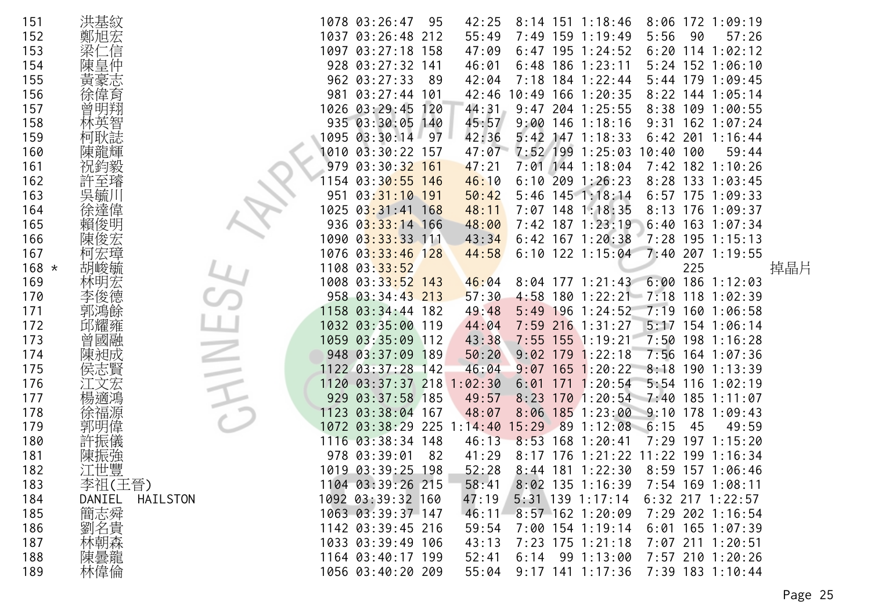| 151     | 洪基紋             |      | 1078 03:26:47                   | 95  | 42:25   |            |     | $8:14$ 151 1:18:46                 |            |     | $8:06$ 172 1:09:19 |     |
|---------|-----------------|------|---------------------------------|-----|---------|------------|-----|------------------------------------|------------|-----|--------------------|-----|
| 152     |                 |      | 1037 03:26:48 212               |     | 55:49   |            |     | 7:49 159 1:19:49                   | 5:56       | 90  | 57:26              |     |
| 153     | 信               | 1097 | 03:27:18                        | 158 | 47:09   |            |     | $6:47$ 195 1:24:52                 |            |     | $6:20$ 114 1:02:12 |     |
| 154     | 陳皇              |      | 928 03:27:32 141                |     | 46:01   |            |     | $6:48$ 186 1:23:11                 |            |     | 5:24 152 1:06:10   |     |
| 155     | 黃豪志             |      | 962 03:27:33                    | -89 | 42:04   | 7:18       |     | $184$ 1:22:44                      |            |     | 5:44 179 1:09:45   |     |
| 156     | 偉育              | 981  | $03:27:44$ 101                  |     | 42:46   | 10:49      |     | $166$ $1:20:35$                    |            |     | $8:22$ 144 1:05:14 |     |
| 157     | 曾               |      | 1026 03:29:45                   | 120 | 44:31   | 9:47       |     | 204 1:25:55                        |            |     | 8:38 109 1:00:55   |     |
| 158     |                 |      | 935 03:30:05                    | 140 | 45:57   | 9:00       | 146 | 1:18:16                            | 9:31       |     | $162$ $1:07:24$    |     |
| 159     | 炫誌              |      | 1095 03:30:14                   | -97 | 42:36   | $5:42$ 147 |     | 1:18:33                            | $6:42$ 201 |     | 1:16:44            |     |
| 160     | 陳龍輝             | 1010 | 03:30:22                        | 157 | 47:07   |            |     | 7:52 199 1:25:03                   | 10:40      | 100 | 59:44              |     |
| 161     |                 | 979  | 03:30:32                        | 161 | 47:21   | $7:01$ 144 |     | 1:18:04                            |            |     | 7:42 182 1:10:26   |     |
| 162     |                 | 154  | 03:30:55                        | 146 | 46:10   | 6:10       | 209 | 1:26:23                            |            |     | 8:28 133 1:03:45   |     |
| 163     | 吳毓              | 951  | $03:31:10$ 191                  |     | 50:42   |            |     | $5:46$ 145 1:18:14                 |            |     | $6:57$ 175 1:09:33 |     |
| 164     |                 | 1025 | 03:31:41                        | 168 | 48:11   | 7:07       |     | 148 1:18:35                        | 8:13       |     | 176 1:09:37        |     |
| 165     |                 | 936  | $03:33:14$ 166                  |     | 48:00   |            |     | 7:42 187 1:23:19                   |            |     | $6:40$ 163 1:07:34 |     |
| 166     | 陳俊宏             | 1090 | $03:33:33$ 111                  |     | 43:34   |            |     | $6:42$ 167 1:20:38                 |            |     | 7:28 195 1:15:13   |     |
| 167     | 柯宏璋             |      | 1076 03:33:46 128               |     | 44:58   |            |     | $6:10$ 122 1:15:04                 | 7:40       |     | 207 1:19:55        |     |
| $168 *$ | 胡峻毓             |      | 1108 03:33:52                   |     |         |            |     |                                    |            | 225 |                    | 掉晶片 |
| 169     | 林明宏             |      | 1008 03:3 <mark>3:52 143</mark> |     | 46:04   |            |     | $8:04$ 177 1:21:43                 |            |     | $6:00$ 186 1:12:03 |     |
| 170     |                 |      | 958 03:34:43 213                |     | 57:30   | 4:58       |     | $180$ $1:22:21$ $7:18$             |            |     | $118$ 1:02:39      |     |
| 171     |                 |      | 1158 03:34:44 182               |     | 49:48   |            |     | $5:49$ 196 1:24:52                 | 7:19       |     | 160 1:06:58        |     |
| 172     |                 |      | 1032 03:35:00                   | 119 | 44:04   | 7:59       |     | $216$ 1:31:27                      | 5:17       |     | 154 1:06:14        |     |
| 173     | 曾國融             |      | 1059 03:35:09                   | 112 | 43:38   | $7:55$ 155 |     | 1:19:21                            | 7:50       |     | 198 1:16:28        |     |
| 174     |                 |      | 948 03:37:09                    | 189 | 50:20   | $9:02$ 179 |     | 1:22:18                            |            |     | 7:56 164 1:07:36   |     |
| 175     | 侯志賢             |      | 1122 03:37:28 142               |     | 46:04   | 9:07       |     | $165$ 1:20:22                      | 8:18       |     | 1901:13:39         |     |
| 176     |                 | 1120 | $03:37:37$ 218                  |     | 1:02:30 | 6:01       | 171 | 1:20:54                            | $5:54$ 116 |     | 1:02:19            |     |
| 177     |                 | 929  | $03:37:58$ 185                  |     | 49:57   | 8:23       |     | $170$ 1:20:54 7:40                 |            |     | 185 1:11:07        |     |
| 178     |                 | 1123 | 03:38:04                        | 167 | 48:07   | 8:06       |     | $185$ 1:23:00                      | 9:10       | 178 | 1:09:43            |     |
| 179     |                 | 1072 | 03:38:29                        | 225 | 1:14:40 | 15:29      | 89  | 1:12:08                            | 6:15       | 45  | 49:59              |     |
| 180     |                 |      | 1116 03:38:34 148               |     | 46:13   | 8:53       | 168 | 1:20:41                            | 7:29       |     | 197 1:15:20        |     |
| 181     | 陳振強             |      | 978 03:39:01                    | 82  | 41:29   |            |     | 8:17 176 1:21:22 11:22 199 1:16:34 |            |     |                    |     |
| 182     | 江世豐             |      | 1019 03:39:25                   | 198 | 52:28   |            |     | 8:44 181 1:22:30                   |            |     | 8:59 157 1:06:46   |     |
| 183     | 李祖(王晉)          |      | 1104 03:39:26 215               |     | 58:41   |            |     | $8:02$ 135 1:16:39                 |            |     | 7:54 169 1:08:11   |     |
| 184     | DANIEL HAILSTON |      | 1092 03:39:32 160               |     | 47:19   |            |     | $5:31$ 139 1:17:14                 |            |     | 6:32 217 1:22:57   |     |
| 185     | 簡志舜             |      | 1063 03:39:37 147               |     | 46:11   |            |     | 8:57 162 1:20:09                   |            |     | 7:29 202 1:16:54   |     |
| 186     |                 |      | 1142 03:39:45 216               |     | 59:54   |            |     | 7:00 154 1:19:14                   |            |     | $6:01$ 165 1:07:39 |     |
| 187     | 2劉林陳:           |      | 1033 03:39:49 106               |     | 43:13   |            |     | 7:23 175 1:21:18                   |            |     | 7:07 211 1:20:51   |     |
| 188     |                 |      | 1164 03:40:17 199               |     | 52:41   |            |     | $6:14$ 99 1:13:00                  |            |     | 7:57 210 1:20:26   |     |
| 189     | 林偉倫             |      | 1056 03:40:20 209               |     | 55:04   |            |     | $9:17$ 141 1:17:36                 |            |     | 7:39 183 1:10:44   |     |
|         |                 |      |                                 |     |         |            |     |                                    |            |     |                    |     |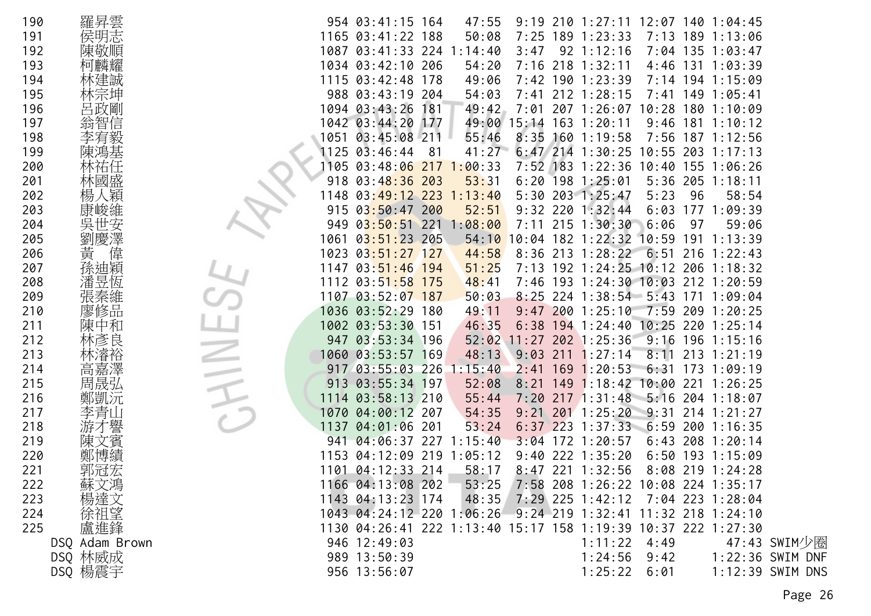| 190 | 羅昇雲            |      | 954 03:41:15 164                                              |     | 47:55   |             |     | $9:19$ 210 1:27:11 12:07 140 1:04:45     |            |     |                     |                  |
|-----|----------------|------|---------------------------------------------------------------|-----|---------|-------------|-----|------------------------------------------|------------|-----|---------------------|------------------|
| 191 | 侯明志            |      | 1165 03:41:22 188                                             |     | 50:08   | 7:25        |     | $189$ $1:23:33$                          | 7:13       |     | 189 1:13:06         |                  |
| 192 | 陳敬順            |      | 1087 03:41:33 224                                             |     | :14:40  | 3:47        |     | $92 \t1:12:16$                           |            |     | 7:04 135 1:03:47    |                  |
| 193 | 柯麟耀            |      | 1034 03:42:10 206                                             |     | 54:20   | 7:16        | 218 | 1:32:11                                  | $4:46$ 131 |     | 1:03:39             |                  |
|     |                |      | 1115 03:42:48 178                                             |     |         |             |     | 7:42 190 1:23:39                         |            |     | 194 1:15:09         |                  |
| 194 | 林建誠            |      |                                                               |     | 49:06   |             |     |                                          | 7:14       |     |                     |                  |
| 195 | 林宗坤            |      | 988 03:43:19 204                                              |     | 54:03   |             |     | 7:41 212 1:28:15                         | 7:41       |     | 149 1:05:41         |                  |
| 196 | 呂政剛            |      | 1094 03:43:26                                                 | 181 | 49:42   | 7:01        |     | 207 1:26:07                              | 10:28      | 180 | 1:10:09             |                  |
| 197 | 翁智信            |      | 1042 03:44:20                                                 | 177 |         | 49:00 15:14 | 163 | 1:20:11                                  | 9:46       | 181 | 1:10:12             |                  |
| 198 | 李宥毅            |      | 1051 03:45:08 211                                             |     | 55:46   | 8:35        | 160 | 1:19:58                                  | 7:56       |     | 187 1:12:56         |                  |
| 199 | 陳鴻基            |      | 1125 03:46:44                                                 | -81 | 41:27   |             |     | $6:47$ 214 1:30:25                       |            |     | $10:55$ 203 1:17:13 |                  |
| 200 | 林祐任            | 1105 | 03:48:06                                                      | 217 | 1:00:33 | $7:52$ 183  |     | 1:22:36                                  | 10:40      |     | 155 1:06:26         |                  |
| 201 | 林國盛            | 918  | $03:48:36$ 203                                                |     | 53:31   | 6:20        |     | 198 1:25:01                              | $5:36$ 205 |     | 1:18:11             |                  |
| 202 | 人穎<br>楊        | 1148 | $03:49:12$ 223                                                |     | 1:13:40 | 5:30        |     | 203 1:25:47                              | 5:23       | 96  | 58:54               |                  |
| 203 |                | 915  | 03:50:47 200                                                  |     | 52:51   | 9:32        | 220 | 1:32:44                                  | 6:03       | 177 | 1:09:39             |                  |
| 204 |                | 949  | $03:50:51$ 221                                                |     | :08:00  | 7:11        |     | 215 1:30:30                              | 6:06       | 97  | 59:06               |                  |
| 205 | 劉慶澤            | 1061 | 03:51:23 205                                                  |     | 54:10   | 10:04       |     | 182 1:22:32 10:59                        |            | 191 | 1:13:39             |                  |
| 206 | 黃<br>偉         | 1023 | $03:51:27$ 127                                                |     | 44:58   | 8:36        | 213 | 1:28:22                                  | 6:51       |     | $216$ 1:22:43       |                  |
| 207 | 孫迪穎            |      | 1147 03:51:46 194                                             |     | 51:25   |             |     | 7:13 192 1:24:25 10:12 206 1:18:32       |            |     |                     |                  |
| 208 | 潘昱恆            |      | 1112 03:5 <mark>1:58 175</mark>                               |     | 48:41   | 7:46        |     | 193 1:24:30 10:03 212 1:20:59            |            |     |                     |                  |
| 209 | 張秦維            |      | 1107 03:52:07 187                                             |     | 50:03   | 8:25        |     | 224 1:38:54 5:43                         |            | 171 | 1:09:04             |                  |
| 210 | 廖修品            |      | 1036 03:52:29 180                                             |     | 49:11   |             |     | $9:47$ 200 1:25:10                       |            |     | 7:59 209 1:20:25    |                  |
| 211 | 陳中和            |      | 1002 03:53:30 151                                             |     | 46:35   | 6:38        |     | $194$ 1:24:40                            |            |     | 10:25 220 1:25:14   |                  |
| 212 | 林彥良            | 947  | 03:53:34 196                                                  |     | 52:02   | 11:27       | 202 | 1:25:36                                  | 9:16       |     | 196 1:15:16         |                  |
| 213 | 林濬裕            |      | 1060 03:53:57 169                                             |     | 48:13   | 9:03        | 211 | 1:27:14                                  | 8:11       |     | $213$ 1:21:19       |                  |
| 214 | 高嘉澤            |      | 917 03:55:03 226                                              |     | : 15:40 | 2:41        | 169 | 1:20:53                                  | 6:31       | 173 | 1:09:19             |                  |
| 215 | 周晟弘            | 913  | 03:55:34 197                                                  |     | 52:08   | 8:21        | 149 | $1:18:42$ 10:00                          |            |     | 221 1:26:25         |                  |
| 216 | 鄭凱沅            |      | 1114 03:58:13 210                                             |     | 55:44   | 7:20        |     | $217$ 1:31:48                            |            |     | 5:16 204 1:18:07    |                  |
| 217 | 李青山            | 1070 | 04:00:12 207                                                  |     | 54:35   | 9:21        | 201 | 1:25:20                                  | 9:31       |     | $214$ 1:21:27       |                  |
| 218 |                | 1137 | 04:01:06 201                                                  |     | 53:24   | 6:37        | 223 | 1:37:33                                  | 6:59       | 200 | 1:16:35             |                  |
| 219 | 【賓             | 941  | 04:06:37 227                                                  |     | 1:15:40 | 3:04        |     | 172 1:20:57                              |            |     | $6:43$ 208 1:20:14  |                  |
| 220 |                |      | 1153 04:12:09 219 1:05:12                                     |     |         |             |     | $9:40$ 222 1:35:20                       |            |     | $6:50$ 193 1:15:09  |                  |
| 221 | 郭冠宏            |      | 1101 04:12:33 214                                             |     | 58:17   |             |     | 8:47 221 1:32:56                         | 8:08       |     | 219 1:24:28         |                  |
|     |                |      |                                                               |     |         |             |     |                                          |            |     |                     |                  |
| 222 | 蘇文鴻            |      | 1166 04:13:08 202                                             |     |         |             |     | 53:25 7:58 208 1:26:22 10:08 224 1:35:17 |            |     |                     |                  |
| 223 | 楊達文            |      | 1143 04:13:23 174                                             |     | 48:35   |             |     | $7:29$ 225 1:42:12 7:04 223 1:28:04      |            |     |                     |                  |
| 224 | 徐祖望            |      | 1043 04:24:12 220 1:06:26 9:24 219 1:32:41 11:32 218 1:24:10  |     |         |             |     |                                          |            |     |                     |                  |
| 225 | 盧進鋒            |      | 1130 04:26:41 222 1:13:40 15:17 158 1:19:39 10:37 222 1:27:30 |     |         |             |     |                                          |            |     |                     |                  |
|     | DSQ Adam Brown |      | 946 12:49:03                                                  |     |         |             |     | $1:11:22$ 4:49                           |            |     |                     | 47:43 SWIM少圈     |
|     | DSQ 林威成        |      | 989 13:50:39                                                  |     |         |             |     | 1:24:56                                  | 9:42       |     |                     | 1:22:36 SWIM DNF |
|     | DSQ 楊震宇        |      | 956 13:56:07                                                  |     |         |             |     | 1:25:22 6:01                             |            |     |                     | 1:12:39 SWIM DNS |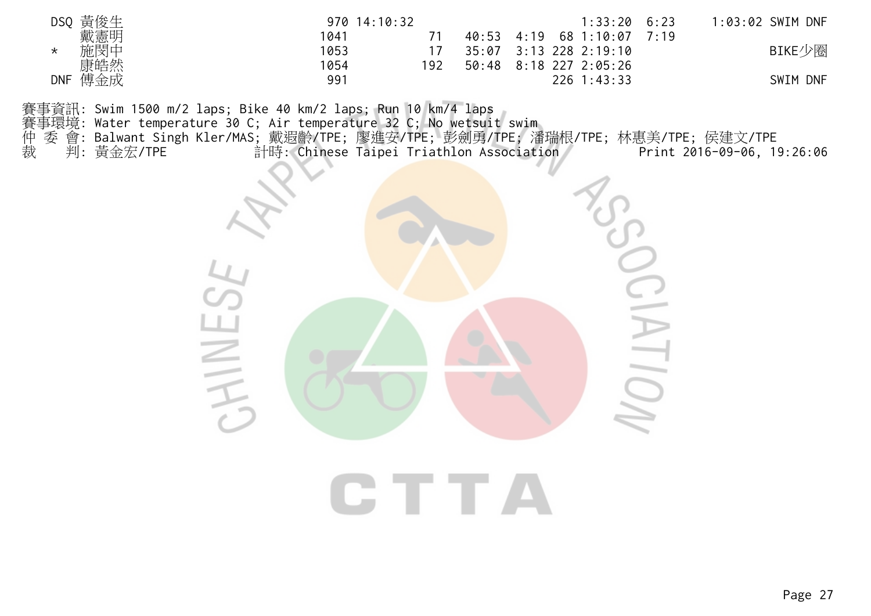| 黃俊牛<br>DSQ        | $970$ $14:10:32$ | 1:33:20                     | 6:23<br>1:03:02 SWIM DNF |
|-------------------|------------------|-----------------------------|--------------------------|
| 戴憲明               | 1041             | 40:53<br>68 1:10:07<br>4:19 | 7:19                     |
| 施閔中<br>$\star$    | 1053             | $3:13$ 228 2:19:10<br>35:07 | BIKE少圈                   |
| 康皓然               | 1054<br>192      | 8:18 227 2:05:26<br>50:48   |                          |
| 傅金成<br><b>DNF</b> | 991              | $226$ 1:43:33               | <b>DNF</b><br>SWIM       |

- 賽事環境: Water temperature 30 C; Air temperature 32 C; No wetsuit swim
- 賽事資訊: Swim 1500 m/2 laps; Bike 40 km/2 laps; Run 10 km/4 laps<br>賽事環境: Water temperature 30 C; Air temperature 32 C; No wetsui<br>仲 委 會: Balwant Singh Kler/MAS; 戴遐齡/TPE; 廖進安/TPE; 彭劍勇/<br>裁 判: 黃金宏/TPE 計時: Chinese Taipei Tria 仲 委 會: Balwant Singh Kler/MAS; 戴遐齡/TPE; 廖進安/TPE; 彭劍勇/TPE; 潘瑞根/TPE; 林惠美/TPE; 侯建文/TPE
- 裁 判: 黃金宏/TPE 計時: Chinese Taipei Triathlon Association Print 2016-09-06, 19:26:06

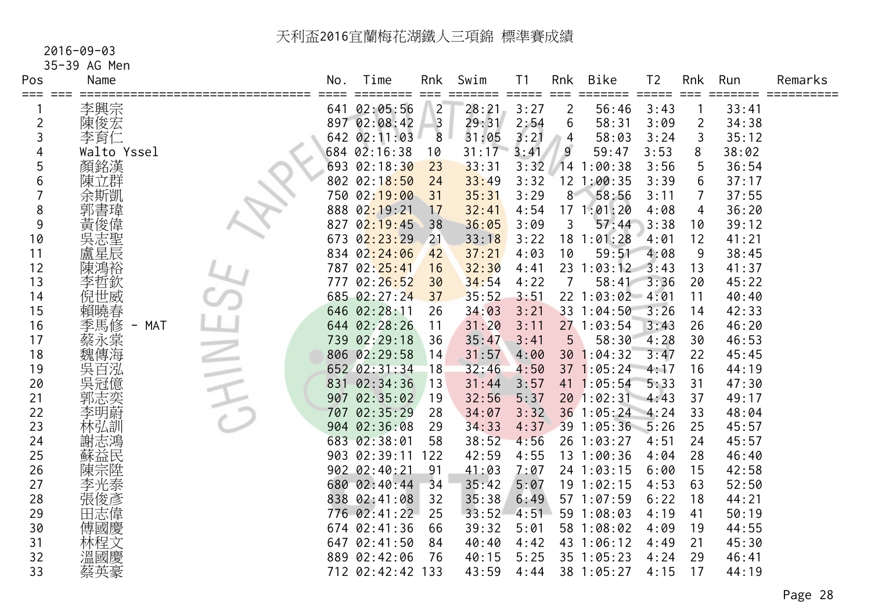#### 2016-09-03

# 35-39 AG Men

| Pos     | Name            | No. | Time                   | Rnk                    | Swim  | T <sub>1</sub>              | Rnk                    | <b>Bike</b>     | T <sub>2</sub> | Rnk  | Run            | Remarks    |
|---------|-----------------|-----|------------------------|------------------------|-------|-----------------------------|------------------------|-----------------|----------------|------|----------------|------------|
| === === | 李興宗             |     | ======<br>641 02:05:56 | $==$<br>$\overline{2}$ | 28:21 | $=$ $=$ $=$ $=$ $=$<br>3:27 | $==$<br>$\overline{2}$ | =====<br>56:46  | =====<br>3:43  | $==$ | =====<br>33:41 | ========== |
| 2       | 陳俊宏             |     | 897 02:08:42           | $\overline{3}$         | 29:31 | 2:54                        | 6                      | 58:31           | 3:09           | 2    | 34:38          |            |
| 3       | 李育仁             |     | 642 02:11:03           | 8                      | 31:05 | 3:21                        | 4                      | 58:03           | 3:24           | 3    | 35:12          |            |
| 4       | Walto Yssel     |     | 684 02:16:38           | 10                     | 31:17 | 3:41                        | 9                      | 59:47           | 3:53           | 8    | 38:02          |            |
| 5       | 顏銘漢             |     | 693 02:18:30           | 23                     | 33:31 | 3:32                        |                        | 141:00:38       | 3:56           | 5    | 36:54          |            |
| 6       | 陳立群             |     | 802 02:18:50           | 24                     | 33:49 | 3:32                        |                        | $12$ $1:00:35$  | 3:39           | 6    | 37:17          |            |
|         | 余斯凱             |     | 750 02:19:00           | 31                     | 35:31 | 3:29                        | 8                      | 58:56           | 3:11           | 7    | 37:55          |            |
| 8       | 郭書瑋             |     | 888 02:19:21           | 17                     | 32:41 | 4:54                        |                        | 171:01:20       | 4:08           | 4    | 36:20          |            |
| 9       | 黃俊偉             |     | 827 02:19:45           | 38                     | 36:05 | 3:09                        | 3                      | 57:44           | 3:38           | 10   | 39:12          |            |
| 10      | 吳志聖             |     | $673$ $02:23:29$       | 21                     | 33:18 | 3:22                        | 18                     | 1:01:28         | 4:01           | 12   | 41:21          |            |
| 11      | 盧星辰             |     | 834 02:24:06           | 42                     | 37:21 | 4:03                        | 10                     | 59:51           | 4:08           | 9    | 38:45          |            |
| 12      | 陳鴻裕             |     | 787 02:25:41           | 16                     | 32:30 | 4:41                        |                        | 23 1:03:12      | 3:43           | 13   | 41:37          |            |
| 13      | 李哲欽             |     | 777 02:26:52           | 30                     | 34:54 | 4:22                        |                        | 58:41           | 3:36           | 20   | 45:22          |            |
| 14      | 倪世威             |     | 685 02:27:24           | 37                     | 35:52 | 3:51                        |                        | 22 1:03:02      | $-4:01$        | 11   | 40:40          |            |
| 15      | 賴曉春             |     | 646 02:28:11           | 26                     | 34:03 | 3:21                        |                        | 33 1:04:50      | 3:26           | 14   | 42:33          |            |
| 16      | 季馬修<br>MAT<br>- |     | 644 02:28:26           | 11                     | 31:20 | 3:11                        |                        | 271:03:54       | 3:43           | 26   | 46:20          |            |
| 17      | 蔡永棠             |     | 739 02:29:18           | 36                     | 35:47 | 3:41                        | 5                      | 58:30           | 4:28           | 30   | 46:53          |            |
| 18      | 魏傳海             |     | 806 02:29:58           | 14                     | 31:57 | 4:00                        | 30                     | 1:04:32         | 3:47           | 22   | 45:45          |            |
| 19      | 吳百泓             |     | 652 02:31:34           | 18                     | 32:46 | 4:50                        |                        | 37 1:05:24      | 4:17           | 16   | 44:19          |            |
| 20      | 吳冠億             | 831 | 02:34:36               | 13                     | 31:44 | 3:57                        |                        | 41 1:05:54      | 5:33           | 31   | 47:30          |            |
| 21      | 郭志奕             | 907 | 02:35:02               | 19                     | 32:56 | 5:37                        |                        | 20 1:02:31 4:43 |                | 37   | 49:17          |            |
| 22      | 李明蔚             | 707 | 02:35:29               | 28                     | 34:07 | 3:32                        |                        | 36 1:05:24      | 4:24           | 33   | 48:04          |            |
| 23      | 林弘訓             |     | 904 02:36:08           | 29                     | 34:33 | 4:37                        |                        | 39 1:05:36      | $-5:26$        | 25   | 45:57          |            |
| 24      | 謝志鴻             |     | 683 02:38:01           | 58                     | 38:52 | 4:56                        |                        | 26 1:03:27      | 4:51           | 24   | 45:57          |            |
| 25      | 蘇益民             |     | 903 02:39:11           | 122                    | 42:59 | 4:55                        |                        | 13 1:00:36      | 4:04           | 28   | 46:40          |            |
| 26      | 陳宗陞             |     | 902 02:40:21           | 91                     | 41:03 | 7:07                        |                        | 24 1:03:15      | 6:00           | 15   | 42:58          |            |
| 27      | 李光泰             |     | 680 02:40:44           | 34                     | 35:42 | 5:07                        |                        | 19 1:02:15      | 4:53           | 63   | 52:50          |            |
| 28      | 張俊彥             |     | 838 02:41:08           | 32                     | 35:38 | 6:49                        |                        | 57 1:07:59      | 6:22           | 18   | 44:21          |            |
| 29      | 田志偉             |     | 776 02:41:22           | 25                     | 33:52 | 4:51                        |                        | 59 1:08:03      | 4:19           | 41   | 50:19          |            |
| 30      | 傅國慶             |     | 674 02:41:36           | 66                     | 39:32 | 5:01                        |                        | 58 1:08:02      | 4:09           | 19   | 44:55          |            |
| 31      | 林程文             |     | 647 02:41:50           | 84                     | 40:40 | 4:42                        |                        | 43 1:06:12      | 4:49           | 21   | 45:30          |            |
| 32      | 溫國慶             |     | 889 02:42:06           | 76                     | 40:15 | 5:25                        |                        | $35 \t1:05:23$  | 4:24           | 29   | 46:41          |            |
| 33      | 蔡英豪             |     | 712 02:42:42           | 133                    | 43:59 | 4:44                        |                        | 38 1:05:27      | 4:15           | 17   | 44:19          |            |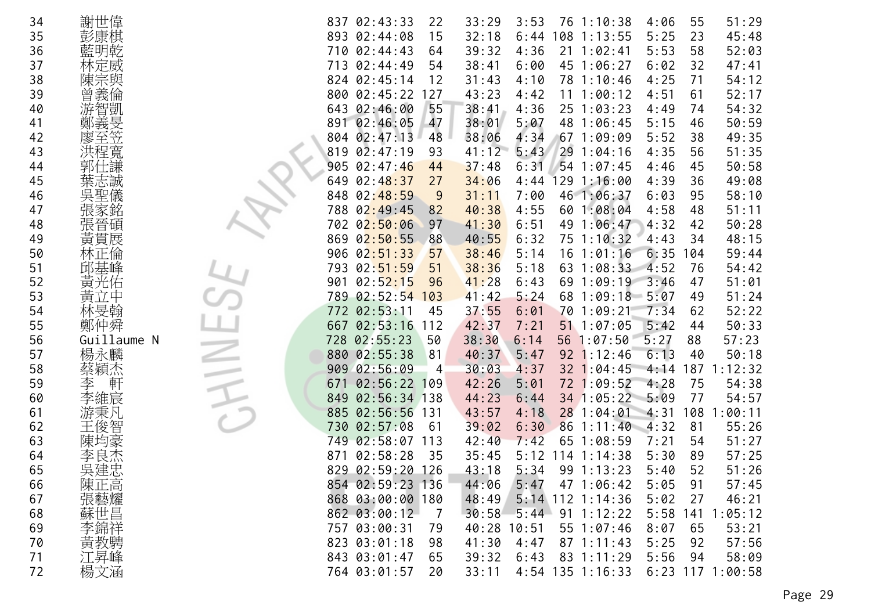| 34 | 謝世偉                                                                                                                      | 837 02:43:33<br>33:29<br>4:06<br>55<br>51:29<br>22<br>3:53<br>76 1:10:38                    |  |
|----|--------------------------------------------------------------------------------------------------------------------------|---------------------------------------------------------------------------------------------|--|
| 35 | 彭康棋                                                                                                                      | 5:25<br>23<br>02:44:08<br>15<br>32:18<br>45:48<br>893<br>6:44<br>108<br>1:13:55             |  |
| 36 | 藍明乾                                                                                                                      | 02:44:43<br>39:32<br>5:53<br>58<br>52:03<br>710<br>64<br>4:36<br>21<br>1:02:41              |  |
| 37 | 林定威                                                                                                                      | 02:44:49<br>38:41<br>45 1:06:27<br>6:02<br>32<br>713<br>54<br>6:00<br>47:41                 |  |
| 38 | 陳宗與                                                                                                                      | 31:43<br>4:25<br>71<br>54:12<br>824 02:45:14<br>12<br>4:10<br>78 1:10:46                    |  |
| 39 | 曾義倫                                                                                                                      | 52:17<br>800 02:45:22<br>127<br>43:23<br>4:51<br>61<br>4:42<br>11<br>1:00:12                |  |
| 40 | 游智凱                                                                                                                      | 643 02:46:00<br>55<br>38:41<br>25 1:03:23<br>54:32<br>4:36<br>4:49<br>74                    |  |
| 41 | 鄭義旻                                                                                                                      | 891 02:46:05<br>47<br>38:01<br>5:15<br>50:59<br>5:07<br>48 1:06:45<br>46                    |  |
| 42 | 廖至笠                                                                                                                      | 804 02:47:13<br>48<br>38:06<br>4:34<br>67<br>5:52<br>38<br>49:35<br>1:09:09                 |  |
| 43 | 悜寬                                                                                                                       | 819<br>$0\overline{2}:47:19$<br>41:12<br>29<br>4:35<br>56<br>51:35<br>93<br>5:43<br>1:04:16 |  |
| 44 | 郭仕謙                                                                                                                      | 905<br>02:47:46<br>37:48<br>$54$ 1:07:45<br>45<br>50:58<br>44<br>6:31<br>4:46               |  |
| 45 | 葉志誠                                                                                                                      | 02:48:37<br>34:06<br>129<br>4:39<br>36<br>49:08<br>27<br>4:44<br>1:16:00<br>649             |  |
| 46 | 吳聖儀                                                                                                                      | 02:48:59<br>46 1:06:37<br>6:03<br>95<br>58:10<br>848<br>9<br>31:11<br>7:00                  |  |
| 47 | 張家銘                                                                                                                      | 02:49:45<br>40:38<br>4:55<br>4:58<br>51:11<br>788<br>82<br>60 1:08:04<br>48                 |  |
| 48 | 張晉碩                                                                                                                      | 02:50:06<br>41:30<br>6:51<br>49<br>4:32<br>42<br>50:28<br>702<br>97<br>1:06:47              |  |
| 49 | 黃貫展                                                                                                                      | 869<br>02:50:55<br>40:55<br>6:32<br>75 1:10:32<br>48:15<br>88<br>4:43<br>34                 |  |
| 50 | 林正倫                                                                                                                      | 38:46<br>6:35<br>59:44<br>906 02:51:33<br>57<br>5:14<br>$16$ $1:01:16$<br>104               |  |
| 51 | 邱基峰                                                                                                                      | 02:51:59<br>38:36<br>1:08:33<br>4:52<br>54:42<br>793<br>51<br>5:18<br>63<br>76              |  |
| 52 | 黃光佑                                                                                                                      | 02:52:15<br>41:28<br>69 1:09:19<br>3:46<br>51:01<br>901<br>96<br>6:43<br>47                 |  |
| 53 | 黃立中                                                                                                                      | 02:52:54<br>41:42<br>5:24<br>51:24<br>789<br>103<br>68<br>1:09:18<br>5:07<br>49             |  |
| 54 | 林旻翰                                                                                                                      | 52:22<br>02:53:11<br>37:55<br>7:34<br>772<br>6:01<br>70<br>1:09:21<br>62<br>45              |  |
| 55 | 鄭仲舜                                                                                                                      | 02:53:16<br>42:37<br>51 1:07:05<br>5:42<br>50:33<br>667<br>112<br>7:21<br>44                |  |
| 56 | Guillaume N                                                                                                              | 5:27<br>57:23<br>02:55:23<br>38:30<br>728<br>50<br>6:14<br>56 1:07:50<br>88                 |  |
| 57 | 楊永麟                                                                                                                      | 6:13<br>880 02:55:38<br>81<br>40:37<br>92<br>1:12:46<br>40<br>50:18<br>5:47                 |  |
| 58 | 蔡穎杰                                                                                                                      | 909 02:56:09<br>30:03<br>187<br>1:12:32<br>4:37<br>32 1:04:45<br>4:14<br>4                  |  |
| 59 | 李<br>軒                                                                                                                   | 42:26<br>72 1:09:52<br>4:28<br>75<br>54:38<br>$02:56:22$ 109<br>5:01<br>671                 |  |
| 60 | 李維宸                                                                                                                      | 02:56:34 138<br>44:23<br>34 1:05:22<br>5:09<br>77<br>54:57<br>849<br>6:44                   |  |
| 61 | 游秉凡                                                                                                                      | 1:00:11<br>02:56:56<br>43:57<br>28 1:04:01<br>108<br>885<br>4:18<br>4:31<br>131             |  |
| 62 | 王俊智                                                                                                                      | 02:57:08<br>39:02<br>4:32<br>55:26<br>730<br>6:30<br>861:11:40<br>81<br>-61                 |  |
| 63 | 陳均豪                                                                                                                      | 51:27<br>02:58:07<br>42:40<br>7:21<br>54<br>749<br>113<br>7:42<br>65<br>1:08:59             |  |
| 64 | 李良杰                                                                                                                      | 02:58:28<br>5:12<br>$114$ 1:14:38<br>57:25<br>871<br>35<br>35:45<br>5:30<br>89              |  |
| 65 | 吳建忠                                                                                                                      | 829<br>02:59:20<br>43:18<br>5:34<br>99 1:13:23<br>52<br>51:26<br>126<br>5:40                |  |
| 66 | 陳正高                                                                                                                      | 854 02:59:23<br>44:06<br>5:47<br>5:05<br>57:45<br>136<br>47 1:06:42<br>91                   |  |
| 67 |                                                                                                                          | 868 03:00:00 180<br>48:49<br>5:14 112 1:14:36<br>5:02<br>27<br>46:21                        |  |
| 68 |                                                                                                                          | 30:58<br>5:44<br>5:58<br>141<br>1:05:12<br>862 03:00:12<br>$\overline{7}$<br>$91 \t1:12:22$ |  |
| 69 | 旅<br>藤<br>蘇<br>李<br><br><br><br><br><br><br><br><br><br><br><br><br><br><br><br><br><br><br><br><br><br><br><br><br><br> | 757 03:00:31<br>8:07<br>65<br>53:21<br>40:28 10:51<br>55 1:07:46<br>79                      |  |
| 70 | 黃教騁                                                                                                                      | 823 03:01:18<br>41:30<br>5:25<br>92<br>57:56<br>98<br>$87 \; 1:11:43$<br>4:47               |  |
| 71 | 江昇峰                                                                                                                      | 39:32<br>5:56<br>58:09<br>843 03:01:47<br>65<br>6:43<br>83 1:11:29<br>94                    |  |
| 72 | 楊文涵                                                                                                                      | $6:23$ 117 1:00:58<br>764 03:01:57<br>33:11<br>4:54 135 1:16:33<br>20                       |  |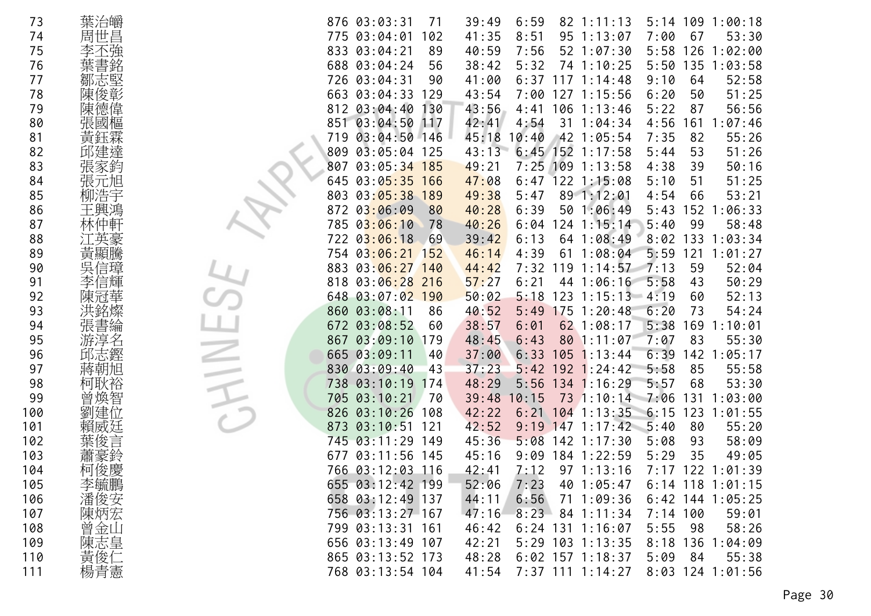| 73  | 葉治皭 | 5:14 109 1:00:18<br>876 03:03:31<br>39:49<br>6:59<br>71<br>$82 \; 1:11:13$          |
|-----|-----|-------------------------------------------------------------------------------------|
| 74  | 周世昌 | 775 03:04:01<br>8:51<br>95 1:13:07<br>102<br>41:35<br>7:00<br>67<br>53:30           |
| 75  |     | 833 03:04:21<br>40:59<br>7:56<br>52 1:07:30<br>89<br>5:58<br>126<br>1:02:00         |
| 76  |     | 688 03:04:24<br>38:42<br>5:32<br>74 1:10:25<br>5:50<br>135<br>1:03:58<br>56         |
| 77  | 鄒志堅 | 726 03:04:31<br>$6:37$ 117 1:14:48<br>9:10<br>52:58<br>90<br>41:00<br>64            |
| 78  | 陳俊彰 | 51:25<br>663 03:04:33<br>129<br>43:54<br>7:00 127 1:15:56<br>6:20<br>50             |
| 79  | 陳德偉 | 812 03:04:40<br>56:56<br>130<br>43:56<br>4:41 106 1:13:46<br>87<br>5:22             |
| 80  | 張國樞 | 851 03:04:50<br>42:41<br>4:54<br>4:56<br>117<br>31<br>161<br>1:07:46<br>1:04:34     |
| 81  | 黃鈺霖 | 03:04:50 146<br>45:18<br>42 1:05:54<br>7:35<br>82<br>55:26<br>719<br>10:40          |
| 82  | 邱建達 | $6:45$ 152 1:17:58<br>51:26<br>809<br>03:05:04<br>125<br>43:13<br>5:44<br>53        |
| 83  | 張家鈞 | 7:25<br>109<br>50:16<br>807<br>03:05:34 185<br>49:21<br>1:13:58<br>39<br>4:38       |
| 84  | 張元旭 | 122 1:15:08<br>645<br>03:05:35<br>166<br>47:08<br>51:25<br>6:47<br>5:10<br>51       |
| 85  | 柳浩宇 | 803<br>03:05:38 189<br>49:38<br>89 1:12:01<br>66<br>53:21<br>5:47<br>4:54           |
| 86  | 王興鴻 | 6:39<br>50 1:06:49<br>152<br>872<br>03:06:09<br>80<br>40:28<br>5:43<br>1:06:33      |
| 87  |     | 785<br>03:06:10<br>$24$ 1:15:14<br>5:40<br>99<br>58:48<br>78<br>40:26<br>6:04       |
| 88  |     | 722 03:06:18<br>39:42<br>6:13<br>64 1:08:49<br>8:02<br>133<br>1:03:34<br>- 69       |
| 89  | 黃顯騰 | 4:39<br>5:59<br>121<br>1:01:27<br>754<br>$03:06:21$ 152<br>46:14<br>61<br>1:08:04   |
| 90  | 吳信璋 | 883<br>$03:06:27$ 140<br>7:32<br>119<br>59<br>52:04<br>44:42<br>7:13<br>1:14:57     |
| 91  | 信輝  | 50:29<br>818<br>03:06:28 216<br>57:27<br>6:21<br>44 1:06:16<br>5:58<br>43           |
| 92  |     | 648<br>$03:07:02$ 190<br>$123$ $1:15:13$<br>52:13<br>50:02<br>5:18<br>$-4:19$<br>60 |
| 93  |     | 03:08:11<br>40:52<br>175<br>6:20<br>54:24<br>860<br>5:49<br>1:20:48<br>86<br>73     |
| 94  | 書綸  | 03:08:52<br>38:57<br>62 1:08:17<br>5:38<br>169<br>1:10:01<br>672<br>60<br>6:01      |
| 95  | 游淳名 | 03:09:10<br>48:45<br>7:07<br>83<br>55:30<br>867<br>179<br>6:43<br>80 1:11:07        |
| 96  | 邱志鏗 | 665 03:09:11<br>$105$ 1:13:44<br>6:39<br>142<br>1:05:17<br>37:00<br>6:33<br>40      |
| 97  | 蔣朝旭 | 830 03:09:40<br>5:42<br>85<br>55:58<br>43<br>37:23<br>$192 \; 1:24:42$<br>5:58      |
| 98  | 柯耿裕 | 134 1:16:29<br>68<br>53:30<br>738<br>03:10:19<br>48:29<br>5:56<br>5:57<br>174       |
| 99  |     | 705<br>03:10:21<br>39:48<br>73<br>7:06<br>0:15<br>1:10:14<br>131<br>1:03:00<br>70   |
| 100 | 劉   | 826<br>03:10:26<br>42:22<br>6:21<br>$104$ 1:13:35<br>6:15<br>123<br>1:01:55<br>108  |
| 101 | 賴威廷 | 55:20<br>873<br>03:10:51<br>121<br>42:52<br>9:19<br>$147$ 1:17:42<br>5:40<br>80     |
| 102 |     | 745 03:11:29<br>5:08<br>142<br>58:09<br>149<br>45:36<br>1:17:30<br>5:08<br>93       |
| 103 |     | 35<br>677 03:11:56<br>9:09<br>184 1:22:59<br>49:05<br>145<br>45:16<br>5:29          |
| 104 | 柯俊慶 | 766 03:12:03 116<br>42:41<br>7:12<br>971:13:16<br>122<br>7:17<br>1:01:39            |
| 105 | 李毓鵬 | 655 03:12:42 199<br>52:06<br>7:23<br>40 1:05:47<br>$6:14$ 118 1:01:15               |
| 106 | 潘俊安 | 658 03:12:49 137<br>6:56<br>44:11<br>71 1:09:36<br>$6:42$ 144 1:05:25               |
| 107 | 陳炳宏 | 8:23<br>756 03:13:27 167<br>47:16<br>$7:14$ 100<br>84 1:11:34<br>59:01              |
| 108 | 曾金山 | 799 03:13:31 161<br>$6:24$ 131 1:16:07<br>5:55<br>58:26<br>46:42<br>-98             |
| 109 | 陳志皇 | 656 03:13:49 107<br>42:21<br>5:29 103 1:13:35<br>8:18<br>136<br>1:04:09             |
| 110 | 黃俊仁 | 865 03:13:52 173<br>48:28<br>$6:02$ 157 1:18:37<br>5:09<br>84<br>55:38              |
| 111 | 楊青憲 | 768 03:13:54 104<br>41:54<br>7:37 111 1:14:27<br>8:03 124 1:01:56                   |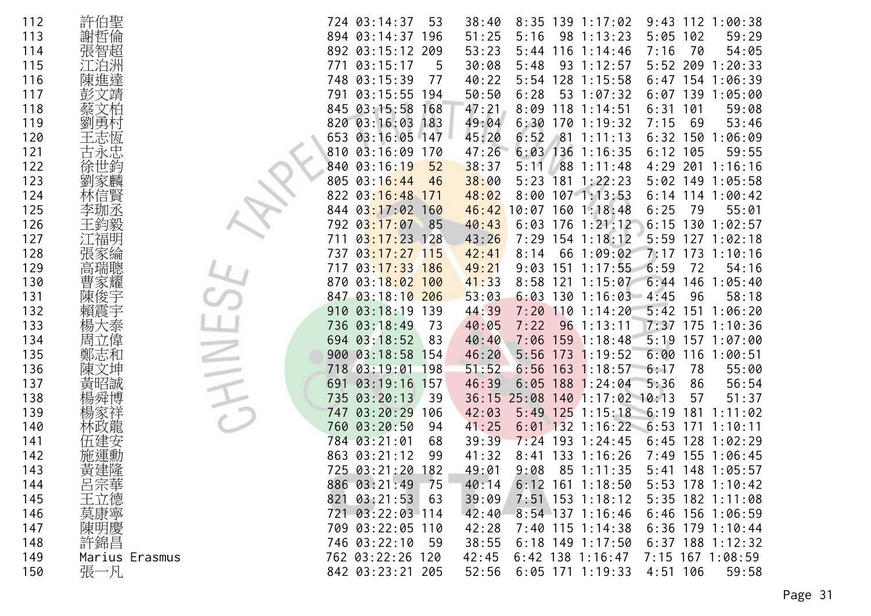| 112 | 許伯聖            | $112$ $1:00:38$<br>724 03:14:37<br>53<br>38:40<br>$8:35$ 139 1:17:02<br>9:43         |
|-----|----------------|--------------------------------------------------------------------------------------|
| 113 | 謝哲倫            | 894 03:14:37 196<br>51:25<br>5:16<br>98<br>5:05<br>102<br>59:29<br>1:13:23           |
| 114 | 張智超            | 892 03:15:12<br>209<br>53:23<br>7:16<br>116<br>70<br>54:05<br>5:44<br>1:14:46        |
| 115 |                | 5:52 209<br>03:15:17<br>30:08<br>1:20:33<br>771<br>5<br>5:48<br>93<br>1:12:57        |
| 116 | 陳進達            | 748 03:15:39<br>77<br>40:22<br>128<br>1:15:58<br>6:47<br>154 1:06:39<br>5:54         |
| 117 |                | 791 03:15:55<br>50:50<br>6:28<br>53<br>1:07:32<br>6:07<br>139<br>1:05:00<br>194      |
| 118 |                | 845 03:15:58<br>47:21<br>8:09<br>118<br>101<br>59:08<br>168<br>6:31<br>1:14:51       |
| 119 | 勇              | 49:04<br>820 03:16:03<br>6:30<br>1701:19:32<br>7:15<br>53:46<br>183<br>69            |
| 120 |                | 653 03:16:05 147<br>45:20<br>6:52<br>$6:32$ 150<br>81 1:11:13<br>1:06:09             |
| 121 |                | 47:26<br>$6:03$ 136<br>810 03:16:09<br>$6:12$ 105<br>59:55<br>170<br>1:16:35         |
| 122 | 徐世鈞            | 38:37<br>88 1:11:48<br>840<br>03:16:19<br>52<br>5:11<br>4:29 201 1:16:16             |
| 123 | 劉家麟            | 805 03:16:44<br>38:00<br>181<br>$5:02$ 149<br>5:23<br>1:22:23<br>1:05:58<br>46       |
| 124 | 林信賢            | 03:16:48<br>48:02<br>$8:00$ 107 1:13:53<br>$6:14$ 114 1:00:42<br>822<br>171          |
| 125 | 李珈氶            | 03:17:02 160<br>$46:42$ 10:07<br>1601:18:48<br>6:25<br>79<br>55:01<br>844            |
| 126 |                | 03:17:07<br>176<br>6:15<br>792<br>85<br>40:43<br>6:03<br>1:21:12<br>130<br>1:02:57   |
| 127 |                | $03:17:23$ 128<br>43:26<br>7:29 154 1:18:12<br>$5:59$ 127<br>1:02:18<br>711          |
| 128 | 張家綸            | 7:17<br>$173$ $1:10:16$<br>$03:17:27$ 115<br>42:41<br>66<br>1:09:02<br>737<br>8:14   |
| 129 | 高瑞聰            | 03:17:33<br>1:17:55<br>6:59<br>49:21<br>151<br>72<br>54:16<br>717<br>186<br>9:03     |
| 130 |                | 03:18:02<br>6:44<br>870<br>41:33<br>1:15:07<br>146<br>1:05:40<br>100<br>8:58<br>121  |
| 131 | 陳俊宇            | 847 03:18:10 206<br>53:03<br>$6:03$ 130 1:16:03<br>$-4:45$<br>96<br>58:18            |
| 132 |                | 03:18:19<br>5:42<br>151<br>910<br>139<br>44:39<br>7:20<br>110<br>1:14:20<br>1:06:20  |
| 133 | 楊<br>で泰        | 736 03:18:49<br>40:05<br>96.1:13:11<br>7:37<br>175<br>1:10:36<br>73<br>7:22          |
| 134 | 周立偉            | 5:19<br>694 03:18:52<br>83<br>40:40<br>7:06<br>$159$ 1:18:48<br>157 1:07:00          |
| 135 | 鄭志和            | 900 03:18:58<br>6:00<br>46:20<br>5:56<br>173<br>1:19:52<br>116<br>1:00:51<br>154     |
| 136 | 陳文坤            | 718 03:19:01<br>51:52<br>163<br>198<br>6:56<br>1:18:57<br>6:17<br>78<br>55:00        |
| 137 | 黃昭誠            | 03:19:16<br>46:39<br>188<br>5:36<br>86<br>56:54<br>691<br>157<br>6:05<br>1:24:04     |
| 138 |                | 03:20:13<br>735<br>39<br>36:15<br>25:08<br>$140$ 1:17:02 10:13<br>57<br>51:37        |
| 139 |                | 03:20:29<br>42:03<br>125<br>1:15:18<br>6:19<br>181<br>747<br>106<br>5:49<br>1:11:02  |
| 140 |                | 760<br>03:20:50<br>41:25<br>$132$ 1:16:22<br>$-6:53$<br>1:10:11<br>94<br>6:01<br>171 |
| 141 |                | 784 03:21:01<br>6:45<br>39:39<br>$7:24$ 193<br>1:24:45<br>128<br>1:02:29<br>68       |
| 142 |                | 863 03:21:12<br>41:32<br>133<br>1:16:26<br>7:49 155 1:06:45<br>99<br>8:41            |
| 143 | 黃建隆            | 182<br>85 1:11:35<br>725 03:21:20<br>49:01<br>9:08<br>5:41<br>148 1:05:57            |
| 144 | 呂宗華            | 886 03:21:49<br>75<br>$6:12$ 161 1:18:50<br>$5:53$ 178 1:10:42<br>40:14              |
| 145 | 王立德            | 821 03:21:53<br>39:09<br>$7:51$ 153 1:18:12<br>5:35 182 1:11:08<br>63                |
| 146 | 莫康寧            | 721 03:22:03 114<br>42:40<br>$8:54$ 137 1:16:46<br>6:46 156 1:06:59                  |
| 147 | 陳明慶            | 709 03:22:05 110<br>42:28<br>$7:40$ 115 1:14:38<br>$6:36$ 179 1:10:44                |
| 148 | 許錦昌            | 746 03:22:10<br>$6:18$ 149 1:17:50<br>$6:37$ 188 1:12:32<br>38:55<br>-59             |
| 149 | Marius Erasmus | 762 03:22:26 120<br>$6:42$ 138 1:16:47<br>7:15 167 1:08:59<br>42:45                  |
| 150 | 張一凡            | 6:05 171 1:19:33<br>842 03:23:21 205<br>52:56<br>$4:51$ 106<br>59:58                 |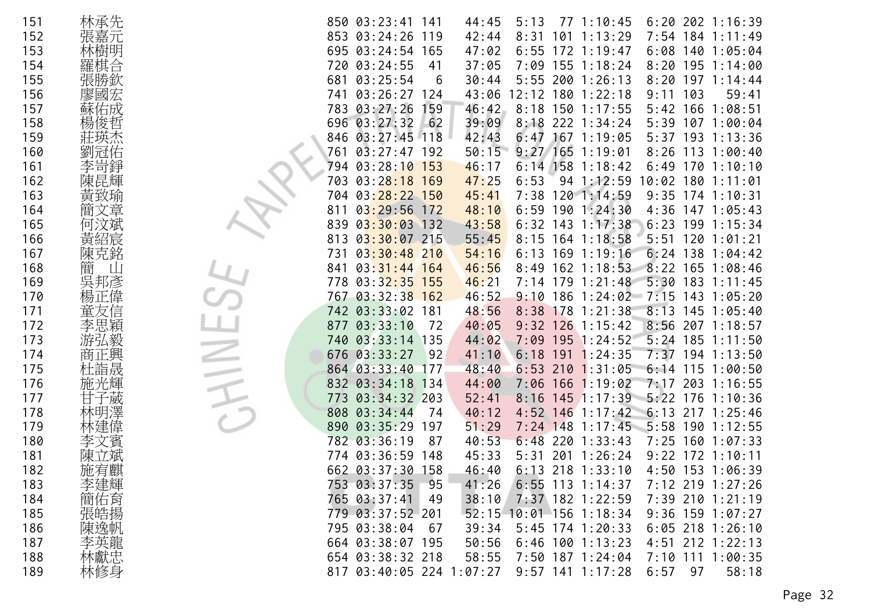| 151 | 林承先        | $6:20$ 202 1:16:39<br>850 03:23:41<br>44:45<br>771:10:45<br>141<br>5:13            |
|-----|------------|------------------------------------------------------------------------------------|
| 152 | 張嘉元        | 853<br>03:24:26<br>42:44<br>7:54<br>$184$ 1:11:49<br>119<br>8:31<br>101<br>1:13:29 |
| 153 | 林樹明        | 695<br>$03:24:54$ 165<br>47:02<br>6:55<br>172<br>1:19:47<br>6:08<br>140 1:05:04    |
| 154 |            | 03:24:55<br>7:09 155 1:18:24<br>720<br>37:05<br>$8:20$ 195 1:14:00<br>41           |
| 155 | 張勝欽        | 03:25:54<br>30:44<br>$5:55$ 200 1:26:13<br>8:20<br>$197 \t1:14:44$<br>681<br>6     |
| 156 | 廖國宏        | $03:26:27$ 124<br>$12:12$ 180<br>103<br>741<br>43:06<br>1:22:18<br>9:11<br>59:41   |
| 157 | 蘇佑成        | 783<br>03:27:26<br>46:42<br>8:18 150 1:17:55<br>159<br>5:42 166 1:08:51            |
| 158 | 楊俊哲        | 696 03:27:32<br>$-62$<br>39:09<br>8:18<br>222 1:34:24<br>5:39<br>107 1:00:04       |
| 159 |            | $03:27:45$ 118<br>42:43<br>846<br>6:47<br>$167$ 1:19:05<br>$5:37$ 193<br>1:13:36   |
| 160 |            | 50:15<br>$9:27$ 165 1:19:01<br>761<br>$03:27:47$ 192<br>$8:26$ 113 1:00:40         |
| 161 | 李岢錚        | $6:14$ 158 1:18:42<br>$03:28:10$ 153<br>46:17<br>6:49<br>170 1:10:10<br>794        |
| 162 | 陳昆輝        | $03:28:18$ 169<br>6:53<br>47:25<br>94 1:12:59<br>10:02<br>180<br>703<br>1:11:01    |
| 163 | 黃致瑜        | $03:28:22$ 150<br>7:38 120 1:14:59<br>$9:35$ 174 1:10:31<br>704<br>45:41           |
| 164 | 文章<br>簡    | $03:29:56$ 172<br>48:10<br>$6:59$ 190 1:24:30<br>4:36 147 1:05:43<br>811           |
| 165 |            | $03:30:03$ 132<br>43:58<br>143<br>839<br>6:32<br>1:17:38<br>6:23<br>199<br>1:15:34 |
| 166 | 黃紹宸        | $03:30:07$ 215<br>5:51<br>813<br>55:45<br>8:15 164 1:18:58<br>120 1:01:21          |
| 167 | 陳克銘        | $03:30:48$ 210<br>54:16<br>$6:13$ 169 1:19:16<br>$6:24$ 138 1:04:42<br>731         |
| 168 | 簡          | $8:22$ 165 1:08:46<br>$03:31:44$ 164<br>46:56<br>8:49<br>$162$ 1:18:53<br>841      |
| 169 | 吳邦彥        | $03:32:35$ 155<br>5:30 183 1:11:45<br>778<br>46:21<br>$7:14$ 179 1:21:48           |
| 170 | 偉          | 767 03:32:38 162<br>46:52<br>$9:10$ 186 1:24:02 7:15<br>143 1:05:20                |
| 171 |            | 742 03:33:02 181<br>48:56<br>8:38<br>178<br>1:21:38<br>8:13<br>145 1:05:40         |
| 172 | 李思穎        | 03:33:10<br>$9:32$ 126 1:15:42<br>8:56 207 1:18:57<br>40:05<br>877<br>-72          |
| 173 | 游弘毅        | $5:24$ 185 1:11:50<br>740 03:33:14 135<br>44:02<br>7:09<br>$195$ 1:24:52           |
| 174 | 商正興        | 676 03:33:27<br>7:37<br>41:10<br>6:18<br>1:24:35<br>194 1:13:50<br>92<br>191       |
| 175 | 杜詣晟        | 864 03:33:40<br>177<br>48:40<br>6:53<br>210<br>1:31:05<br>6:14<br>$115$ $1:00:50$  |
| 176 | 施光輝        | 832 03:34:18<br>44:00<br>7:06<br>$166$ 1:19:02<br>7:17<br>134<br>203 1:16:55       |
| 177 | 威          | 03:34:32 203<br>$145$ 1:17:39 5:22<br>773<br>52:41<br>176<br>8:16<br>1:10:36       |
| 178 |            | 1:17:42<br>6:13 217 1:25:46<br>808<br>03:34:44<br>40:12<br>$4:52$ 146<br>74        |
| 179 | 林建偉        | 890<br>03:35:29<br>197<br>51:29<br>$7:24$ 148 1:17:45<br>5:58 190 1:12:55          |
| 180 | 文賓         | 782 03:36:19<br>87<br>40:53<br>$6:48$ 220<br>1:33:43<br>$7:25$ 160 1:07:33         |
| 181 |            | 774 03:36:59<br>45:33<br>5:31<br>201<br>1:26:24<br>$9:22$ 172 1:10:11<br>148       |
| 182 | 施宥麒        | 662 03:37:30 158<br>46:40<br>$6:13$ 218 1:33:10<br>4:50 153 1:06:39                |
| 183 | 李建輝        | 753 03:37:35<br>95<br>41:26<br>$6:55$ 113 1:14:37<br>7:12 219 1:27:26              |
| 184 | 簡佑育        | 765 03:37:41<br>38:10<br>7:37 182 1:22:59<br>7:39 210 1:21:19<br>49                |
| 185 | 張皓揚        | 52:15 10:01 156 1:18:34<br>$9:36$ 159 1:07:27<br>779 03:37:52 201                  |
| 186 | 陳逸帆        | 795 03:38:04<br>39:34<br>5:45 174 1:20:33<br>$6:05$ 218 1:26:10<br>67              |
| 187 |            | 664 03:38:07 195<br>$6:46$ 100 1:13:23<br>4:51 212 1:22:13<br>50:56                |
| 188 | 李英龍<br>林獻忠 | 7:10 111 1:00:35<br>654 03:38:32 218<br>58:55<br>7:50 187 1:24:04                  |
| 189 | 林修身        | $9:57$ 141 1:17:28<br>6:57<br>58:18<br>817 03:40:05 224 1:07:27<br>97              |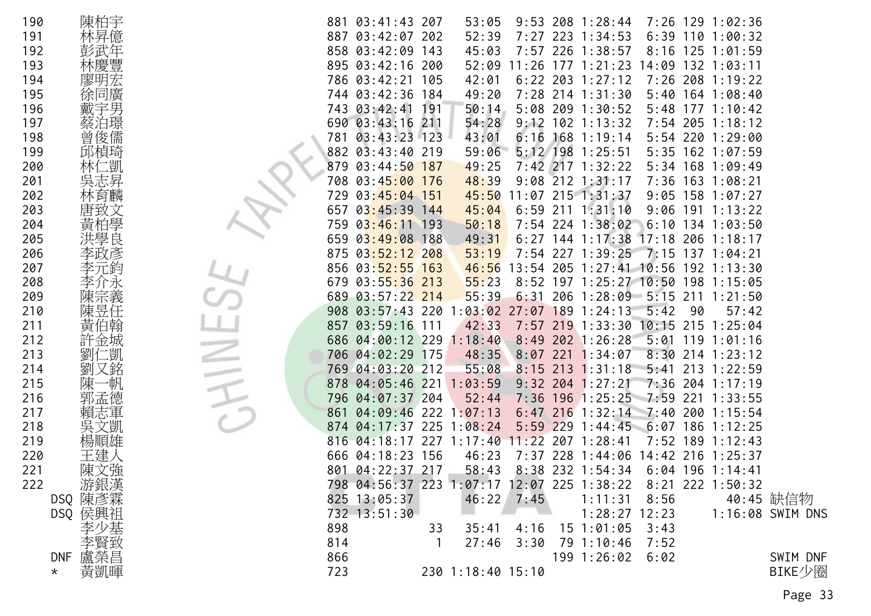| 190 | 陳柏宇            |     | 881 03:41:43 207                           |     | 53:05             |              |     | $9:53$ 208 1:28:44                 |            |     | 7:26 129 1:02:36   |                  |
|-----|----------------|-----|--------------------------------------------|-----|-------------------|--------------|-----|------------------------------------|------------|-----|--------------------|------------------|
| 191 | 林昇億            | 887 | 03:42:07 202                               |     | 52:39             | 7:27         |     | 223 1:34:53                        | 6:39       |     | 110 1:00:32        |                  |
| 192 | 彭武年            |     | 858 03:42:09 143                           |     | 45:03             |              |     | 7:57 226 1:38:57                   |            |     | 8:16 125 1:01:59   |                  |
| 193 | 林慶豐            |     | 895 03:42:16 200                           |     | 52:09             |              |     | $11:26$ 177 $1:21:23$              |            |     | 14:09 132 1:03:11  |                  |
| 194 | 廖明宏            |     | 786 03:42:21 105                           |     | 42:01             |              |     | $6:22$ 203 1:27:12                 | 7:26       |     | 208 1:19:22        |                  |
| 195 | 徐同廣            |     | 744 03:42:36 184                           |     | 49:20             |              |     | 7:28 214 1:31:30                   |            |     | 5:40 164 1:08:40   |                  |
| 196 | 戴宇男            |     | 743 03:42:41                               | 191 | 50:14             |              |     | 5:08 209 1:30:52                   | 5:48       |     | 1771:10:42         |                  |
| 197 | 蔡泊璟            |     | 690 03:43:16 211                           |     | 54:28             |              |     | $9:12$ 102 1:13:32                 | 7:54       |     | 205 1:18:12        |                  |
| 198 | 曾俊儒            | 781 | $03:43:23$ 123                             |     | 43:01             | 6:16         |     | 168 1:19:14                        |            |     | 5:54 220 1:29:00   |                  |
| 199 | 邱楨琦            |     | 882 03:43:40 219                           |     | 59:06             |              |     | 5:12 198 1:25:51                   |            |     | 5:35 162 1:07:59   |                  |
| 200 | 林仁凱            | 879 | 03:44:50 187                               |     | 49:25             |              |     | 7:42 217 1:32:22                   | 5:34       |     | $168$ 1:09:49      |                  |
| 201 | 吳志昇            | 708 | 03:45:00 176                               |     | 48:39             |              |     | $9:08$ 212 1:31:17                 |            |     | 7:36 163 1:08:21   |                  |
| 202 | 林育麟            | 729 | 03:45:04 151                               |     | 45:50             |              |     | 11:07 215 1:31:37                  |            |     | $9:05$ 158 1:07:27 |                  |
| 203 | 唐致文            | 657 | $03:45:39$ 144                             |     | 45:04             | 6:59         |     | $211 \t1:31:10$                    | 9:06       |     | $191 \t1:13:22$    |                  |
| 204 | 黃柏學            | 759 | $03:46:11$ 193                             |     | 50:18             |              |     | 7:54 224 1:38:02                   |            |     | $6:10$ 134 1:03:50 |                  |
| 205 | 洪學良            |     | 659 03:49:08 188                           |     | 49:31             |              |     | $6:27$ 144 1:17:38 17:18           |            |     | 206 1:18:17        |                  |
| 206 | 李政彥            | 875 | $03:52:12$ 208                             |     | 53:19             |              |     | 7:54 227 1:39:25 7:15 137 1:04:21  |            |     |                    |                  |
| 207 | 李元鈞            |     | 856 03:52:55 163                           |     | 46:56             | 13:54        | 205 | $1:27:41$ 10:56                    |            |     | $192$ $1:13:30$    |                  |
| 208 | 李介永            |     | 679 03:55:36 213                           |     | 55:23             |              |     | 8:52 197 1:25:27 10:50 198 1:15:05 |            |     |                    |                  |
| 209 | 陳宗義            | 689 | $03:57:22$ 214                             |     | 55:39             | 6:31         |     | 206 1:28:09 5:15                   |            | 211 | 1:21:50            |                  |
| 210 | 陳昱任            | 908 | $03:57:43$ 220                             |     | 03:02             | 27:07        | 189 | 1:24:13                            | 5:42       | 90  | 57:42              |                  |
| 211 | 黃伯翰            | 857 | $03:59:16$ 111                             |     | 42:33             |              |     | 7:57 219 1:33:30 10:15             |            | 215 | 1:25:04            |                  |
| 212 | 許金城            |     | 686 04:00:12 229                           |     | 1:18:40           |              |     | $8:49$ 202 1:26:28                 | 5:01       |     | $119$ $1:01:16$    |                  |
| 213 | 仁凱<br>劉        |     | 706 04:02:29 175                           |     | 48:35             | 8:07         | 221 | 1:34:07                            | 8:30       |     | $214$ 1:23:12      |                  |
| 214 | 劉又銘            |     | 769 04:03:20 212                           |     | 55:08             | 8:15         | 213 | 1:31:18                            | 5:41       |     | 213 1:22:59        |                  |
| 215 | →帆<br>陳−       | 878 | $04:05:46$ 221 1:03:59                     |     |                   |              |     | $9:32$ 204 1:27:21                 |            |     | 7:36 204 1:17:19   |                  |
| 216 | 郭孟德            | 796 | 04:07:37 204                               |     | 52:44             |              |     | 7:36 196 1:25:25                   | $7:59$ 221 |     | 1:33:55            |                  |
| 217 | 賴志軍            | 861 | $04:09:46$ 222                             |     | 1:07:13           |              |     | $6:47$ 216 1:32:14 7:40            |            |     | 200 1:15:54        |                  |
| 218 | 吳文凱            | 874 | 04:17:37 225 1:08:24                       |     |                   | 5:59         |     | 2291:44:45                         | 6:07       |     | $186$ 1:12:25      |                  |
| 219 | 楊順雄            | 816 | $04:18:17$ 227 1:17:40                     |     |                   | 11:22        | 207 | 1:28:41                            |            |     | 7:52 189 1:12:43   |                  |
| 220 | 王建人            |     | 666 04:18:23 156                           |     | 46:23             |              |     | 7:37 228 1:44:06                   |            |     | 14:42 216 1:25:37  |                  |
| 221 | 陳文強            |     | 801 04:22:37 217                           |     | 58:43             |              |     | 8:38 232 1:54:34                   |            |     | $6:04$ 196 1:14:41 |                  |
| 222 | 游銀漢            |     | 798 04:56:37 223 1:07:17 12:07 225 1:38:22 |     |                   |              |     |                                    |            |     | 8:21 222 1:50:32   |                  |
|     | DSQ 陳彥霖        |     | 825 13:05:37                               |     |                   | $46:22$ 7:45 |     | 1:11:31                            | 8:56       |     |                    | 40:45 缺信物        |
|     | DSQ 侯興祖        |     | 732 13:51:30                               |     |                   |              |     | $1:28:27$ 12:23                    |            |     |                    | 1:16:08 SWIM DNS |
|     |                | 898 |                                            | 33  | 35:41             | 4:16         |     | 15 1:01:05                         | 3:43       |     |                    |                  |
|     |                | 814 |                                            |     | 27:46             | 3:30         |     | 79 1:10:46                         | 7:52       |     |                    |                  |
|     | DNF 盧榮昌        | 866 |                                            |     |                   |              |     | 199 1:26:02                        | 6:02       |     |                    | SWIM DNF         |
|     | 黃凱暉<br>$\star$ | 723 |                                            |     | 230 1:18:40 15:10 |              |     |                                    |            |     |                    | BIKE少圈           |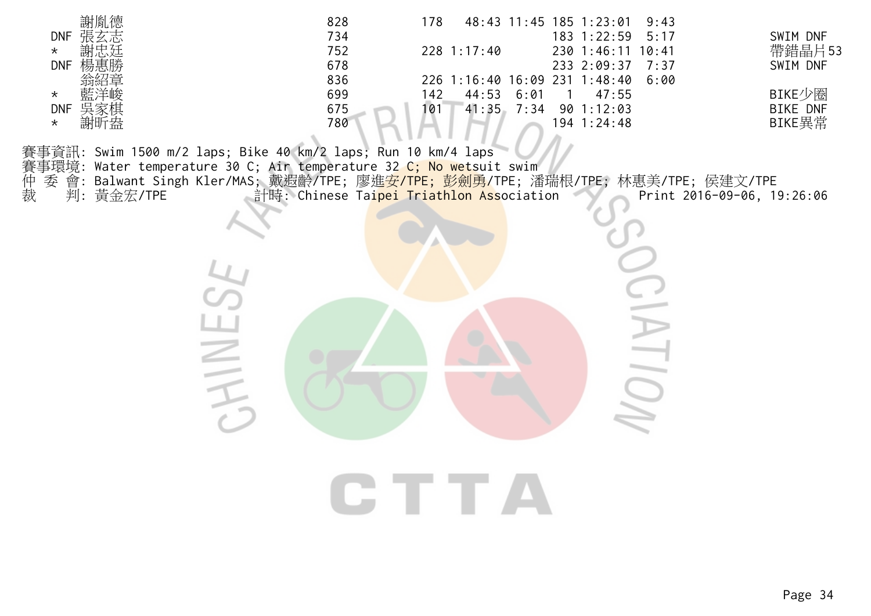| 謝胤德<br><b>DNF</b><br>$\star$<br><b>DNF</b><br>$\star$<br><b>DNF</b><br>吳家棋<br>謝昕盎<br>$\star$ | 828<br>178<br>48:43 11:45 185 1:23:01<br>9:43<br>734<br>183 1:22:59<br>5:17<br>752<br>228 1:17:40<br>230 1:46:11 10:41<br>678<br>233 2:09:37<br>7:37<br>836<br>226 1:16:40 16:09 231 1:48:40<br>6:00<br>699<br>44:53<br>6:01<br>142<br>47:55<br>-1<br>675<br>41:35<br>7:34<br>90 1:12:03<br>101<br>780<br>194 1:24:48                                                  | SWIM DNF<br>帶錯晶片53<br>SWIM DNF<br>BIKE少圈<br><b>BIKE DNF</b><br>BIKE異常 |
|----------------------------------------------------------------------------------------------|------------------------------------------------------------------------------------------------------------------------------------------------------------------------------------------------------------------------------------------------------------------------------------------------------------------------------------------------------------------------|-----------------------------------------------------------------------|
| 仲裁<br>委<br>判:黃金宏/TPE                                                                         | 賽事資訊: Swim 1500 m/2 laps; Bike 40 km/2 laps; Run 10 km/4 laps<br>賽事環境: Water temperature 30 C; Air temperature 32 C; No wetsuit swim<br>會: Balwant Singh Kler/MAS; 戴遐齡/TPE; 廖進 <mark>安/TPE; 彭劍勇/</mark> TPE; 潘瑞根/TPE; 林惠美/TPE; 侯建文/TPE<br>着手: Chinese Tai <mark>pei Triathlon Ass</mark> ociation<br>Print 2016-09-06, 19:26:06<br>N<br>T<br><b>IOI</b><br><b>CTTA</b> |                                                                       |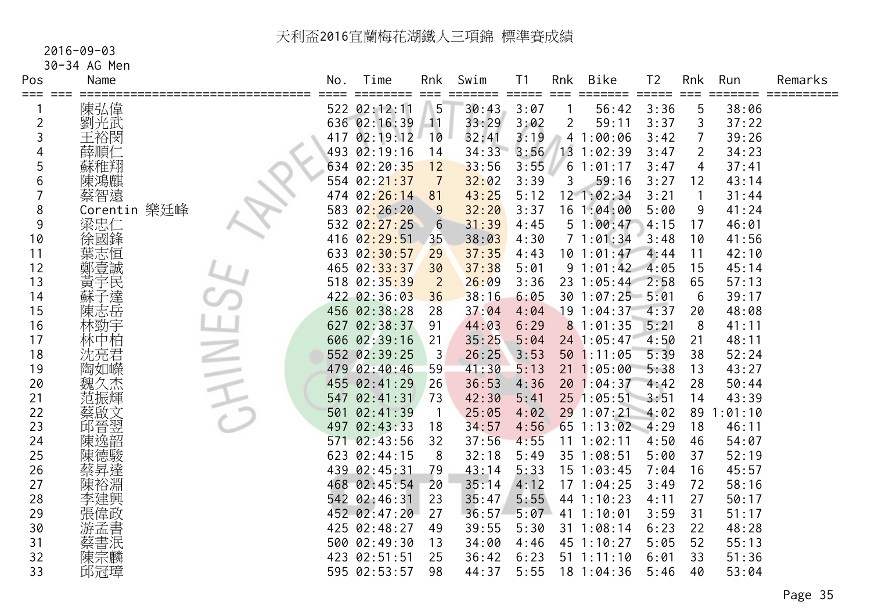#### 2016-09-03

30-34 AG Men

| Pos<br>===     | Name            |                          | No. | Time         | Rnk            | Swim  | T <sub>1</sub> | Rnk         | Bike              | T <sub>2</sub> | Rnk            | Run     | Remarks |
|----------------|-----------------|--------------------------|-----|--------------|----------------|-------|----------------|-------------|-------------------|----------------|----------------|---------|---------|
|                | 陳弘偉             |                          |     | 522 02:12:11 | 5              | 30:43 | 3:07           |             | 56:42             | 3:36           | 5              | 38:06   |         |
| $\overline{c}$ | 劉光武             |                          |     | 636 02:16:39 | 11             | 33:29 | 3:02           | 2           | 59:11             | 3:37           | 3              | 37:22   |         |
| 3              | 王裕閔             |                          |     | 417 02:19:12 | 10             | 32:41 | 3:19           |             | 41:00:06          | 3:42           | 7              | 39:26   |         |
| 4              | 薛順仁             |                          |     | 493 02:19:16 | 14             | 34:33 | 3:56           | 13          | 1:02:39           | 3:47           | $\overline{2}$ | 34:23   |         |
| 5              | 蘇稚翔             |                          |     | 634 02:20:35 | 12             | 33:56 | 3:55           | $6^{\circ}$ | 1:01:17           | 3:47           | 4              | 37:41   |         |
| 6              | 陳鴻麒             |                          |     | 554 02:21:37 | $\overline{7}$ | 32:02 | 3:39           | 3           | 59:16             | 3:27           | 12             | 43:14   |         |
|                | 蔡智遠             |                          |     | 474 02:26:14 | 81             | 43:25 | 5:12           |             | 12 1:02:34        | 3:21           |                | 31:44   |         |
| 8              | 樂廷峰<br>Corentin |                          |     | 583 02:26:20 | 9              | 32:20 | 3:37           |             | 161:04:00         | 5:00           | 9              | 41:24   |         |
| 9              | 梁忠仁             |                          |     | 532 02:27:25 | 6              | 31:39 | 4:45           |             | 51:00:47          | 4:15           | 17             | 46:01   |         |
| 10             | 徐國鋒             |                          |     | 416 02:29:51 | 35             | 38:03 | 4:30           |             | 71:01:34          | 3:48           | 10             | 41:56   |         |
| 11             | 葉志恒             |                          |     | 633 02:30:57 | 29             | 37:35 | 4:43           |             | 101:01:47         | 4:44           | 11             | 42:10   |         |
| 12             | 鄭壹誠             |                          |     | 465 02:33:37 | 30             | 37:38 | 5:01           |             | 91:01:42          | 4:05           | 15             | 45:14   |         |
| 13             | 黃字民             |                          |     | 518 02:35:39 | $\overline{2}$ | 26:09 | 3:36           |             | 23 1:05:44        | 2:58           | 65             | 57:13   |         |
| 14             | 蘇子達             |                          |     | 422 02:36:03 | 36             | 38:16 | 6:05           |             | 30 1:07:25        | $-5:01$        | 6              | 39:17   |         |
| 15             | 陳志岳             |                          |     | 456 02:38:28 | 28             | 37:04 | 4:04           |             | 19 1:04:37        | 4:37           | 20             | 48:08   |         |
| 16             | 林勁宇             |                          |     | 627 02:38:37 | 91             | 44:03 | 6:29           |             | 81:01:35          | 5:21           | 8              | 41:11   |         |
| 17             | 林中柏             |                          |     | 606 02:39:16 | 21             | 35:25 | 5:04           |             | 24 1:05:47        | 4:50           | 21             | 48:11   |         |
| 18             | 沈亮君             | <b>Contract Contract</b> |     | 552 02:39:25 | -3             | 26:25 | 3:53           |             | 50 1:11:05        | 5:39           | 38             | 52:24   |         |
| 19             | 陶如嶸             |                          |     | 479 02:40:46 | 59             | 41:30 | 5:13           |             | $21 \t1:05:00$    | 5:38           | 13             | 43:27   |         |
| 20             | 魏久杰             |                          |     | 455 02:41:29 | 26             | 36:53 | 4:36           |             | 201:04:37         | 4:42           | 28             | 50:44   |         |
| 21             | 范振輝             |                          | 547 | 02:41:31     | 73             | 42:30 | 5:41           |             | $25$ 1:05:51 3:51 |                | 14             | 43:39   |         |
| 22             | 蔡啟文             |                          | 501 | 02:41:39     | -1             | 25:05 | 4:02           |             | 29 1:07:21        | 4:02           | 89             | 1:01:10 |         |
| 23             | 邱晉翌             |                          | 497 | 02:43:33     | 18             | 34:57 | 4:56           |             | 65 1:13:02        | 4:29           | 18             | 46:11   |         |
| 24             | 陳逸韶             |                          | 571 | 02:43:56     | 32             | 37:56 | 4:55           |             | 11 1:02:11        | 4:50           | 46             | 54:07   |         |
| 25             | 陳德駿             |                          |     | 623 02:44:15 | 8              | 32:18 | 5:49           |             | 35 1:08:51        | 5:00           | 37             | 52:19   |         |
| 26             | 蔡昇達             |                          |     | 439 02:45:31 | 79             | 43:14 | 5:33           |             | $15$ $1:03:45$    | 7:04           | 16             | 45:57   |         |
| 27             | 陳裕淵             |                          |     | 468 02:45:54 | 20             | 35:14 | 4:12           |             | 171:04:25         | 3:49           | 72             | 58:16   |         |
| 28             | 李建興             |                          |     | 542 02:46:31 | 23             | 35:47 | 5:55           |             | 44 1:10:23        | 4:11           | 27             | 50:17   |         |
| 29             | 張偉政             |                          |     | 452 02:47:20 | 27             | 36:57 | 5:07           |             | 41 1:10:01        | 3:59           | 31             | 51:17   |         |
| 30             | 游孟書             |                          |     | 425 02:48:27 | 49             | 39:55 | 5:30           |             | 31 1:08:14        | 6:23           | 22             | 48:28   |         |
| 31             | 蔡書泯             |                          |     | 500 02:49:30 | 13             | 34:00 | 4:46           |             | 45 1:10:27        | 5:05           | 52             | 55:13   |         |
| 32             | 陳宗麟             |                          |     | 423 02:51:51 | 25             | 36:42 | 6:23           |             | $51 \t1:11:10$    | 6:01           | 33             | 51:36   |         |
| 33             | 邱冠璋             |                          |     | 595 02:53:57 | 98             | 44:37 | 5:55           |             | 18 1:04:36        | 5:46           | 40             | 53:04   |         |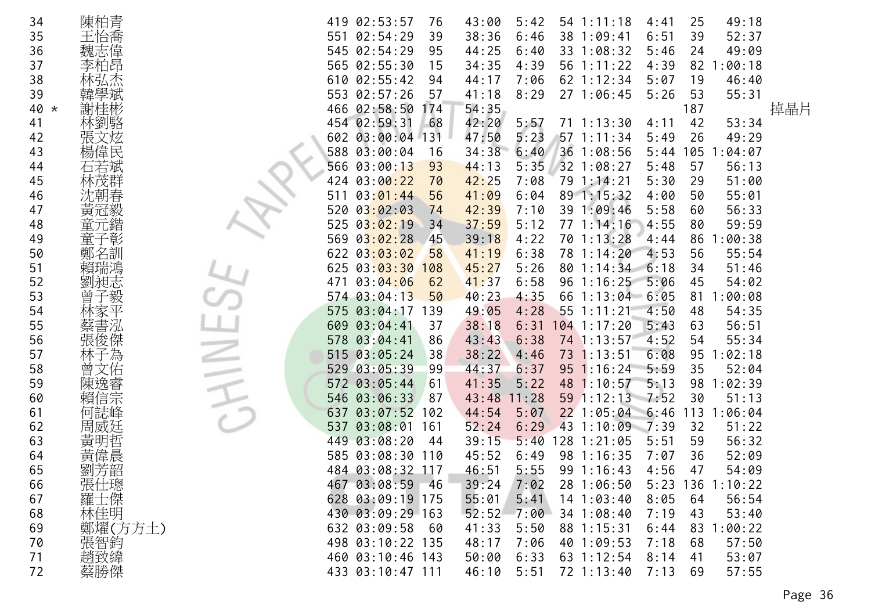| 34     | 陳柏青        |     | 419 02:53:57     | 76  | 43:00 | 5:42  | $54$ 1:11:18      | 4:41 | 25  | 49:18            |     |
|--------|------------|-----|------------------|-----|-------|-------|-------------------|------|-----|------------------|-----|
| 35     | 王怡喬        | 551 | 02:54:29         | 39  | 38:36 | 6:46  | 38 1:09:41        | 6:51 | 39  | 52:37            |     |
| 36     | 魏志偉        |     | 545 02:54:29     | 95  | 44:25 | 6:40  | 33 1:08:32        | 5:46 | 24  | 49:09            |     |
| 37     | 李柏昂        |     | 565 02:55:30     | 15  | 34:35 | 4:39  | 56 1:11:22        | 4:39 | 82  | 1:00:18          |     |
| 38     |            | 610 | 02:55:42         | 94  | 44:17 | 7:06  | 62 1:12:34        | 5:07 | 19  | 46:40            |     |
| 39     |            |     | 553 02:57:26     | 57  | 41:18 | 8:29  | 27 1:06:45        | 5:26 | 53  | 55:31            |     |
| $40 *$ | 謝桂彬        |     | 466 02:58:50     | 174 | 54:35 |       |                   |      | 187 |                  | 掉晶片 |
| 41     | 林劉駱        |     | 454 02:59:31     | 68  | 42:20 | 5:57  | $71 \t1:13:30$    | 4:11 | 42  | 53:34            |     |
| 42     | 文炫         |     | 602 03:00:04 131 |     | 47:50 | 5:23  | $57$ 1:11:34      | 5:49 | 26  | 49:29            |     |
| 43     | 楊偉民        |     | 588 03:00:04     | 16  | 34:38 | 6:40  | 36 1:08:56        | 5:44 | 105 | 1:04:07          |     |
| 44     |            |     | 566 03:00:13     | 93  | 44:13 | 5:35  | 32 1:08:27        | 5:48 | 57  | 56:13            |     |
| 45     | 芠群         | 424 | 03:00:22         | 70  | 42:25 | 7:08  | 79 1:14:21        | 5:30 | 29  | 51:00            |     |
| 46     | 沈朝春        |     | 03:01:44         | 56  | 41:09 | 6:04  | 89 1:15:32        | 4:00 | 50  | 55:01            |     |
| 47     | 黃冠毅        | 520 | 03:02:03         | 74  | 42:39 | 7:10  | 39 1:09:46        | 5:58 | 60  | 56:33            |     |
| 48     | 元鍇         |     | 525 $03:02:19$   | 34  | 37:59 | 5:12  | $77 \t1:14:16$    | 4:55 | 80  | 59:59            |     |
| 49     | 童子彰        |     | 569 $03:02:28$   | 45  | 39:18 | 4:22  | 70 1:13:28        | 4:44 | 86  | 1:00:38          |     |
| 50     | 鄭名訓        |     | 622 03:03:02     | 58  | 41:19 | 6:38  | 78 1:14:20        | 4:53 | 56  | 55:54            |     |
| 51     |            |     | 625 03:03:30     | 108 | 45:27 | 5:26  | 801:14:34         | 6:18 | 34  | 51:46            |     |
| 52     | 劉昶志        | 471 | 03:04:06         | 62  | 41:37 | 6:58  | $96 \t1:16:25$    | 5:06 | 45  | 54:02            |     |
| 53     | 子毅<br>曽    |     | 574 03:04:13     | 50  | 40:23 | 4:35  | 66 1:13:04        | 6:05 | 81  | 1:00:08          |     |
| 54     |            |     | 575 03:04:17     | 139 | 49:05 | 4:28  | 551:11:21         | 4:50 | 48  | 54:35            |     |
| 55     | 蔡書泓        |     | 609 03:04:41     | 37  | 38:18 | 6:31  | $104$ 1:17:20     | 5:43 | 63  | 56:51            |     |
| 56     | 張俊傑        |     | 578 03:04:41     | 86  | 43:43 | 6:38  | 74 1:13:57        | 4:52 | 54  | 55:34            |     |
| 57     | 子為         |     | 515 03:05:24     | 38  | 38:22 | 4:46  | 73 1:13:51        | 6:08 | 95  | 1:02:18          |     |
| 58     | 文佑         |     | 529 03:05:39     | 99  | 44:37 | 6:37  | $95 \t1:16:24$    | 5:59 | 35  | 52:04            |     |
| 59     |            | 572 | 03:05:44         | 61  | 41:35 | 5:22  | 48 1:10:57        | 5:13 | 98  | 1:02:39          |     |
| 60     | 信宗         |     | 546 03:06:33     | 87  | 43:48 | 11:28 | 59 1:12:13 7:52   |      | 30  | 51:13            |     |
| 61     | 何誌峰        | 637 | $03:07:52$ 102   |     | 44:54 | 5:07  | $22$ 1:05:04 6:46 |      |     | 113 1:06:04      |     |
| 62     |            | 537 | 03:08:01         | 161 | 52:24 | 6:29  | 43 1:10:09 7:39   |      | 32  | 51:22            |     |
| 63     | 黃          |     | 449 03:08:20     | -44 | 39:15 | 5:40  | 128 1:21:05       | 5:51 | 59  | 56:32            |     |
| 64     | 黃偉晨        |     | 585 03:08:30 110 |     | 45:52 | 6:49  | 98 1:16:35        | 7:07 | 36  | 52:09            |     |
| 65     | 劉芳韶        |     | 484 03:08:32 117 |     | 46:51 | 5:55  | 99 1:16:43        | 4:56 | 47  | 54:09            |     |
| 66     |            |     | 467 03:08:59     | -46 | 39:24 | 7:02  | 281:06:50         |      |     | 5:23 136 1:10:22 |     |
| 67     | 張仕璁        |     | 628 03:09:19 175 |     | 55:01 | 5:41  | $14$ 1:03:40      | 8:05 | 64  | 56:54            |     |
| 68     | 林佳明        |     | 430 03:09:29 163 |     | 52:52 | 7:00  | 34 1:08:40        | 7:19 | 43  | 53:40            |     |
| 69     | 鄭燿(方方土)    |     | 632 03:09:58 60  |     | 41:33 | 5:50  | 88 1:15:31        | 6:44 | 83  | 1:00:22          |     |
| 70     |            |     | 498 03:10:22 135 |     | 48:17 | 7:06  | 40 1:09:53        | 7:18 | 68  | 57:50            |     |
| 71     | 張智鈞<br>趙致緯 |     | 460 03:10:46 143 |     | 50:00 | 6:33  | 63 1:12:54        | 8:14 | 41  | 53:07            |     |
| 72     | 蔡勝傑        |     | 433 03:10:47 111 |     | 46:10 | 5:51  | 72 1:13:40        | 7:13 | 69  | 57:55            |     |
|        |            |     |                  |     |       |       |                   |      |     |                  |     |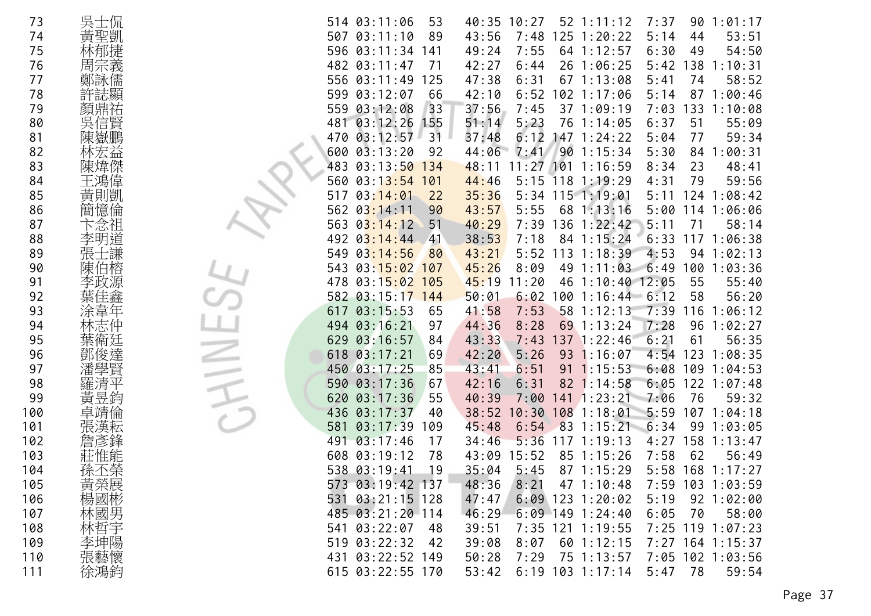| 73  | 吳士侃 | 514 03:11:06<br>53<br>40:35 10:27<br>52 1:11:12<br>7:37<br>1:01:17<br>90            |
|-----|-----|-------------------------------------------------------------------------------------|
| 74  | 黃聖凱 | 125 1:20:22<br>507 03:11:10<br>89<br>43:56<br>7:48<br>5:14<br>44<br>53:51           |
| 75  |     | 596<br>03:11:34<br>49:24<br>7:55<br>54:50<br>141<br>64 1:12:57<br>6:30<br>49        |
| 76  | 周宗義 | 482 03:11:47<br>71<br>42:27<br>6:44<br>26 1:06:25<br>5:42<br>138<br>1:10:31         |
| 77  | 鄭詠儒 | 556<br>03:11:49<br>125<br>47:38<br>6:31<br>67 1:13:08<br>5:41<br>74<br>58:52        |
| 78  |     | 599<br>03:12:07<br>42:10<br>6:52<br>102 1:17:06<br>87<br>1:00:46<br>66<br>5:14      |
| 79  | 顏鼎祐 | 559 03:12:08<br>33<br>37:56<br>7:45<br>37 1:09:19<br>133<br>1:10:08<br>7:03         |
| 80  | 吳信賢 | 5:23<br>481<br>03:12:26<br>155<br>51:14<br>76 1:14:05<br>6:37<br>51<br>55:09        |
| 81  | 陳嶽鵬 | 03:12:57<br>37:48<br>6:12<br>147 1:24:22<br>5:04<br>59:34<br>470<br>31<br>77        |
| 82  | 林宏益 | 44:06<br>600<br>03:13:20<br>92<br>7:41<br>90 1:15:34<br>5:30<br>:00:31<br>84        |
| 83  | 陳煒傑 | 483<br>$11:27$ 101<br>03:13:50<br>134<br>48:11<br>1:16:59<br>8:34<br>23<br>48:41    |
| 84  | 王鴻偉 | 44:46<br>5:15<br>$118$ 1:19:29<br>79<br>59:56<br>560<br>03:13:54<br>101<br>4:31     |
| 85  | 黃則凱 | 03:14:01<br>35:36<br>5:34 115 1:19:01<br>124<br>1:08:42<br>517<br>22<br>5:11        |
| 86  | 簡憶倫 | 68 1:13:16<br>562<br>03:14:11<br>90<br>43:57<br>5:55<br>1:06:06<br>5:00<br>114      |
| 87  |     | 563<br>40:29<br>7:39<br>136<br>5:11<br>03:14:12<br>51<br>1:22:42<br>71<br>58:14     |
| 88  | 李明道 | 492<br>03:14:44<br>38:53<br>7:18<br>84 1:15:24<br>6:33<br>1:06:38<br>41<br>117      |
| 89  | 張士謙 | 5:52<br>113<br>4:53<br>549<br>03:14:56<br>43:21<br>1:18:39<br>94<br>1:02:13<br>80   |
| 90  | 陳伯榕 | 543<br>03:15:02<br>8:09<br>49<br>6:49<br>100<br>1:03:36<br>107<br>45:26<br>1:11:03  |
| 91  | 李政源 | 03:15:02<br>46<br>55<br>55:40<br>478<br>45:19<br>11:20<br>$1:10:40$ 12:05<br>105    |
| 92  |     | 58<br>56:20<br>582 03:15:17 144<br>50:01<br>6:02<br>100<br>$1:16:44$ 6:12           |
| 93  |     | 03:15:53<br>7:53<br>617<br>65<br>41:58<br>58<br>1:12:13<br>7:39<br>116<br>1:06:12   |
| 94  |     | 494 03:16:21<br>97<br>44:36<br>8:28<br>69 1:13:24<br>7:28<br>96<br>1:02:27          |
| 95  | 葉衛廷 | 43:33<br>137 1:22:46<br>6:21<br>56:35<br>03:16:57<br>7:43<br>61<br>629<br>84        |
| 96  | 鄧   | 618<br>03:17:21<br>5:26<br>69<br>42:20<br>93<br>1:16:07<br>4:54<br>123<br>1:08:35   |
| 97  | 學賢  | 450 03:17:25<br>85<br>43:41<br>6:51<br>1:15:53<br>109<br>91<br>6:08<br>1:04:53      |
| 98  | 羅清平 | 03:17:36<br>67<br>42:16<br>6:31<br>$82 \; 1:14:58$<br>6:05<br>122<br>1:07:48<br>590 |
| 99  |     | 7:06<br>76<br>620<br>03:17:36<br>55<br>40:39<br>7:00<br>$141$ $1:23:21$<br>59:32    |
| 100 |     | 436<br>108 1:18:01<br>03:17:37<br>38:52<br>5:59<br>107<br>40<br>0:30<br>1:04:18     |
| 101 | 張漢耘 | 03:17:39<br>45:48<br>83<br>1:15:21<br>6:34<br>99<br>1:03:05<br>581<br>109<br>6:54   |
| 102 |     | 158<br>491<br>03:17:46<br>17<br>34:46<br>5:36<br>117<br>1:19:13<br>4:27<br>1:13:47  |
| 103 |     | 03:19:12<br>608<br>78<br>43:09<br>15:52<br>85 1:15:26<br>7:58<br>62<br>56:49        |
| 104 | 孫丕榮 | 538 03:19:41<br>19<br>35:04<br>5:45<br>87 1:15:29<br>5:58<br>168<br>1:17:27         |
| 105 | 黃榮展 | 573 03:19:42 137<br>48:36<br>8:21<br>47 1:10:48<br>7:59 103 1:03:59                 |
| 106 | 楊國彬 | $6:09$ 123 1:20:02<br>531 03:21:15 128<br>47:47<br>92 1:02:00<br>5:19               |
| 107 | 林國男 | 485 03:21:20 114<br>46:29<br>$6:09$ 149 1:24:40<br>70<br>6:05<br>58:00              |
| 108 | 林哲宇 | 541 03:22:07<br>7:35 121 1:19:55<br>7:25 119 1:07:23<br>48<br>39:51                 |
| 109 | 李坤陽 | 519 03:22:32<br>39:08<br>8:07<br>$60$ 1:12:15<br>7:27 164 1:15:37<br>42             |
| 110 | 張藝懷 | 431 03:22:52 149<br>7:29<br>75 1:13:57<br>7:05 102 1:03:56<br>50:28                 |
| 111 | 徐鴻鈞 | 615 03:22:55 170<br>$6:19$ 103 1:17:14<br>5:47<br>78<br>59:54<br>53:42              |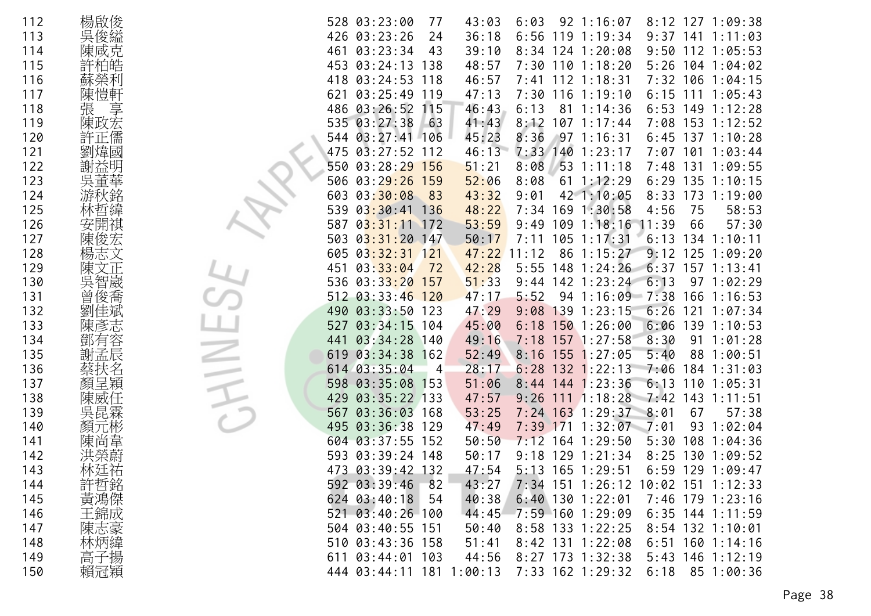| 112 | 楊啟俊     | 528 03:23:00<br>43:03<br>6:03<br>$92 \t1:16:07$<br>$8:12$ 127 1:09:38<br>77          |
|-----|---------|--------------------------------------------------------------------------------------|
| 113 | 吳俊縊     | $119$ 1:19:34<br>426 03:23:26<br>24<br>36:18<br>6:56<br>9:37<br>141<br>1:11:03       |
| 114 | 陳咸克     | 03:23:34<br>461<br>43<br>39:10<br>$8:34$ 124 1:20:08<br>9:50<br>$112$ 1:05:53        |
| 115 |         | 453<br>03:24:13<br>48:57<br>7:30 110 1:18:20<br>5:26<br>138<br>104 1:04:02           |
| 116 | 蘇榮利     | 418<br>$03:24:53$ 118<br>46:57<br>$112$ $1:18:31$<br>7:32<br>$106$ 1:04:15<br>7:41   |
| 117 | 陳愷軒     | 03:25:49<br>$116$ $1:19:10$<br>621<br>119<br>47:13<br>7:30<br>6:15<br>111<br>1:05:43 |
| 118 | 享<br>張  | 486 03:26:52<br>115<br>46:43<br>6:13<br>81 1:14:36<br>6:53<br>149 1:12:28            |
| 119 | 陳政宏     | 535 03:27:38<br>$-63$<br>41:43<br>8:12<br>$107 \t1:17:44$<br>153 1:12:52<br>7:08     |
| 120 |         | $03:27:41$ 106<br>45:23<br>8:36<br>$97 \t1:16:31$<br>6:45<br>$137 \t1:10:28$<br>544  |
| 121 | 劉煒國     | 46:13<br>7:33<br>140 1:23:17<br>475<br>03:27:52<br>$101$ $1:03:44$<br>112<br>7:07    |
| 122 | 謝益明     | $53$ 1:11:18<br>550<br>$03:28:29$ 156<br>51:21<br>8:08<br>7:48<br>131<br>1:09:55     |
| 123 | 吳董華     | 03:29:26<br>159<br>52:06<br>8:08<br>135 1:10:15<br>506<br>$61 \; 1:12:29$<br>6:29    |
| 124 |         | 603<br>03:30:08<br>43:32<br>9:01<br>42 1:10:05<br>8:33<br>173<br>1:19:00<br>-83      |
| 125 |         | 169 1:30:58<br>03:30:41<br>136<br>48:22<br>7:34<br>4:56<br>75<br>58:53<br>539        |
| 126 |         | 03:31:11<br>53:59<br>109<br>57:30<br>587<br>172<br>9:49<br>1:18:16<br>11:39<br>66    |
| 127 | 陳俊      | $03:31:20$ 147<br>7:11<br>105<br>1:17:31<br>6:13<br>503<br>50:17<br>134<br>1:10:11   |
| 128 | 楊志文     | 9:12<br>605<br>$03:32:31$ 121<br>47:22<br>86 1:15:27<br>$125$ $1:09:20$<br>11:12     |
| 129 | 陳文      | 42:28<br>148<br>1:24:26<br>6:37<br>451<br>03:33:04<br>72<br>5:55<br>$157$ $1:13:41$  |
| 130 | 智崴      | 03:33:20<br>536<br>51:33<br>$9:44$ 142 1:23:24<br>6:13<br>$97 \t1:02:29$<br>157      |
| 131 | 俊喬<br>曾 | 512 03:33:46 120<br>47:17<br>5:52<br>94 1:16:09 7:38<br>$166$ 1:16:53                |
| 132 |         | 03:33:50<br>47:29<br>139<br>6:26<br>490<br>123<br>9:08<br>1:23:15<br>121<br>1:07:34  |
| 133 | 陳彥志     | 03:34:15<br>45:00<br>6:18<br>1501:26:00<br>6:06<br>139<br>527<br>104<br>1:10:53      |
| 134 | 鄧有容     | $03:34:28$ 140<br>49:16<br>7:18 157 1:27:58<br>8:30<br>91<br>441<br>1:01:28          |
| 135 | 謝孟辰     | 03:34:38<br>162<br>52:49<br>8:16<br>155<br>1:27:05<br>5:40<br>88<br>1:00:51<br>619   |
| 136 | 扶名      | 614 03:35:04<br>28:17<br>6:28<br>$132$ 1:22:13<br>184<br>7:06<br>1:31:03<br>4        |
| 137 | 顏呈穎     | 03:35:08 153<br>51:06<br>$8:44$ 144 1:23:36<br>6:13<br>598<br>110<br>1:05:31         |
| 138 | 陳威^     | $03:35:22$ 133<br>1:18:28<br>7:42<br>429<br>47:57<br>111<br>143<br>1:11:51<br>9:26   |
| 139 | 吳昆霖     | 03:36:03 168<br>53:25<br>$7:24$ 163 1:29:37<br>8:01<br>67<br>567<br>57:38            |
| 140 | 顏元彬     | 03:36:38 129<br>47:49<br>171<br>$1:32:07$ 7:01<br>93<br>1:02:04<br>495<br>7:39       |
| 141 | 陳尚韋     | 03:37:55<br>604<br>152<br>50:50<br>7:12<br>1:29:50<br>5:30<br>108<br>1:04:36<br>164  |
| 142 |         | $03:39:24$ 148<br>$9:18$ 129 1:21:34<br>130<br>1:09:52<br>593<br>50:17<br>8:25       |
| 143 | 林廷祐     | 47:54<br>5:13 165 1:29:51<br>473<br>03:39:42 132<br>6:59<br>129<br>1:09:47           |
| 144 | 許哲銘     | 592 03:39:46<br>82<br>7:34 151 1:26:12 10:02 151 1:12:33<br>43:27                    |
| 145 | 黃鴻傑     | 40:38<br>$6:40$ 130 1:22:01<br>624 03:40:18<br>54<br>7:46 179 1:23:16                |
| 146 | 王錦成     | 44:45<br>7:59 160 1:29:09<br>$6:35$ 144 1:11:59<br>521 03:40:26 100                  |
| 147 | 陳志豪     | 504 03:40:55 151<br>8:58 133 1:22:25<br>8:54 132 1:10:01<br>50:40                    |
| 148 | 林炳緯     | 8:42 131 1:22:08<br>510 03:43:36 158<br>51:41<br>$6:51$ 160 1:14:16                  |
| 149 | 高子揚     | 8:27 173 1:32:38<br>611 03:44:01 103<br>44:56<br>$5:43$ 146 1:12:19                  |
| 150 | 賴冠穎     | 7:33 162 1:29:32<br>6:18<br>85 1:00:36<br>444 03:44:11 181 1:00:13                   |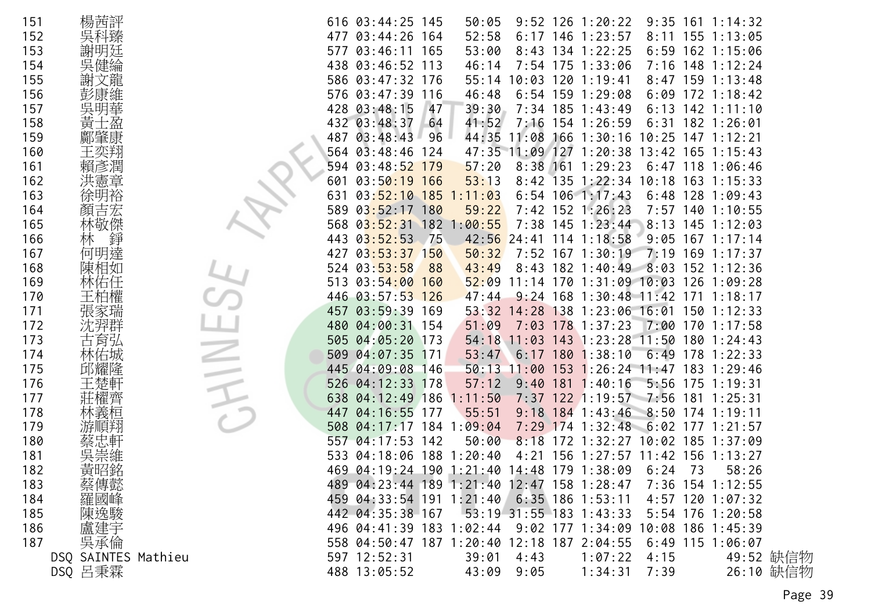| 151 | 楊茜評                 |     | 616 03:44:25 145                                            |      | 50:05       |            |     | $9:52$ 126 1:20:22                  |            |     | $9:35$ 161 1:14:32  |           |
|-----|---------------------|-----|-------------------------------------------------------------|------|-------------|------------|-----|-------------------------------------|------------|-----|---------------------|-----------|
| 152 | 吳科臻                 | 477 | $03:44:26$ 164                                              |      | 52:58       |            |     | $6:17$ 146 1:23:57                  |            |     | $8:11$ 155 1:13:05  |           |
| 153 |                     | 577 | $03:46:11$ 165                                              |      | 53:00       |            |     | $8:43$ 134 1:22:25                  |            |     | $6:59$ 162 1:15:06  |           |
| 154 | 健綸<br>吳             |     | 438 03:46:52 113                                            |      | 46:14       |            |     | 7:54 175 1:33:06                    |            |     | 7:16 148 1:12:24    |           |
| 155 | 文龍                  |     | 586 03:47:32 176                                            |      | 55:14       |            |     | 10:03 120 1:19:41                   |            |     | $8:47$ 159 1:13:48  |           |
| 156 |                     |     | 576 03:47:39                                                | -116 | 46:48       |            |     | $6:54$ 159 1:29:08                  |            |     | $6:09$ 172 1:18:42  |           |
| 157 | 吳明華                 |     | 428 03:48:15                                                | 47   | 39:30       |            |     | 7:34 185 1:43:49                    |            |     | $6:13$ 142 1:11:10  |           |
| 158 | 黃                   |     | 432 03:48:37                                                | 64   | 41:52       | 7:16       |     | 154 1:26:59                         | 6:31       |     | 182 1:26:01         |           |
| 159 |                     | 487 | 03:48:43                                                    | 96   | 44:35       | 11:08      | 166 | 1:30:16                             |            |     | 10:25 147 1:12:21   |           |
| 160 | 王奕翔                 | 564 | 03:48:46                                                    | 124  |             |            |     | 47:35 11:09 127 1:20:38             |            |     | $13:42$ 165 1:15:43 |           |
| 161 | 賴彥潤                 | 594 | 03:48:52                                                    | 179  | 57:20       | $8:38$ 161 |     | 1:29:23                             | 6:47       |     | 118 1:06:46         |           |
| 162 | 洪憲章                 | 601 | 03:50:19                                                    | 166  | 53:13       | $8:42$ 135 |     | 1:22:34                             | 10:18      |     | 163 1:15:33         |           |
| 163 | 徐明裕                 | 631 | $03:52:10$ 185                                              |      | 1:11:03     |            |     | $6:54$ 106 1:17:43                  | 6:48       |     | $128$ 1:09:43       |           |
| 164 |                     | 589 | 03:52:17                                                    | 180  | 59:22       | 7:42       |     | 152 1:26:23                         | 7:57       |     | 140 1:10:55         |           |
| 165 | 林敬傑                 | 568 | $03:52:31$ 182                                              |      | :00:55      |            |     | 7:38 145 1:23:44                    | 8:13       |     | 145 1:12:03         |           |
| 166 | 錚<br>林              | 443 | 03:52:53                                                    | - 75 | 42:56       | 24:41      |     | $114$ 1:18:58                       |            |     | $9:05$ 167 1:17:14  |           |
| 167 | 何明達                 | 427 | $03:53:37$ 150                                              |      | 50:32       | 7:52       |     | $167$ $1:30:19$                     | 7:19       |     | $169$ $1:17:37$     |           |
| 168 | 陳相如                 |     | 524 03:53:58                                                | 88   | 43:49       | 8:43       |     | 182 1:40:49                         | 8:03       |     | 152 1:12:36         |           |
| 169 | 佑任                  |     | 513 03:54:00                                                | 160  | 52:09       |            |     | 11:14 170 1:31:09 10:03 126 1:09:28 |            |     |                     |           |
| 170 |                     | 446 | 03:57:53                                                    | 126  | 47:44       | $9:24$ 168 |     | $1:30:48$ $11:42$                   |            | 171 | 1:18:17             |           |
| 171 | 張家瑞                 | 457 | 03:59:39                                                    | 169  | 53:32       | 14:28      | 138 | 1:23:06 16:01                       |            |     | 1501:12:33          |           |
| 172 | 沈羿群                 | 480 | 04:00:31 154                                                |      | 51:09       | 7:03       |     | $178$ 1:37:23                       | 7:00       |     | 170 1:17:58         |           |
| 173 | 古育弘                 |     | 505 04:05:20                                                | 173  | 54:18       | 11:03      | 143 | 1:23:28                             | 11:50      |     | 1801:24:43          |           |
| 174 | 林佑城                 |     | 509 04:07:35                                                | 171  | 53:47       | 6:17       | 180 | 1:38:10                             | 6:49       |     | 178 1:22:33         |           |
| 175 | 邱耀隆                 |     | 445 04:09:08                                                | 146  | 50:13       | 11:00      | 153 | $1:26:24$ 11:47                     |            |     | 183 1:29:46         |           |
| 176 |                     | 526 | 04:12:33                                                    | 178  | 57:12       | 9:40       | 181 | 1:40:16                             | $5:56$ 175 |     | 1:19:31             |           |
| 177 |                     | 638 | $04:12:49$ 186                                              |      | :11:50      |            |     | $7:37$ 122 1:19:57 7:56             |            | 181 | 1:25:31             |           |
| 178 | 林義桓                 | 447 | 04:16:55 177                                                |      | 55:51       |            |     | $9:18$ 184 1:43:46                  | 8:50       |     | $174$ 1:19:11       |           |
| 179 |                     | 508 | 04:17:17                                                    |      | 184 1:09:04 | 7:29       | 174 | 1:32:48                             | 6:02       | 177 | 1:21:57             |           |
| 180 |                     | 557 | 04:17:53                                                    | 142  | 50:00       | 8:18       | 172 | 1:32:27                             |            |     | 10:02 185 1:37:09   |           |
| 181 | 吳崇維                 |     | 533 04:18:06 188 1:20:40                                    |      |             | 4:21       |     | 156 1:27:57 11:42 156 1:13:27       |            |     |                     |           |
| 182 | 黃昭銘                 | 469 | 04:19:24 190 1:21:40                                        |      |             |            |     | 14:48 179 1:38:09                   | 6:24       | 73  | 58:26               |           |
| 183 |                     |     | 489 04:23:44 189 1:21:40 12:47 158 1:28:47                  |      |             |            |     |                                     |            |     | 7:36 154 1:12:55    |           |
| 184 |                     |     | 459 04:33:54 191 1:21:40 6:35 186 1:53:11                   |      |             |            |     |                                     |            |     | 4:57 120 1:07:32    |           |
| 185 | 《蔡羅陳》<br>《博國逸》      |     | 442 04:35:38 167                                            |      |             |            |     | $53:19$ 31:55 183 1:43:33           |            |     | 5:54 176 1:20:58    |           |
| 186 | 盧建宇                 |     | 496 04:41:39 183 1:02:44 9:02 177 1:34:09 10:08 186 1:45:39 |      |             |            |     |                                     |            |     |                     |           |
| 187 | 吳承倫                 |     | 558 04:50:47 187 1:20:40 12:18 187 2:04:55                  |      |             |            |     |                                     |            |     | $6:49$ 115 1:06:07  |           |
|     | DSQ SAINTES Mathieu |     | 597 12:52:31                                                |      | 39:01       | 4:43       |     | 1:07:22                             | 4:15       |     |                     | 49:52 缺信物 |
|     | DSQ 呂秉霖             |     | 488 13:05:52                                                |      | 43:09 9:05  |            |     | $1:34:31$ $7:39$                    |            |     |                     | 26:10 缺信物 |
|     |                     |     |                                                             |      |             |            |     |                                     |            |     |                     |           |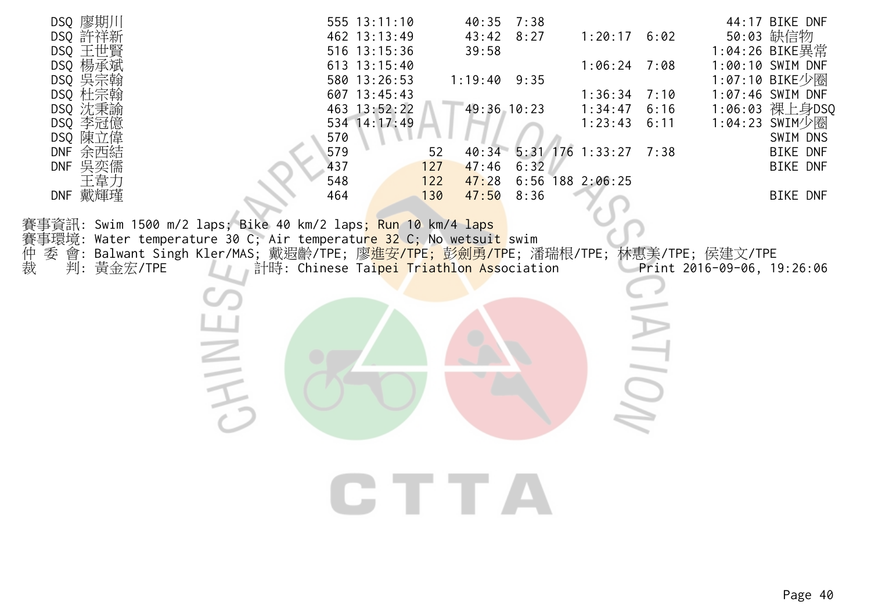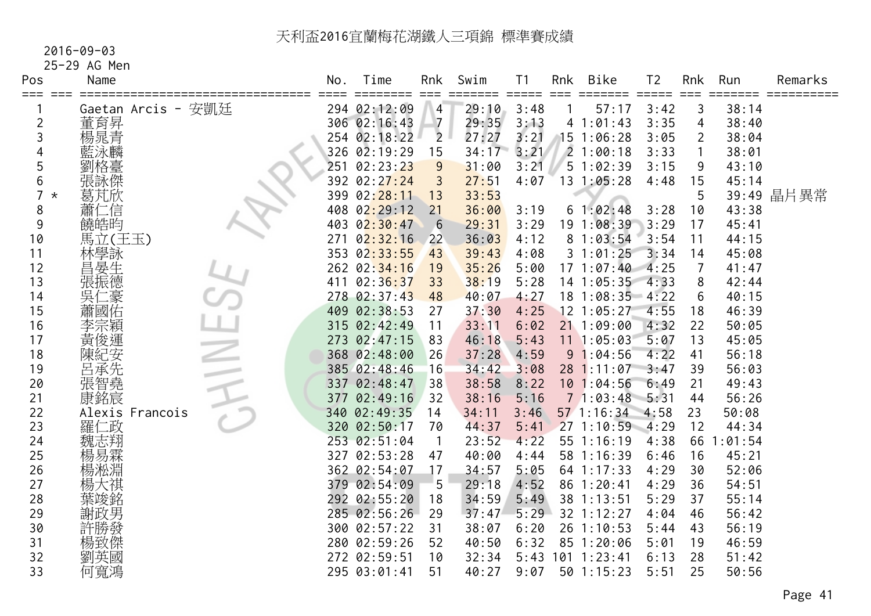#### 2016-09-03

# 25-29 AG Men

| Pos      | Name               | No. | Time         | Rnk            | Swim  | Τ1   | Rnk | <b>Bike</b>       | T <sub>2</sub> | Rnk            | Run     | Remarks    |
|----------|--------------------|-----|--------------|----------------|-------|------|-----|-------------------|----------------|----------------|---------|------------|
|          | Gaetan Arcis - 安凱廷 |     | 294 02:12:09 | 4              | 29:10 | 3:48 |     | 57:17             | 3:42           | 3              | 38:14   |            |
| 2        | 董育昇                |     | 306 02:16:43 | $\overline{7}$ | 29:35 | 3:13 |     | 41:01:43          | 3:35           | 4              | 38:40   |            |
| 3        | 楊晁青                |     | 254 02:18:22 | $\overline{2}$ | 27:27 | 3:21 |     | 15 1:06:28        | 3:05           | $\overline{2}$ | 38:04   |            |
|          | 藍泳麟                |     | 326 02:19:29 | 15             | 34:17 | 3:21 |     | 21:00:18          | 3:33           |                | 38:01   |            |
| 5        | 劉格臺                |     | 251 02:23:23 | 9              | 31:00 | 3:21 |     | 51:02:39          | 3:15           | 9              | 43:10   |            |
| 6        | 張詠傑                |     | 392 02:27:24 | 3              | 27:51 | 4:07 |     | $13 \t1:05:28$    | 4:48           | 15             | 45:14   |            |
| $^\star$ | 葛芃欣                |     | 399 02:28:11 | 13             | 33:53 |      |     |                   |                | 5              |         | 39:49 晶片異常 |
| 8        | 蕭仁<br>二信           |     | 408 02:29:12 | 21             | 36:00 | 3:19 |     | 61:02:48          | 3:28           | 10             | 43:38   |            |
| 9        | 饒皓昀                |     | 403 02:30:47 | 6              | 29:31 | 3:29 |     | 19 1:08:39        | 3:29           | 17             | 45:41   |            |
| 10       | 馬立(王玉)             | 271 | 02:32:16     | 22             | 36:03 | 4:12 |     | 81:03:54          | 3:54           | 11             | 44:15   |            |
| 11       | 林學詠                |     | 353 02:33:55 | 43             | 39:43 | 4:08 |     | 31:01:25          | 3:34           | 14             | 45:08   |            |
| 12       | 昌晏生                |     | 262 02:34:16 | 19             | 35:26 | 5:00 |     | 171:07:40         | 4:25           | 7              | 41:47   |            |
| 13       | 張振德                |     | 411 02:36:37 | 33             | 38:19 | 5:28 |     | 14 1:05:35        | 4:33           | 8              | 42:44   |            |
| 14       | 吳仁<br>二豪           |     | 278 02:37:43 | 48             | 40:07 | 4:27 |     | $18$ 1:08:35 4:22 |                | 6              | 40:15   |            |
| 15       | 蕭國佑                |     | 409 02:38:53 | 27             | 37:30 | 4:25 |     | $12$ 1:05:27      | 4:55           | 18             | 46:39   |            |
| 16       | 李宗穎                |     | 315 02:42:49 | 11             | 33:11 | 6:02 |     | 211:09:00         | 4:32           | 22             | 50:05   |            |
| 17       | 黃俊運                |     | 273 02:47:15 | 83             | 46:18 | 5:43 |     | 11 1:05:03        | 5:07           | 13             | 45:05   |            |
| 18       | 陳紀安                |     | 368 02:48:00 | 26             | 37:28 | 4:59 |     | 91:04:56          | 4:22           | 41             | 56:18   |            |
| 19       | 呂承先                |     | 385 02:48:46 | 16             | 34:42 | 3:08 |     | 28 1:11:07        | 3:47           | 39             | 56:03   |            |
| 20       | 張智堯                |     | 337 02:48:47 | 38             | 38:58 | 8:22 |     | 101:04:56         | 6:49           | 21             | 49:43   |            |
| 21       | 康銘宸                |     | 377 02:49:16 | 32             | 38:16 | 5:16 |     | 71:03:48          | 5:31           | 44             | 56:26   |            |
| 22       | Alexis Francois    |     | 340 02:49:35 | 14             | 34:11 | 3:46 |     | $57 \; 1:16:34$   | 4:58           | 23             | 50:08   |            |
| 23       | 羅仁政                |     | 320 02:50:17 | 70             | 44:37 | 5:41 |     | 271:10:59         | $-4:29$        | 12             | 44:34   |            |
| 24       |                    |     | 253 02:51:04 | -1             | 23:52 | 4:22 |     | 55 1:16:19        | 4:38           | 66             | 1:01:54 |            |
| 25       | 楊易霖                |     | 327 02:53:28 | 47             | 40:00 | 4:44 |     | 58 1:16:39        | 6:46           | 16             | 45:21   |            |
| 26       | 楊淞淵                |     | 362 02:54:07 | 17             | 34:57 | 5:05 |     | 64 1:17:33        | 4:29           | 30             | 52:06   |            |
| 27       |                    |     | 379 02:54:09 | 5              | 29:18 | 4:52 |     | 86 1:20:41        | 4:29           | 36             | 54:51   |            |
| 28       | 葉竣銘                |     | 292 02:55:20 | 18             | 34:59 | 5:49 |     | 38 1:13:51        | 5:29           | 37             | 55:14   |            |
| 29       | 謝政男                |     | 285 02:56:26 | 29             | 37:47 | 5:29 |     | 32 1:12:27        | 4:04           | 46             | 56:42   |            |
| 30       | 許勝發                |     | 300 02:57:22 | 31             | 38:07 | 6:20 |     | $26$ 1:10:53      | 5:44           | 43             | 56:19   |            |
| 31       | 楊致傑                |     | 280 02:59:26 | 52             | 40:50 | 6:32 |     | 85 1:20:06        | 5:01           | 19             | 46:59   |            |
| 32       | 劉英國                |     | 272 02:59:51 | 10             | 32:34 |      |     | 5:43 101 1:23:41  | 6:13           | 28             | 51:42   |            |
| 33       | 何寬鴻                |     | 295 03:01:41 | 51             | 40:27 | 9:07 |     | 50 1:15:23        | 5:51           | 25             | 50:56   |            |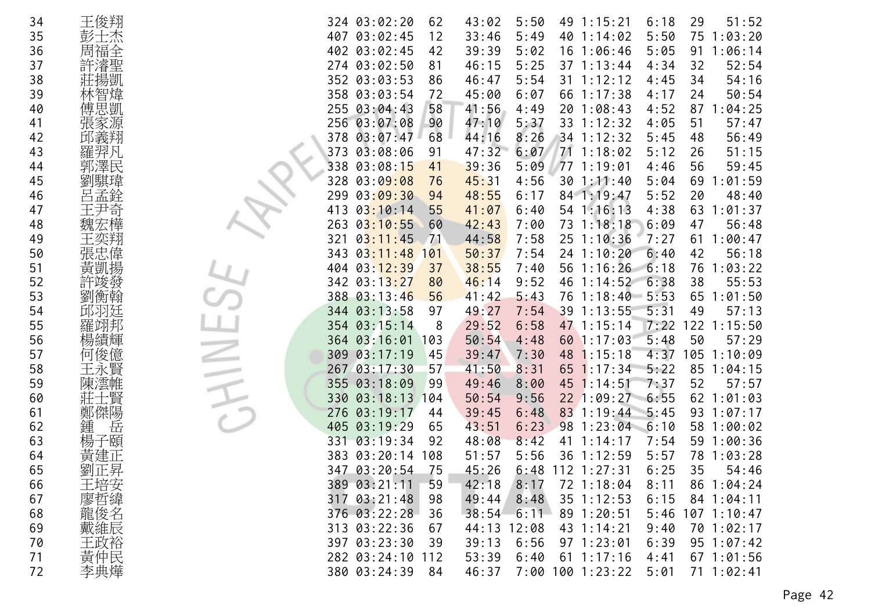| 34 | 王俊翔     | 324 03:02:20<br>51:52<br>62<br>43:02<br>5:50<br>49 1:15:21<br>6:18<br>29          |
|----|---------|-----------------------------------------------------------------------------------|
| 35 | 彭士杰     | 407 03:02:45<br>12<br>33:46<br>5:49<br>5:50<br>1:03:20<br>40<br>1:14:02<br>75     |
| 36 | 周福全     | 402 03:02:45<br>42<br>39:39<br>5:02<br>5:05<br>1:06:14<br>16 1:06:46<br>91        |
| 37 | 許濬聖     | 274 03:02:50<br>52:54<br>46:15<br>5:25<br>37 1:13:44<br>4:34<br>81<br>32          |
| 38 | 莊揚凱     | 352 03:03:53<br>46:47<br>5:54<br>31 1:12:12<br>54:16<br>86<br>4:45<br>34          |
| 39 | 林智煒     | 358 03:03:54<br>72<br>45:00<br>66 1:17:38<br>50:54<br>6:07<br>24<br>4:17          |
| 40 | 傅思凱     | 255 03:04:43<br>58<br>41:56<br>4:49<br>20 1:08:43<br>4:52<br>87<br>1:04:25        |
| 41 | 張家源     | 256 03:07:08<br>90<br>47:10<br>5:37<br>51<br>57:47<br>33 1:12:32<br>4:05          |
| 42 | 邱義翔     | 03:07:47<br>68<br>8:26<br>56:49<br>378<br>34 1:12:32<br>5:45<br>44:16<br>48       |
| 43 | 羅羿凡     | 373 03:08:06<br>6:07<br>71 1:18:02<br>91<br>47:32<br>5:12<br>51:15<br>26          |
| 44 | 郭澤民     | 338<br>03:08:15<br>771:19:01<br>56<br>41<br>39:36<br>5:09<br>4:46<br>59:45        |
| 45 | 劉騏瑋     | 03:09:08<br>76<br>45:31<br>:01:59<br>328<br>4:56<br>301:11:40<br>5:04<br>69       |
| 46 | 呂孟銓     | 299<br>03:09:30<br>94<br>48:55<br>6:17<br>84 1:19:47<br>5:52<br>20<br>48:40       |
| 47 | 王尹奇     | 03:10:14<br>55<br>1:01:37<br>413<br>41:07<br>6:40<br>54 1:16:13<br>4:38<br>63     |
| 48 | 魏宏樺     | 263<br>03:10:55<br>73 1:18:18<br>6:09<br>56:48<br>60<br>42:43<br>7:00<br>47       |
| 49 | 王奕翔     | 1:00:47<br>03:11:45<br>71<br>44:58<br>7:58<br>$25 \t1:10:36$<br>7:27<br>61<br>321 |
| 50 | 張忠偉     | 7:54<br>03:11:48<br>24 1:10:20<br>6:40<br>56:18<br>343<br>101<br>50:37<br>42      |
| 51 | 黃凱揚     | 404 03:12:39<br>38:55<br>7:40<br>1:16:26<br>1:03:22<br>37<br>56<br>6:18<br>76     |
| 52 | 許竣發     | 342 03:13:27<br>6:38<br>55:53<br>46:14<br>9:52<br>46<br>1:14:52<br>38<br>80       |
| 53 | 劉衡翰     | 388 03:13:46<br>56<br>76 1:18:40<br>1:01:50<br>41:42<br>5:43<br>$-5:53$<br>65     |
| 54 | 邱羽廷     | 344 03:13:58<br>97<br>49:27<br>7:54<br>39 1:13:55<br>5:31<br>57:13<br>49          |
| 55 | 羅翊邦     | 354 03:15:14<br>29:52<br>122<br>6:58<br>47 1:15:14<br>7:22<br>1:15:50<br>8        |
| 56 | 楊績輝     | 364 03:16:01<br>50:54<br>4:48<br>60 1:17:03<br>5:48<br>50<br>57:29<br>103         |
| 57 | 何俊億     | 4:37<br>309 03:17:19<br>45<br>48<br>1:15:18<br>105<br>1:10:09<br>39:47<br>7:30    |
| 58 | 王永賢     | 267 03:17:30<br>57<br>41:50<br>$65$ 1:17:34<br>5:22<br>85<br>1:04:15<br>8:31      |
| 59 | 陳澐帷     | 355 03:18:09<br>45 1:14:51<br>52<br>57:57<br>99<br>49:46<br>8:00<br>7:37          |
| 60 | 上賢      | 03:18:13<br>9:56<br>22 1:09:27<br>6:55<br>62<br>1:01:03<br>330<br>104<br>50:54    |
| 61 | 鄭傑陽     | 03:19:17<br>276<br>6:48<br>83 1:19:44<br>5:45<br>93<br>1:07:17<br>44<br>39:45     |
| 62 | 岳<br>鍾  | 405 03:19:29<br>6:23<br>65<br>43:51<br>98<br>1:23:04<br>6:10<br>58<br>1:00:02     |
| 63 | 子頤<br>楊 | 03:19:34<br>92<br>48:08<br>8:42<br>1:14:17<br>1:00:36<br>331<br>41<br>7:54<br>59  |
| 64 | 黃建正     | 383 03:20:14<br>5:56<br>36 1:12:59<br>108<br>51:57<br>5:57<br>78<br>1:03:28       |
| 65 | 劉正昇     | 347 03:20:54<br>75<br>45:26<br>6:48<br>$112$ $1:27:31$<br>6:25<br>35<br>54:46     |
| 66 | 王培安     | 389 03:21:11<br>59<br>42:18<br>8:17<br>72 1:18:04<br>8:11<br>$86 \t1:04:24$       |
| 67 | 廖哲緯     | 98<br>8:48<br>317 03:21:48<br>49:44<br>35 1:12:53<br>6:15<br>$84$ 1:04:11         |
| 68 | 龍俊名     | 376 03:22:28<br>36<br>89 1:20:51<br>5:46<br>$107$ $1:10:47$<br>$38:54$ 6:11       |
| 69 | 戴維辰     | 313 03:22:36<br>12:08<br>43 1:14:21<br>9:40<br>70 1:02:17<br>67<br>44:13          |
| 70 | 王政裕     | 97 1:23:01<br>397 03:23:30<br>39<br>39:13<br>6:56<br>6:39<br>95 1:07:42           |
| 71 | 黃仲民     | 53:39<br>$61$ 1:17:16<br>282 03:24:10<br>112<br>6:40<br>$67$ 1:01:56<br>4:41      |
| 72 | 李典燁     | 380 03:24:39<br>46:37<br>7:00 100 1:23:22<br>5:01<br>71 1:02:41<br>84             |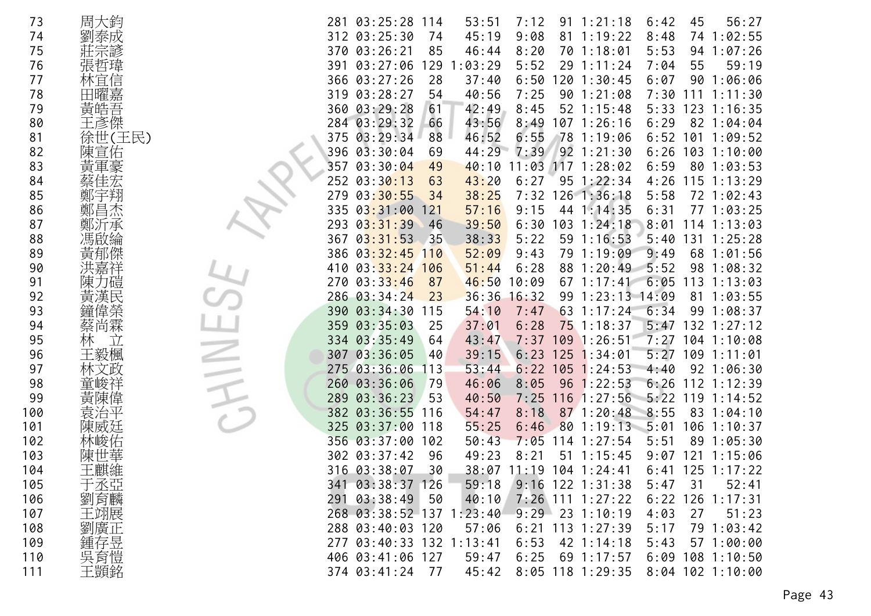| 73  | 周大鈞     | 56:27<br>281<br>03:25:28<br>53:51<br>7:12<br>$91 \t1:21:18$<br>6:42<br>45<br>114   |
|-----|---------|------------------------------------------------------------------------------------|
| 74  | 劉泰成     | 9:08<br>312 03:25:30<br>74<br>45:19<br>81<br>1:19:22<br>8:48<br>74<br>1:02:55      |
| 75  |         | 370<br>03:26:21<br>85<br>8:20<br>70<br>5:53<br>94<br>1:07:26<br>46:44<br>1:18:01   |
| 76  | 張哲瑋     | 5:52<br>55<br>03:27:06<br>129<br>:03:29<br>29<br>7:04<br>59:19<br>391<br>1:11:24   |
| 77  | 林宜信     | 28<br>37:40<br>120<br>90<br>366<br>03:27:26<br>6:50<br>1:30:45<br>6:07<br>1:06:06  |
| 78  | 田曜嘉     | 7:25<br>319<br>03:28:27<br>54<br>40:56<br>90<br>7:30<br>1:21:08<br>111<br>1:11:30  |
| 79  | 黃皓吾     | 360 03:29:28<br>8:45<br>42:49<br>52 1:15:48<br>61<br>5:33<br>123<br>1:16:35        |
| 80  | 王彥傑     | 284 03:29:32<br>43:56<br>107 1:26:16<br>66<br>8:49<br>82<br>6:29<br>1:04:04        |
| 81  | 徐世(王民)  | 6:55<br>375<br>03:29:34<br>88<br>46:52<br>78<br>6:52<br>1:19:06<br>101<br>1:09:52  |
| 82  | 陳宣佑     | 396<br>44:29<br>7:39<br>92 1:21:30<br>03:30:04<br>6:26<br>69<br>103<br>1:10:00     |
| 83  | 黃軍豪     | 357<br>11:03<br>117 1:28:02<br>03:30:04<br>49<br>40:10<br>6:59<br>801:03:53        |
| 84  |         | 252<br>03:30:13<br>43:20<br>6:27<br>$95 \t1:22:34$<br>115<br>63<br>4:26<br>1:13:29 |
| 85  | 鄭       | 03:30:55<br>7:32 126 1:36:18<br>279<br>38:25<br>5:58<br>72 1:02:43<br>34           |
| 86  | 鄭昌杰     | 335<br>03:31:00<br>57:16<br>9:15<br>44 1:14:35<br>6:31<br>77<br>1:03:25<br>121     |
| 87  |         | 293<br>03:31:39<br>39:50<br>6:30<br>103<br>8:01<br>1:24:18<br>114<br>1:13:03<br>46 |
| 88  |         | 5:22<br>03:31:53<br>38:33<br>59 1:16:53<br>5:40<br>131<br>367<br>-35<br>1:25:28    |
| 89  | 黃郁傑     | 9:43<br>9:49<br>386<br>$03:32:45$ 110<br>52:09<br>79 1:19:09<br>68<br>1:01:56      |
| 90  |         | 03:33:24<br>6:28<br>88<br>5:52<br>98<br>410<br>106<br>51:44<br>1:20:49<br>1:08:32  |
| 91  | 堀       | 03:33:46<br>46:50<br>6:05<br>270<br>87<br>10:09<br>67<br>113<br>1:13:03<br>1:17:41 |
| 92  | 黃<br>漢  | 36:36<br>286 03:34:24<br>23<br>16:32<br>$1:23:13$ $14:09$<br>81<br>99<br>1:03:55   |
| 93  | 偉榮      | 390<br>03:34:30<br>115<br>54:10<br>7:47<br>63<br>1:17:24<br>6:34<br>99<br>1:08:37  |
| 94  | 尚霖      | 03:35:03<br>75<br>359<br>37:01<br>6:28<br>1:18:37<br>5:47<br>132<br>1:27:12<br>25  |
| 95  | 林<br>Ì. | 03:35:49<br>64<br>43:47<br>7:37<br>109<br>1:26:51<br>7:27<br>104<br>1:10:08<br>334 |
| 96  | 王毅楓     | 03:36:05<br>6:23<br>125<br>109<br>307<br>39:15<br>1:34:01<br>5:27<br>1:11:01<br>40 |
| 97  |         | 275 03:36:06<br>6:22<br>105<br>92<br>113<br>53:44<br>1:24:53<br>4:40<br>1:06:30    |
| 98  | 峻       | 260<br>03:36:06<br>79<br>46:06<br>8:05<br>96<br>6:26<br>112<br>1:22:53<br>1:12:39  |
| 99  | 闰       | 03:36:23<br>116<br>5:22<br>119<br>289<br>53<br>40:50<br>7:25<br>1:27:56<br>1:14:52 |
| 100 |         | 87 1:20:48<br>382<br>03:36:55<br>8:18<br>8:55<br>83<br>116<br>54:47<br>1:04:10     |
| 101 | 陳威廷     | 03:37:00<br>118<br>55:25<br>6:46<br>80<br>1:19:13<br>5:01<br>106<br>1:10:37<br>325 |
| 102 |         | 03:37:00<br>7:05<br>5:51<br>89<br>356<br>102<br>50:43<br>114<br>1:27:54<br>1:05:30 |
| 103 | 陳世      | 302 03:37:42<br>49:23<br>8:21<br>51<br>1:15:45<br>121<br>96<br>9:07<br>1:15:06     |
| 104 | 王麒維     | 316 03:38:07<br>30<br>38:07<br>11:19<br>$104$ 1:24:41<br>$125$ $1:17:22$<br>6:41   |
| 105 | 于丞亞     | 341 03:38:37 126<br>59:18<br>$9:16$ 122 1:31:38<br>5:47<br>52:41<br>31             |
| 106 | 劉育麟     | 291 03:38:49<br>40:10<br>$7:26$ 111 1:27:22<br>50<br>6:22<br>126<br>1:17:31        |
| 107 | 王翊展     | $9:29$ 23 1:10:19<br>268 03:38:52 137 1:23:40<br>4:03<br>27<br>51:23               |
| 108 | 劉廣正     | 288 03:40:03 120<br>57:06<br>$6:21$ 113 1:27:39<br>5:17<br>79 1:03:42              |
| 109 | 鍾存昱     | 277 03:40:33 132 1:13:41<br>6:53<br>42 1:14:18<br>5:43<br>57 1:00:00               |
| 110 | 吳育愷     | 59:47<br>6:25<br>69 1:17:57<br>406 03:41:06 127<br>$6:09$ 108 1:10:50              |
| 111 | 王顗銘     | 374 03:41:24 77<br>8:05 118 1:29:35<br>8:04 102 1:10:00<br>45:42                   |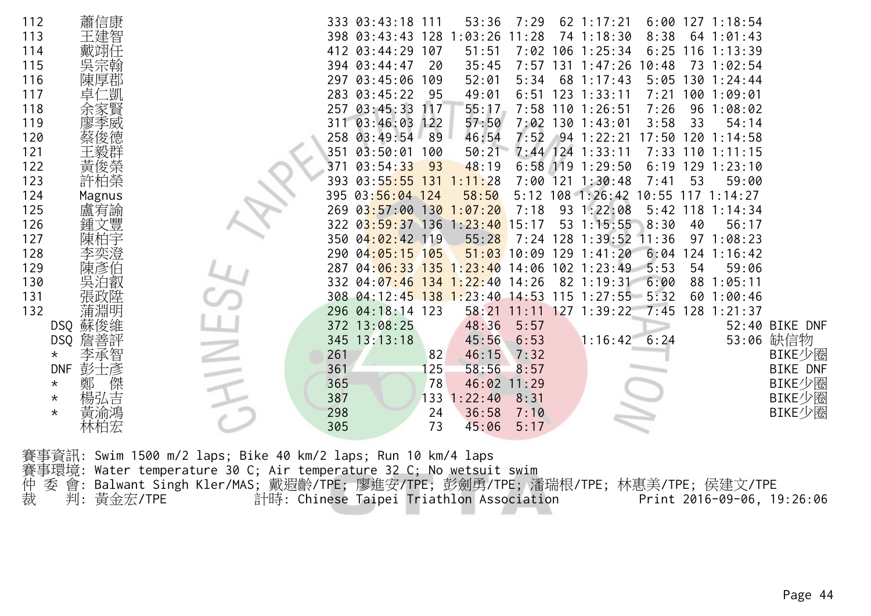裁 判: 黃金宏/TPE 計時: Chinese Taipei Triathlon Association Print 2016-09-06, 19:26:06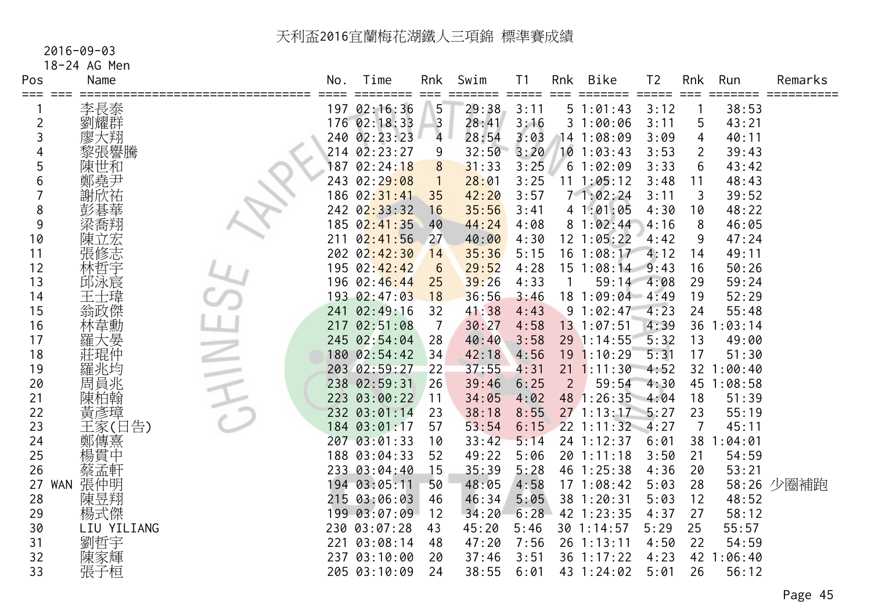## 2016-09-03

18-24 AG Men

| Pos            | Name              | No. | Time<br>===== | Rnk             | Swim  | T <sub>1</sub>              | Rnk            | Bike            | T <sub>2</sub> | Rnk            | Run        | Remarks    |
|----------------|-------------------|-----|---------------|-----------------|-------|-----------------------------|----------------|-----------------|----------------|----------------|------------|------------|
| ===            | 李長泰               |     | 197 02:16:36  | $==$<br>5       | 29:38 | $=$ $=$ $=$ $=$ $=$<br>3:11 |                | 51:01:43        | 3:12           |                | 38:53      |            |
| $\overline{c}$ | 劉耀群               |     | 176 02:18:33  | $\overline{3}$  | 28:41 | 3:16                        |                | 31:00:06        | 3:11           | 5              | 43:21      |            |
| 3              | 廖大翔               |     | 240 02:23:23  | $\overline{4}$  | 28:54 | 3:03                        |                | 14 1:08:09      | 3:09           | 4              | 40:11      |            |
| 4              | 黎張譽騰              |     | 214 02:23:27  | 9               | 32:50 | 3:20                        |                | $10$ 1:03:43    | 3:53           | 2              | 39:43      |            |
| 5              | 陳世和               |     | 187 02:24:18  | 8               | 31:33 | 3:25                        |                | 61:02:09        | 3:33           | 6              | 43:42      |            |
| 6              | 鄭堯尹               |     | 243 02:29:08  |                 | 28:01 | 3:25                        |                | 11 1:05:12      | 3:48           | 11             | 48:43      |            |
|                | 謝欣祐               |     | 186 02:31:41  | 35              | 42:20 | 3:57                        |                | 71:02:24        | 3:11           | 3              | 39:52      |            |
| 8              |                   |     | 242 02:33:32  | 16              | 35:56 | 3:41                        |                | 41:01:05        | 4:30           | 10             | 48:22      |            |
| 9              | 梁喬翔               |     | 185 02:41:35  | 40              | 44:24 | 4:08                        |                | 81:02:44        | 4:16           | 8              | 46:05      |            |
| 10             | 陳立宏               | 211 | 02:41:56      | 27              | 40:00 | 4:30                        |                | 12 1:05:22      | 4:42           | 9              | 47:24      |            |
| 11             | 張修志               |     | 202 02:42:30  | 14              | 35:36 | 5:15                        |                | $16$ $1:08:17$  | 4:12           | 14             | 49:11      |            |
| 12             | 林哲字               |     | 195 02:42:42  | $6\phantom{1}6$ | 29:52 | 4:28                        |                | 15 1:08:14 9:43 |                | 16             | 50:26      |            |
| 13             | 邱泳宸               |     | 196 02:46:44  | 25              | 39:26 | 4:33                        |                | 59:14 4:08      |                | 29             | 59:24      |            |
| 14             | 王士瑋               |     | 193 02:47:03  | 18              | 36:56 | 3:46                        |                | 18 1:09:04 4:49 |                | 19             | 52:29      |            |
| 15             | 翁政傑               |     | 241 02:49:16  | 32              | 41:38 | 4:43                        |                | 91:02:47        | 4:23           | 24             | 55:48      |            |
| 16             | 林韋勳               | 217 | 02:51:08      | $\overline{7}$  | 30:27 | 4:58                        |                | 13 1:07:51      | 4:39           | 36             | : 03:14    |            |
| 17             | 羅大晏               |     | 245 02:54:04  | 28              | 40:40 | 3:58                        |                | 29 1:14:55      | 5:32           | 13             | 49:00      |            |
| 18             | 莊琨仲               |     | 180 02:54:42  | 34              | 42:18 | 4:56                        |                | 19 1:10:29      | 5:31           | 17             | 51:30      |            |
| 19             | 羅兆均               |     | 203 02:59:27  | 22              | 37:55 | 4:31                        |                | $21 \t1:11:30$  | 4:52           |                | 32 1:00:40 |            |
| 20             | 周員兆               |     | 238 02:59:31  | 26              | 39:46 | 6:25                        | $\overline{2}$ | 59:54           | 4:30           |                | 45 1:08:58 |            |
| 21             | 陳柏翰               |     | 223 03:00:22  | 11              | 34:05 | 4:02                        |                | 48 1:26:35 4:04 |                | 18             | 51:39      |            |
| 22             | 黃彥璋               |     | 232 03:01:14  | 23              | 38:18 | 8:55                        |                | $27 \t1:13:17$  | 5:27           | 23             | 55:19      |            |
| 23             | 王家(日告)            |     | 184 03:01:17  | 57              | 53:54 | 6:15                        |                | $22$ 1:11:32    | 4:27           | $\overline{7}$ | 45:11      |            |
| 24             | 鄭傳熹               |     | 207 03:01:33  | 10              | 33:42 | 5:14                        |                | 24 1:12:37      | 6:01           | 38             | 1:04:01    |            |
| 25             | 楊貫中               |     | 188 03:04:33  | 52              | 49:22 | 5:06                        |                | 20 1:11:18      | 3:50           | 21             | 54:59      |            |
| 26             | 蔡孟軒               |     | 233 03:04:40  | 15              | 35:39 | 5:28                        |                | 46 1:25:38      | 4:36           | 20             | 53:21      |            |
| 27             | 張仲明<br><b>WAN</b> |     | 194 03:05:11  | 50              | 48:05 | 4:58                        |                | 171:08:42       | 5:03           | 28             |            | 58:26 少圈補跑 |
| 28             | 陳昱翔               |     | 215 03:06:03  | 46              | 46:34 | 5:05                        |                | 38 1:20:31      | 5:03           | 12             | 48:52      |            |
| 29             | 楊式傑               |     | 199 03:07:09  | 12              | 34:20 | 6:28                        |                | 42 1:23:35      | 4:37           | 27             | 58:12      |            |
| 30             | LIU YILIANG       |     | 230 03:07:28  | 43              | 45:20 | 5:46                        |                | 30 1:14:57      | 5:29           | 25             | 55:57      |            |
| 31             | 劉哲宇               | 221 | 03:08:14      | 48              | 47:20 | 7:56                        |                | 26 1:13:11      | 4:50           | 22             | 54:59      |            |
| 32             | 陳家輝               |     | 237 03:10:00  | 20              | 37:46 | 3:51                        |                | 36 1:17:22      | 4:23           | 42             | :06:40     |            |
| 33             | 張子桓               |     | 205 03:10:09  | 24              | 38:55 | 6:01                        |                | 43 1:24:02      | 5:01           | 26             | 56:12      |            |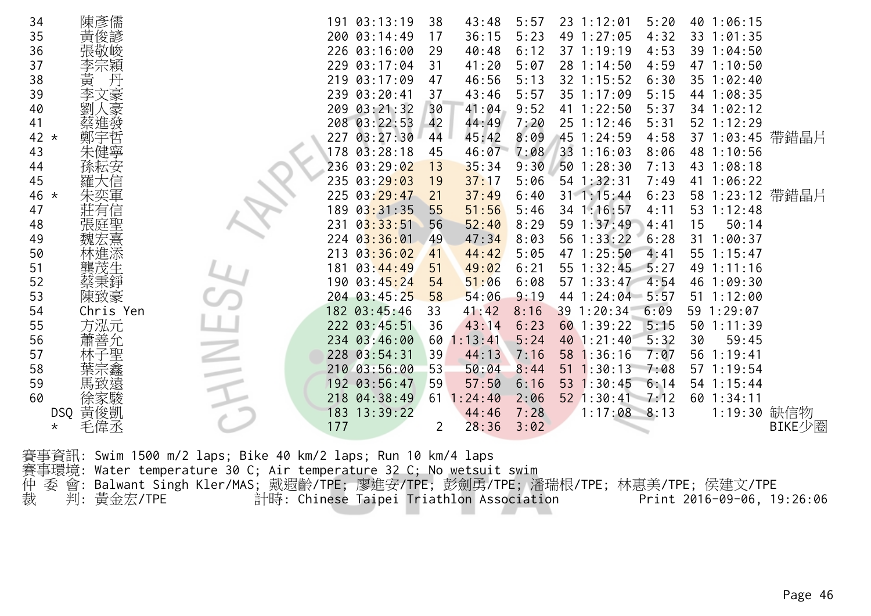| 34      | 陳彥儒           |                                                                              | 191 03:13:19                             | 38<br>43:48             | 5:57 | 23 1:12:01<br>5:20     | 40 1:06:15                 |        |
|---------|---------------|------------------------------------------------------------------------------|------------------------------------------|-------------------------|------|------------------------|----------------------------|--------|
| 35      | 黃俊諺           |                                                                              | 200 03:14:49                             | 36:15<br>17             | 5:23 | 49 1:27:05<br>4:32     | 33 1:01:35                 |        |
| 36      |               |                                                                              | 226 03:16:00                             | 40:48<br>29             | 6:12 | 37 1:19:19<br>4:53     | 39 1:04:50                 |        |
| 37      | 李宗穎           |                                                                              | 229 03:17:04                             | 41:20<br>31             | 5:07 | 28 1:14:50<br>4:59     | 47 1:10:50                 |        |
| 38      | 黄<br>丹        |                                                                              | 219 03:17:09                             | 46:56<br>47             | 5:13 | 32 1:15:52<br>6:30     | $35 \t1:02:40$             |        |
| 39      | 李文豪           |                                                                              | 239 03:20:41                             | 37<br>43:46             | 5:57 | 35 1:17:09<br>5:15     | 44 1:08:35                 |        |
| 40      |               |                                                                              | 209 03:21:32                             | 41:04<br>30             | 9:52 | 41 1:22:50<br>5:37     | 34 1:02:12                 |        |
| 41      |               |                                                                              | 208 03:22:53                             | 44:49<br>42             | 7:20 | 25 1:12:46<br>5:31     | 52 1:12:29                 |        |
| 42 $*$  |               |                                                                              | 227 03:27:30                             | 45:42<br>44             | 8:09 | 45 1:24:59<br>4:58     | 37 1:03:45 帶錯晶片            |        |
| 43      |               |                                                                              | 178 03:28:18                             | 46:07<br>45             | 7:08 | 33 1:16:03<br>8:06     | 48 1:10:56                 |        |
| 44      |               |                                                                              | 236 03:29:02                             | 13<br>35:34             | 9:30 | 501:28:30<br>7:13      | 43 1:08:18                 |        |
| 45      |               |                                                                              | 23503:29:03                              | 37:17<br>19             | 5:06 | 54 1:32:31<br>7:49     | 41 1:06:22                 |        |
| 46 *    |               |                                                                              | 225 03:29:47                             | 37:49<br>21             | 6:40 | $31 \t1:15:44$<br>6:23 | 58 1:23:12 帶錯晶片            |        |
| 47      | 吐有信           |                                                                              | 189 03:31:35                             | 51:56<br>55             | 5:46 | 34 1:16:57<br>4:11     | 53 1:12:48                 |        |
| 48      |               |                                                                              | 03:33:51<br>231                          | 56<br>52:40             | 8:29 | 59 1:37:49<br>4:41     | 15<br>50:14                |        |
| 49      |               |                                                                              | $224$ $03:36:01$                         | 47:34<br>49             | 8:03 | 56 1:33:22<br>6:28     | $31 \t1:00:37$             |        |
| 50      | 林進添           |                                                                              | 213 03:36:02                             | 41<br>44:42             | 5:05 | 47 1:25:50<br>4:41     | 55 1:15:47                 |        |
| 51      | 龔茂生           |                                                                              | 181 03:44:49                             | 49:02<br>51             | 6:21 | 55 1:32:45<br>5:27     | 49 1:11:16                 |        |
| 52      | 蔡秉錚           |                                                                              | 190 03:45:24                             | 51:06<br>54             | 6:08 | 57 1:33:47<br>4:54     | 46 1:09:30                 |        |
| 53      | 陳致豪           |                                                                              | 204 03:45:25                             | 58<br>54:06             | 9:19 | 44 1:24:04 5:57        | 51 1:12:00                 |        |
| 54      | Chris Yen     |                                                                              | 182 03:45:46                             | 41:42<br>33             | 8:16 | 39 1:20:34<br>6:09     | 59 1:29:07                 |        |
| 55      | 方泓元           |                                                                              | 222 03:45:51                             | 36<br>43:14             | 6:23 | 60 1:39:22<br>5:15     | 501:11:39                  |        |
| 56      | 蕭善允           |                                                                              | 234 03:46:00                             | 1:13:41<br>60           | 5:24 | 5:32<br>40 1:21:40     | 30<br>59:45                |        |
| 57      |               |                                                                              | 228 03:54:31                             | 39<br>44:13             | 7:16 | 58 1:36:16<br>7:07     | 56 1:19:41                 |        |
| 58      |               |                                                                              | 210 03:56:00                             | 53<br>50:04             | 8:44 | $51 \t1:30:13$<br>7:08 | 57 1:19:54                 |        |
| 59      |               |                                                                              | 192 03:56:47                             | 57:50<br>59             | 6:16 | 53 1:30:45<br>6:14     | 54 1:15:44                 |        |
| 60      | 徐家駿           |                                                                              | 218 04:38:49                             | $61 \t1:24:40$          | 2:06 | $52$ 1:30:41 7:12      | $60$ 1:34:11               |        |
| DSQ     | 黃俊凱           |                                                                              | 183 13:39:22                             | 44:46                   | 7:28 | $1:17:08$ 8:13         | 1:19:30 缺信物                |        |
| $\star$ | 毛偉丞           |                                                                              | 177                                      | 28:36<br>$\overline{2}$ | 3:02 |                        |                            | BIKE少圈 |
|         |               |                                                                              |                                          |                         |      |                        |                            |        |
|         |               | 賽事資訊: Swim 1500 m/2 laps; Bike 40 km/2 laps; Run 10 km/4 laps                |                                          |                         |      |                        |                            |        |
| 賽事環境:   |               | Water temperature 30 C; Air temperature 32 C; No wetsuit swim                |                                          |                         |      |                        |                            |        |
| 仲<br>委  | 會:            | Balwant Singh Kler/MAS; 戴遐齡/TPE; 廖進安/TPE; 彭劍勇/TPE; 潘瑞根/TPE; 林惠美/TPE; 侯建文/TPE |                                          |                         |      |                        |                            |        |
| 裁       | 黃金宏/TPE<br>判: |                                                                              | 計時: Chinese Taipei Triathlon Association |                         |      |                        | Print 2016-09-06, 19:26:06 |        |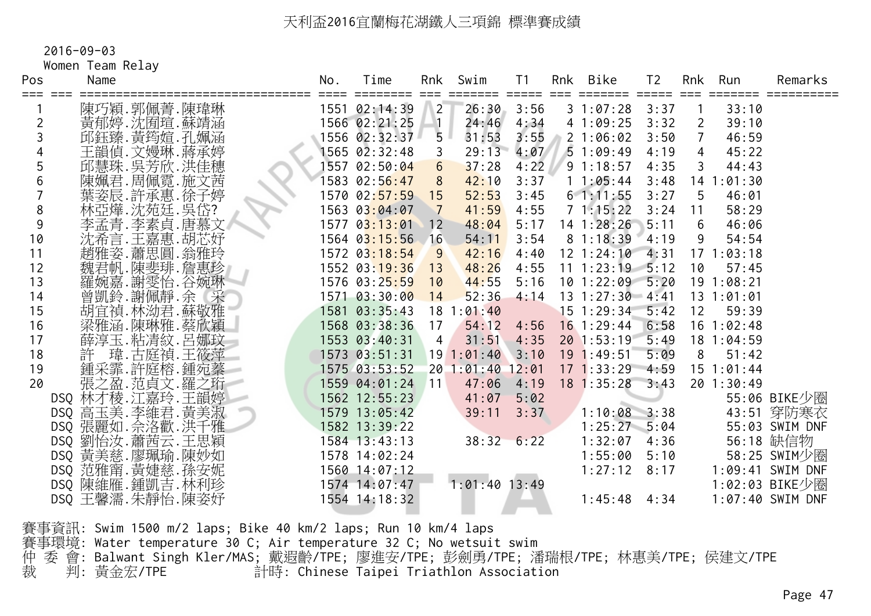2016-09-03

Women Team Relay

| Pos            | Name                               | No. | Time<br>==== ======== === | Rnk                     | Swim             | T1   | Rnk | Bike                  | T <sub>2</sub> |                 | Rnk Run        | Remarks          |
|----------------|------------------------------------|-----|---------------------------|-------------------------|------------------|------|-----|-----------------------|----------------|-----------------|----------------|------------------|
|                | 陳巧穎.郭佩菁.陳瑋琳                        |     | 1551 02:14:39             | $\sqrt{2}$              | 26:30            | 3:56 |     | 31:07:28              | 3:37           | $\overline{1}$  | 33:10          |                  |
| $\overline{2}$ | 黃郁婷.沈囿瑄.蘇靖涵                        |     | 1566 02:21:25 1           |                         | 24:46            | 4:34 |     | 41:09:25              | 3:32           | $\overline{2}$  | 39:10          |                  |
| 3              | 邱鈺臻. 黃筠媗. 孔姵涵                      |     | 1556 02:32:37             | 5                       | 31:53            | 3:55 |     | 2 1:06:02             | 3:50           | $7^{\circ}$     | 46:59          |                  |
|                | 王韻偵.文嫚琳.蔣承婷                        |     | 1565 02:32:48             | $\overline{\mathbf{3}}$ | 29:13            | 4:07 |     | 51:09:49              | 4:19           | $\overline{4}$  | 45:22          |                  |
| 5              | 邱慧珠. 吳芳欣. 洪佳穗                      |     | 1557 02:50:04             | 6 <sup>6</sup>          | 37:28            | 4:22 |     | 91:18:57              | 4:35           | $\mathsf{3}$    | 44:43          |                  |
| 6              | 陳姵君.周佩霓.施文茜                        |     | 1583 02:56:47             | 8                       | 42:10            | 3:37 |     | 11:05:44              | 3:48           |                 | 14 1:01:30     |                  |
|                | 葉姿辰.許承惠.徐子婷                        |     | 1570 02:57:59 15          |                         | 52:53            | 3:45 |     | 61:11:55              | 3:27           | $5\overline{5}$ | 46:01          |                  |
| 8              | 林亞燁.沈苑廷.吳岱?                        |     | 1563 03:04:07             | $\overline{7}$          | 41:59            | 4:55 |     | 71:15:22              | 3:24           | 11              | 58:29          |                  |
| $9\,$          | 李孟青.李素貞.唐慕文<br>沈希言.王嘉惠.胡芯妤         |     | 1577 03:13:01 12          |                         | 48:04            | 5:17 |     | $14$ 1:28:26          | 5:11           | $6\overline{6}$ | 46:06          |                  |
| 10             |                                    |     | 1564 03:15:56             | 16                      | 54:11            | 3:54 |     | 81:18:39              | 4:19           | 9               | 54:54          |                  |
| 11             | 趙雅姿.蕭思圓.翁雅玲                        |     | 1572 03:18:54             | 9                       | 42:16            | 4:40 |     | $12$ 1:24:10 4:31     |                |                 | 171:03:18      |                  |
| 12             | 魏君帆.陳斐琲.詹惠珍                        |     | 1552 03:19:36 13          |                         | 48:26            | 4:55 |     | $11$ 1:23:19 5:12     |                | 10              | 57:45          |                  |
| 13             | 羅婉嘉.謝雯怡.谷婉琳                        |     | 1576 03:25:59             | 10                      | 44:55            | 5:16 |     | $10$ 1:22:09 5:20     |                |                 | 191:08:21      |                  |
| 14             | 曾凱鈴.謝佩靜.余 采                        |     | 1571 03:30:00             | 14                      | 52:36            | 4:14 |     | $13 \t1:27:30 \t4:41$ |                |                 | 13 1:01:01     |                  |
| 15             | 胡宜禎.林泑君.蘇敬雅                        |     | 1581 03:35:43             |                         | 181:01:40        |      |     | $15$ 1:29:34          | 5:42           | 12              | 59:39          |                  |
| 16             | 梁雅涵.陳琳雅.蔡欣穎                        |     | 1568 03:38:36             | 17                      |                  |      |     | 54:12 4:56 16 1:29:44 | 6:58           |                 | $16$ 1:02:48   |                  |
| 17             | 薛淳玉.粘清紋.呂娜玟                        |     | 1553 03:40:31             | $\overline{4}$          | 31:51            | 4:35 |     | 20 1:53:19            | 5:49           |                 | 18 1:04:59     |                  |
| 18             | 許 瑋.古庭禎.王筱萍                        |     | $1573$ 03:51:31           |                         | 191:01:403:10    |      |     | $19 \t1:49:51$        | 5:09           | 8               | 51:42          |                  |
| 19             | 鍾采霏.許庭榕.鍾宛蓁                        |     | 1575 03:53:52             |                         | 20 1:01:40 12:01 |      |     | $17$ 1:33:29 4:59     |                |                 | $15 \t1:01:44$ |                  |
| 20             | 張之盈.范貞文.羅之珩                        |     | 1559 04:01:24             | 11                      | 47:06            | 4:19 |     | $18$ 1:35:28 3:43     |                |                 | 201:30:49      |                  |
|                | DSQ 林才稜.江嘉玲.王韻婷<br>DSQ 高玉美.李維君.黃美淑 |     | 1562 12:55:23             |                         | 41:07            | 5:02 |     |                       |                |                 |                | 55:06 BIKE少圈     |
|                |                                    |     | 1579 13:05:42             |                         | 39:11            | 3:37 |     | $1:10:08$ $3:38$      |                |                 |                | 43:51 穿防寒衣       |
|                | DSQ 張麗如. 佘洛歡. 洪千雅                  |     | 1582 13:39:22             |                         |                  |      |     | $1:25:27$ $5:04$      |                |                 |                | 55:03 SWIM DNF   |
|                | DSQ 劉怡汝. 蕭茜云. 王思穎                  |     | 1584 13:43:13             |                         | $38:32$ 6:22     |      |     | $1:32:07$ 4:36        |                |                 |                | 56:18 缺信物        |
|                | DSQ 黃美慈.廖珮瑜.陳妙如                    |     | 1578 14:02:24             |                         |                  |      |     | $1:55:00$ $5:10$      |                |                 |                | 58:25 SWIM少圈     |
|                | DSQ 范雅甯. 黄婕慈. 孫安妮                  |     | 1560 14:07:12             |                         |                  |      |     | $1:27:12$ 8:17        |                |                 |                | 1:09:41 SWIM DNF |
|                | DSQ 陳維雁.鍾凱吉.林利珍                    |     | 1574 14:07:47             |                         | $1:01:40$ 13:49  |      |     |                       |                |                 |                | 1:02:03 BIKE少圈   |
|                | DSQ 王馨濡. 朱靜怡. 陳姿妤                  |     | 1554 14:18:32             |                         |                  |      |     | 1:45:48               | 4:34           |                 |                | 1:07:40 SWIM DNF |
|                |                                    |     |                           |                         |                  |      |     |                       |                |                 |                |                  |

賽事資訊: Swim 1500 m/2 laps; Bike 40 km/2 laps; Run 10 km/4 laps 賽事環境: Water temperature 30 C; Air temperature 32 C; No wetsuit swim 仲 委 會: Balwant Singh Kler/MAS; 戴遐齡/TPE; 廖進安/TPE; 彭劍勇/TPE; 潘瑞根/TPE; 林惠美/TPE; 侯建文/TPE 裁 判: 黃金宏/TPE 計時: Chinese Taipei Triathlon Association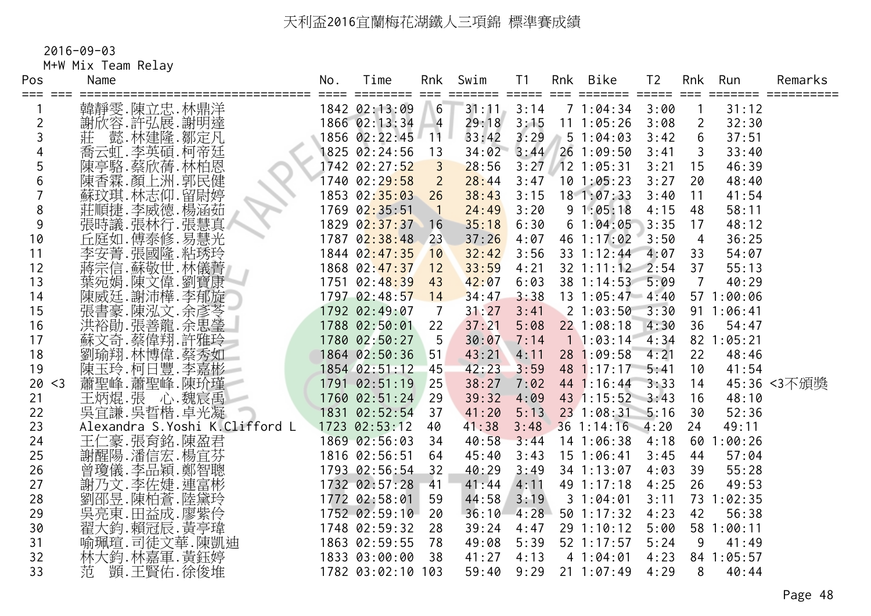2016-09-03

M+W Mix Team Relay

| Pos<br>=== === | Name                           | No. | Time                      | Rnk              | Swim           | T <sub>1</sub> | Rnk | Bike                  | T <sub>2</sub> |                | Rnk Run    | Remarks     |
|----------------|--------------------------------|-----|---------------------------|------------------|----------------|----------------|-----|-----------------------|----------------|----------------|------------|-------------|
|                | 韓靜雯.陳立忠.林鼎洋                    |     | ========<br>1842 02:13:09 | $6 \overline{6}$ | $31:11$ $3:14$ |                |     | 71:04:34              | 3:00           |                | 31:12      |             |
| 2              | 謝欣容.許弘展.謝明達                    |     | 1866 02:13:34             | $-4$             | 29:18          | 3:15           |     | 11 1:05:26            | 3:08           | $\overline{2}$ | 32:30      |             |
| 3              | 懿.林建隆.鄒定凡<br>莊                 |     | 1856 02:22:45             | 11 <sup>1</sup>  | 33:42          | 3:29           |     | 51:04:03              | 3:42           | 6              | 37:51      |             |
| 4              | 喬云虹.李英碩.柯帝廷                    |     | 1825 02:24:56             | 13               | 34:02          |                |     | $3:44$ 26 1:09:50     | 3:41           | 3              | 33:40      |             |
| 5              | 陳亭駱.蔡欣蒨.林柏恩                    |     | 1742 02:27:52             | $\overline{3}$   | 28:56          |                |     | $3:27$ 12 1:05:31     | 3:21           | 15             | 46:39      |             |
| 6              | 陳香霖.顏上洲.郭民健                    |     | 1740 02:29:58             | $\overline{2}$   | 28:44          | 3:47           |     | 101:05:23             | 3:27           | 20             | 48:40      |             |
|                | 蘇玟琪. 林志仰. 留尉婷                  |     | 1853 02:35:03             | 26               | 38:43          | 3:15           |     | $18$ 1:07:33          | 3:40           | 11             | 41:54      |             |
| 8              | 莊順捷.李威德.楊涵茹                    |     | 1769 02:35:51             | $\mathbf{N}$     | 24:49          | 3:20           |     | 91:05:18              | 4:15           | 48             | 58:11      |             |
| 9              | 張時議.張林行.張慧真                    |     | 1829 02:37:37             | 16               | 35:18          | 6:30           |     | 61:04:05              | 3:35           | 17             | 48:12      |             |
| 10             | 丘庭如.傅泰修.易慧光                    |     | 1787 02:38:48             | 23               | 37:26          | 4:07           |     | 46 1:17:02            | 3:50           | $\overline{4}$ | 36:25      |             |
| 11             | 李安菁. 張國隆. 粘琇玲                  |     | 1844 02:47:35             | 10               | 32:42          | 3:56           |     | 33 1:12:44            | 4:07           | 33             | 54:07      |             |
| 12             | 蔣宗信.蘇敬世.林儀菁                    |     | 1868 02:47:37             | 12               | 33:59          | 4:21           |     | $32$ 1:11:12 2:54     |                | 37             | 55:13      |             |
| 13             | 葉宛娟.陳文偉.劉寶康<br>陳威廷.謝沛樺.李郁旋     |     | 1751 02:48:39             | 43               | 42:07          | 6:03           |     | 38 1:14:53 5:09       |                | $\overline{7}$ | 40:29      |             |
| 14             |                                |     | 1797 02:48:57             | 14               | 34:47          | 3:38           |     | $13 \t1:05:47 \t4:40$ |                |                | 57 1:00:06 |             |
| 15             | 張書豪.陳泓文.余彥苓<br>洪裕勛.張善龍.余思瑩     |     | 1792 02:49:07             | $\overline{7}$   | 31:27          | 3:41           |     | 21:03:50              | 3:30           |                | 91 1:06:41 |             |
| 16             |                                |     | 1788 02:50:01             | 22               | 37:21          | 5:08           |     | $22$ 1:08:18          | 4:30           | 36             | 54:47      |             |
| 17             | 蘇文奇 蔡偉翔 許雅玲                    |     | 1780 02:50:27             | $-5$             | 30:07          | 7:14           |     | 11:03:14              | 4:34           |                | 82 1:05:21 |             |
| 18             | 劉瑜翔.林博偉.蔡秀如                    |     | 1864 02:50:36             | 51               | 43:21          | 4:11           |     | 28 1:09:58            | 4:21           | 22             | 48:46      |             |
| 19             | 陳玉玲.柯日豐.李嘉彬                    |     | 1854 02:51:12             | 45               | 42:23          | 3:59           |     | $48$ 1:17:17          | 5:41           | 10             | 41:54      |             |
| 20<br>$<$ 3    | 蕭聖峰.蕭聖峰.陳玠瑾                    |     | 1791 02:51:19             | 25               | 38:27          | 7:02           |     | 44 1:16:44            | 3:33           | 14             |            | 45:36 <3不頒獎 |
| 21             | 王炳焜.張 心.魏宸禹                    |     | 1760 02:51:24             | 29               | 39:32          | 4:09           |     | 43 1:15:52 3:43       |                | 16             | 48:10      |             |
| 22             | 吳宜謙.吳晢楷.卓光凝                    |     | 1831 02:52:54             | 37               | 41:20          | 5:13           |     | 23 1:08:31 5:16       |                | 30             | 52:36      |             |
| 23             | Alexandra S.Yoshi K.Clifford L |     | 1723 02:53:12             | 40               | 41:38          | 3:48           |     | $36$ 1:14:16 4:20     |                | 24             | 49:11      |             |
| 24             | 二豪.張育銘.陳盈君<br>王仁               |     | 1869 02:56:03             | 34               | 40:58          | 3:44           |     | 14 1:06:38            | 4:18           | 60             | 1:00:26    |             |
| 25             | 謝醒陽.潘信宏.楊宜芬                    |     | 1816 02:56:51             | 64               | 45:40          | 3:43           |     | $15 \t1:06:41$        | 3:45           | 44             | 57:04      |             |
| 26             | 曾瓊儀.李品穎.鄭智聰                    |     | 1793 02:56:54             | 32               | 40:29          | 3:49           |     | 34 1:13:07            | 4:03           | 39             | 55:28      |             |
| 27             | 謝乃文.李佐婕.連富彬                    |     | 1732 02:57:28             | 41               | 41:44          | 4:11           |     | 49 1:17:18            | 4:25           | 26             | 49:53      |             |
| 28             | 劉邵昱.陳柏蒼.陸黛玲                    |     | 1772 02:58:01             | 59               | 44:58          | 3:19           |     | 31:04:01              | 3:11           |                | 73 1:02:35 |             |
| 29             | 「吴亮東.田益成.廖紫伶<br>翟大鈞.賴冠辰.黃亭瑋    |     | 1752 02:59:10             | 20               | 36:10          | 4:28           |     | $50$ 1:17:32          | 4:23           | 42             | 56:38      |             |
| 30             |                                |     | 1748 02:59:32             | 28               | 39:24          | 4:47           |     | 29 1:10:12            | 5:00           |                | 58 1:00:11 |             |
| 31             | 喻珮瑄. 司徒文華. 陳凱迪                 |     | 1863 02:59:55             | 78               | 49:08          | 5:39           |     | 52 1:17:57            | 5:24           | 9              | 41:49      |             |
| 32             | 林大鈞.林嘉軍.黃鈺婷                    |     | 1833 03:00:00             | 38               | 41:27          | 4:13           |     | 41:04:01              | 4:23           |                | 84 1:05:57 |             |
| 33             | 顗.王賢佑.徐俊堆<br>范                 |     | 1782 03:02:10 103         |                  | 59:40          | 9:29           |     | $21 \t1:07:49$        | 4:29           | 8              | 40:44      |             |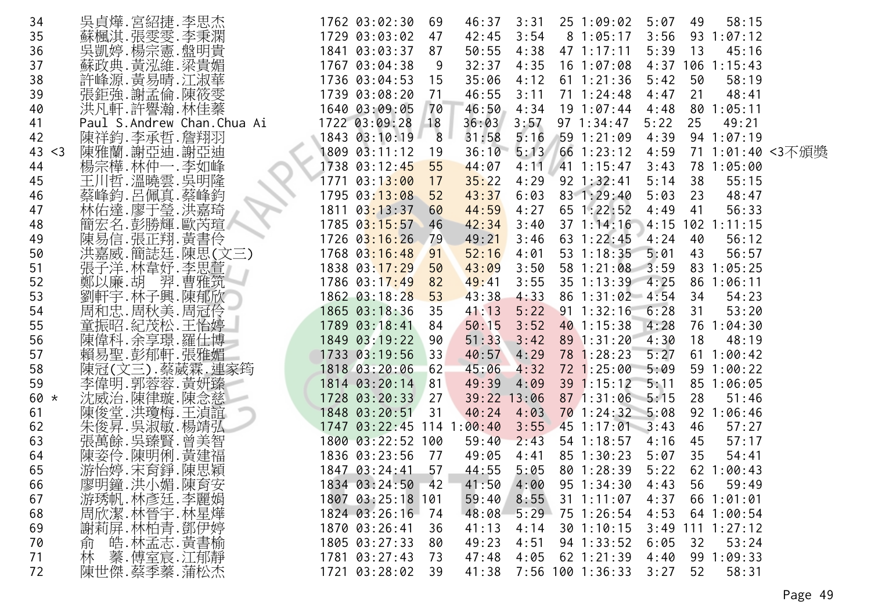| 34          | 吳貞燁.宮紹捷.李思杰                 | 1762 03:02:30<br>69       | 46:37<br>3:31      | 251:09:02              | 5:07<br>49         | 58:15            |
|-------------|-----------------------------|---------------------------|--------------------|------------------------|--------------------|------------------|
| 35          | 蘇楓淇.張雯雯.李秉澖<br>吳凱婷.楊宗憲.盤明貴  | 1729 03:03:02<br>47       | 42:45<br>3:54      | 81:05:17               | 3:56               | 93 1:07:12       |
| 36          |                             | 1841 03:03:37<br>87       | 50:55<br>4:38      | $47 \; 1:17:11$        | 5:39<br>13         | 45:16            |
| 37          | 蘇政典.黃泓維.梁貴媚                 | 1767 03:04:38             | 9<br>32:37<br>4:35 | 16 1:07:08             | $4:37$ 106         | 1:15:43          |
| 38          | 許峰源. 黃易晴. 江淑華               | 1736 03:04:53<br>15       | 35:06<br>4:12      | $61 \t1:21:36$         | 5:42<br>50         | 58:19            |
| 39          | 張鉅強.謝孟倫.陳筱雯                 | 1739 03:08:20<br>71       | 46:55<br>3:11      | $71 \t1:24:48$         | 4:47<br>21         | 48:41            |
| 40          | 洪凡軒.許譽瀚.林佳蓁                 | 1640 03:09:05<br>70       | 46:50<br>4:34      | 191:07:44              | 4:48               | 801:05:11        |
| 41          | Paul S.Andrew Chan.Chua Ai  | 1722 03:09:28<br>18       | 36:03<br>3:57      | $97 \t1:34:47$         | 5:22<br>25         | 49:21            |
| 42          | 陳祥鈞.李承哲.詹翔羽                 | 1843 03:10:19             | 8<br>31:58<br>5:16 | 591:21:09              | 4:39               | 94 1:07:19       |
| 43<br>$<$ 3 | 陳雅蘭.謝亞迪.謝亞迪                 | 1809 03:11:12<br>19       | 36:10<br>5:13      | 661:23:12              | 4:59               | 71 1:01:40 <3不頒獎 |
| 44          | 楊宗樺.林仲一.李如峰                 | 55<br>1738 03:12:45       | 44:07<br>4:11      | $/41$ 1:15:47          | 3:43               | 78 1:05:00       |
| 45          | 王川哲.溫曉雲.吳明隆                 | 03:13:00<br>1771<br>17    | 35:22<br>4:29      | $92 \; 1:32:41$        | 38<br>5:14         | 55:15            |
| 46          | 蔡峰鈞.呂佩真.蔡峰鈞                 | 1795 03:13:08<br>52       | 43:37<br>6:03      | 83 1:29:40             | 5:03<br>23         | 48:47            |
| 47          | 林佑達.廖于瑩.洪嘉琦                 | 1811 03:13:37<br>60       | 44:59<br>4:27      | $65$ 1:22:52           | 4:49<br>-41        | 56:33            |
| 48          | 簡宏名.彭勝輝.歐芮瑄                 | 1785 03:15:57<br>46       | 42:34<br>3:40      | $37 \t1:14:16$         | $4:15$ 102 1:11:15 |                  |
| 49          | 陳易信.張正翔.黃書伶                 | $1726$ $03:16:26$<br>79   | 49:21<br>3:46      | 63 1:22:45             | 4:24<br>40         | 56:12            |
| 50          | 洪嘉威.簡誌廷.陳思(文三)              | 1768 03:16:48<br>91       | 52:16<br>4:01      | 53 1:18:35             | 5:01<br>43         | 56:57            |
| 51          | 張子洋.林韋妤.李思萱                 | 1838 03:17:29<br>50       | 43:09<br>3:50      | 58 1:21:08 3:59        |                    | 83 1:05:25       |
| 52          | 鄭以廉.胡_羿.曹雅筑                 | 1786 03:17:49<br>82       | 49:41<br>3:55      | 35 1:13:39             | 4:25<br>86         | 1:06:11          |
| 53          |                             | 1862 03:18:28<br>53       | 43:38<br>4:33      | 86 1:31:02 4:54        | 34                 | 54:23            |
| 54          | 《劉軒字.林子興.陳郁欣<br>周和忠.周秋美.周冠伶 | 1865 03:18:36<br>35       | 5:22<br>41:13      | $91 \t1:32:16$         | 6:28<br>31         | 53:20            |
| 55          | 童振昭.紀茂松.王怡婷                 | 1789 03:18:41<br>84       | 50:15<br>3:52      | 40 1:15:38             | 4:28<br>76         | 1:04:30          |
| 56          | 陳偉科.余享璟.羅仕博                 | 1849 03:19:22<br>90       | 51:33<br>3:42      | 89 1:31:20             | 4:30<br>18         | 48:19            |
| 57          | 賴易聖.彭郁軒.張雅媚                 | 1733 03:19:56<br>33       | 4:29<br>40:57      | 78 1:28:23             | 5:27               | 61 1:00:42       |
| 58          | 陳冠(文三).蔡葳霖.連家筠              | 1818 03:20:06<br>62       | 45:06<br>4:32      | 72 1:25:00             | 5:09               | 59 1:00:22       |
| 59          | 李偉明.郭蓉蓉.黃妍臻                 | 1814 03:20:14<br>81       | 49:39<br>4:09      | 39 1:15:12             | 5:11               | 85 1:06:05       |
| $60 *$      | 沈威治.陳律璇.陳念慈                 | 1728 03:20:33<br>27       | 39:22<br>13:06     | 87 1:31:06             | $-5:15$<br>28      | 51:46            |
| 61          | 陳俊堂.洪瓊梅.王湞誼                 | 1848 03:20:51<br>31       | 40:24<br>4:03      | $70$ 1:24:32 5:08      | 92                 | 1:06:46          |
| 62          | 朱俊昇. 吳淑敏. 楊靖弘               | 1747 03:22:45 114 1:00:40 |                    | $3:55$ 45 1:17:01 3:43 | 46                 | 57:27            |
| 63          | 張萬餘. 吳臻賢. 曾美智               | 1800 03:22:52 100         | 2:43<br>59:40      | 54 1:18:57             | 4:16<br>45         | 57:17            |
| 64          | 陳姿伶.陳明俐.黃建福                 | 1836 03:23:56<br>77       | 49:05<br>4:41      | 85 1:30:23             | 5:07<br>35         | 54:41            |
| 65          | 游怡婷.宋育錚.陳思穎                 | 57<br>1847 03:24:41       | 44:55<br>5:05      | 80 1:28:39             | 5:22               | 62 1:00:43       |
| 66          | 廖明鐘.洪小媚.陳育安                 | 1834 03:24:50<br>42       | 41:50<br>4:00      | $95 \t1:34:30$         | 56<br>4:43         | 59:49            |
| 67          | 游琇帆.林彥廷.李麗娟                 | 1807 03:25:18 101         | 59:40<br>8:55      | $31 \t1:11:07$         | 4:37               | 661:01:01        |
| 68          |                             | 1824 03:26:16<br>74       | 48:08              | $5:29$ 75 1:26:54      | 4:53               | 64 1:00:54       |
| 69          | 周欣潔.林晉宇.林星燁<br>謝莉屏.林柏青.鄧伊婷  | 1870 03:26:41<br>36       | 41:13<br>4:14      | 301:10:15              | 3:49               | 111 1:27:12      |
| 70          | 皓.林孟志.黄書榆<br>俞              | 1805 03:27:33<br>80       | 49:23<br>4:51      | $94 \; 1:33:52$        | 6:05<br>32         | 53:24            |
| 71          | 林<br>蓁.傅室宸.江郁靜              | 1781 03:27:43<br>73       | 47:48<br>4:05      | $62$ 1:21:39           | 4:40<br>99         | 1:09:33          |
| 72          | 陳世傑.蔡季蓁.蒲松杰                 | 1721 03:28:02<br>-39      | 41:38              | 7:56 100 1:36:33       | 52<br>3:27         | 58:31            |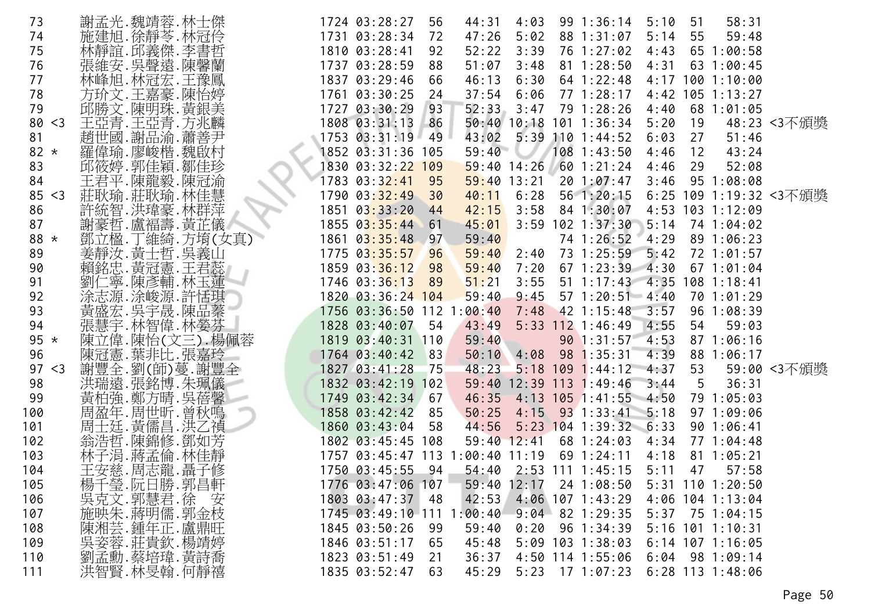| 73          | 謝孟光.魏靖蓉.林士傑    | 1724 03:28:27                              | 56<br>44:31    | 4:03          | 99 1:36:14                  | 5:10<br>51         | 58:31                  |             |
|-------------|----------------|--------------------------------------------|----------------|---------------|-----------------------------|--------------------|------------------------|-------------|
| 74          | 施建旭.徐靜苓.林冠伶    | 1731 03:28:34                              | 47:26<br>72    | 5:02          | 88 1:31:07                  | 5:14<br>55         | 59:48                  |             |
| 75          | 林靜誼.邱義傑.李書哲    | 1810 03:28:41                              | 92<br>52:22    | 3:39          | 76 1:27:02                  | 4:43               | 65 1:00:58             |             |
| 76          | 張維安.吳聲遠.陳馨蘭    | 1737 03:28:59                              | 51:07<br>88    | 3:48          | $81 \t1:28:50$              | 4:31               | 63 1:00:45             |             |
| 77          | 林峰旭.林冠宏.王豫鳳    | 1837 03:29:46                              | 46:13<br>66    | 6:30          | $64$ 1:22:48                | 4:17 100 1:10:00   |                        |             |
| 78          | 方玠文.王嘉豪.陳怡婷    | 1761 03:30:25                              | 37:54<br>24    | 6:06          | 77 1:28:17                  | 4:42 105 1:13:27   |                        |             |
| 79          | 邱勝文.陳明珠.黃銀美    | 1727 03:30:29                              | 52:33<br>93    | 3:47          | 79 1:28:26                  | 4:40               | 68 1:01:05             |             |
| 80 < 3      | 王亞青.王亞青.方兆麟    | 1808 03:31:13 86                           |                |               | 50:40 10:18 101 1:36:34     | 5:20<br>19         |                        | 48:23 <3不頒獎 |
| 81          | 趙世國.謝品渝.蕭善尹    | 1753 03:31:19                              | 49<br>43:02    | 5:39          | $110$ 1:44:52               | 6:03<br>27         | 51:46                  |             |
| 82 $*$      | 羅偉瑜.廖峻楷.魏啟村    | 1852 03:31:36 105                          |                | 59:40         | $108$ 1:43:50               | 12<br>4:46         | 43:24                  |             |
| 83          | 邱筱婷.郭佳穎.鄒佳珍    | 1830 03:32:22 109                          |                | $59:40$ 14:26 | $60$ 1:21:24                | 4:46<br>29         | 52:08                  |             |
|             |                |                                            |                |               |                             |                    |                        |             |
| 84          | 王君平.陳龍毅.陳冠渝    | 1783 03:32:41                              | 95             | $59:40$ 13:21 | 201:07:47                   | 3:46               | 95 1:08:08             |             |
| 85 < 3      | 莊耿瑜.莊耿瑜.林佳慧    | 1790 03:32:49 30                           | 40:11          | 6:28          | 56 1:20:15                  |                    | 6:25 109 1:19:32 <3不頒獎 |             |
| 86          | 許統智.洪瑋豪.林群萍    | $1851 \ \ 03:33:20$                        | 42:15<br>44    | 3:58          | 84 1:30:07                  | 4:53 103 1:12:09   |                        |             |
| 87          | 謝豪哲.盧福壽.黃芷儀    | 1855 03:35:44 61                           | 45:01          | 3:59          | $102$ $1:37:30$             | 5:14               | 74 1:04:02             |             |
| 88 *        | 鄧立楹.丁維綺.方堉(女真) | 1861 03:35:48                              | $-97$<br>59:40 |               | 74 1:26:52                  | 4:29               | 89 1:06:23             |             |
| 89          | 姜靜汝. 黃士哲. 吳義山  | 1775 03:35:57 96                           | 59:40          | 2:40          | 73 1:25:59 5:42             |                    | 72 1:01:57             |             |
| 90          | 賴銘忠.黃冠憲.王君蕊    | 1859 03:36:12                              | 98<br>59:40    | 7:20          | 67 1:23:39 4:30             |                    | 671:01:04              |             |
| 91          | 劉仁寧.陳彥輔.林玉蓮    | 1746 03:36:13                              | 51:21<br>89    | 3:55          | 51 1:17:43 4:35 108 1:18:41 |                    |                        |             |
| 92          | 涂志源.涂峻源.許恬琪    | 1820 03:36:24 104                          | 59:40          | 9:45          | $57 \t1:20:51 \t4:40$       |                    | 70 1:01:29             |             |
| 93          | 黃盛宏.吳宇晟.陳品蓁    | 1756 03:36:50 112 1                        | 00:40          | 7:48          | 42 1:15:48                  | 3:57               | 96 1:08:39             |             |
| 94          | 張慧宇.林智偉.林嫈芬    | 1828 03:40:07                              | 54<br>43:49    |               | $5:33$ 112 1:46:49          | 4:55<br>54         | 59:03                  |             |
| $95 *$      | 陳立偉.陳怡(文三).楊佩蓉 | 1819 03:40:31 110                          | 59:40          |               | 90 1:31:57                  | 4:53               | 871:06:16              |             |
| 96          | 陳冠憲.葉非比.張嘉玲    | $1764$ 03:40:42                            | 83<br>50:10    | 4:08          | 98 1:35:31                  | 4:39               | 88 1:06:17             |             |
| 97<br>$<$ 3 | 謝豐全.劉(師)蔓.謝豐全  | 1827 03:41:28                              | $-75$<br>48:23 |               | $5:18$ 109 1:44:12 4:37     | 53                 |                        | 59:00 <3不頒獎 |
| 98          | 洪瑞遠.張銘博.朱珮儀    | 1832 03:42:19 102                          |                |               | 59:40 12:39 113 1:49:46     | 5<br>3:44          | 36:31                  |             |
| 99          | 黃柏強.鄭方晴.吳蓓馨    | 1749 03:42:34                              | 46:35<br>67    |               | $4:13$ 105 1:41:55 4:50     |                    | 79 1:05:03             |             |
| 100         | 周盈年.周世昕.曾秋鳴    | 1858 03:42:42                              | 85<br>50:25    |               | $4:15$ 93 1:33:41 5:18      |                    | 971:09:06              |             |
| 101         | 周士廷. 黃儒昌. 洪乙禎  | 1860 03:43:04                              | 44:56<br>- 58  |               | $5:23$ 104 1:39:32 6:33     |                    | 90 1:06:41             |             |
| 102         | 翁浩哲.陳錦修.鄧如芳    | 1802 03:45:45 108                          |                | $59:40$ 12:41 | 68 1:24:03                  |                    | 77 1:04:48             |             |
|             |                |                                            |                |               |                             | 4:34               |                        |             |
| 103         | 林子涓.蔣孟倫.林佳靜    | 1757 03:45:47 113 1:00:40 11:19 69 1:24:11 |                |               |                             | 4:18               | $81 \t1:05:21$         |             |
| 104         | 王安慈.周志龍.聶子修    | 1750 03:45:55                              | $-94$          |               | 54:40 2:53 111 1:45:15      | 5:11<br>47         | 57:58                  |             |
| 105         | 楊千瑩.阮日勝.郭昌軒    | 1776 03:47:06 107                          |                | $59:40$ 12:17 | 24 1:08:50                  | $5:31$ 110 1:20:50 |                        |             |
| 106         | 吳克文.郭慧君.徐 安    | 1803 03:47:37 48                           | 42:53          |               | $4:06$ 107 1:43:29          | 4:06 104 1:13:04   |                        |             |
| 107         | 施映朱.蔣明儒.郭金枝    | 1745 03:49:10 111 1:00:40                  |                |               | $9:04$ 82 1:29:35           | 5:37 75 1:04:15    |                        |             |
| 108         | 陳湘芸. 鍾年正. 盧鼎旺  | 1845 03:50:26                              | 59:40<br>99    | 0:20          | 96 1:34:39                  | 5:16 101 1:10:31   |                        |             |
| 109         | 吳姿蓉.莊貴欽.楊靖婷    | 1846 03:51:17                              | 65<br>45:48    |               | $5:09$ 103 1:38:03          | $6:14$ 107 1:16:05 |                        |             |
| 110         | 劉孟勳.蔡培瑋.黃詩喬    | 1823 03:51:49                              | 36:37<br>21    |               | 4:50 114 1:55:06            | $6:04$ 98 1:09:14  |                        |             |
| 111         | 洪智賢.林旻翰.何靜禧    | 1835 03:52:47                              | 45:29<br>63    |               | $5:23$ 17 1:07:23           | $6:28$ 113 1:48:06 |                        |             |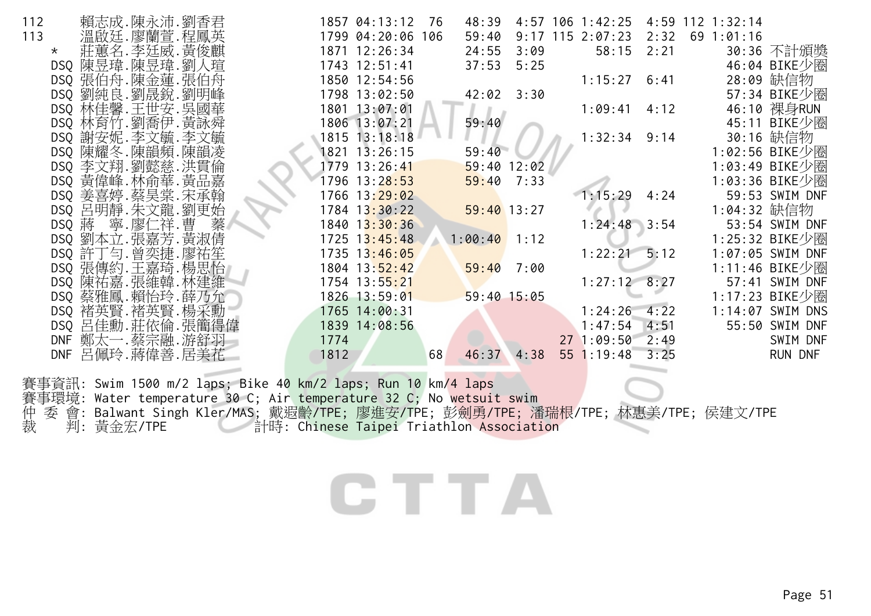| 112           | 賴志成.陳永沛.劉香君        |   |      | 1857 04:13:12     | - 76 | 48:39          |      | $4:57$ 106 1:42:25   |      | 4:59 112 1:32:14 |                  |
|---------------|--------------------|---|------|-------------------|------|----------------|------|----------------------|------|------------------|------------------|
| 113           | 溫啟廷.廖蘭萱.程鳳英        |   |      | 1799 04:20:06 106 |      | 59:40          |      | $9:17$ 115 2:07:23   | 2:32 | $69$ 1:01:16     |                  |
| $\star$       | 莊蕙名.李廷威.黃俊麒        |   |      | 1871 12:26:34     |      | 24:55          | 3:09 | $58:15$ $2:21$       |      |                  | 30:36 不計頒獎       |
|               | DSQ 陳昱瑋. 陳昱瑋. 劉人瑄  |   |      | 1743 12:51:41     |      | 37:53          | 5:25 |                      |      |                  | 46:04 BIKE少圈     |
|               | DSQ 張伯舟.陳金蓮.張伯舟    |   |      | 1850 12:54:56     |      |                |      | 1:15:27              | 6:41 |                  | 28:09 缺信物        |
|               | DSQ 劉純良. 劉晟銳. 劉明峰  |   |      | 1798 13:02:50     |      | $42:02$ $3:30$ |      |                      |      |                  | 57:34 BIKE少圈     |
|               | DSQ 林佳馨.王世安.吴國華    |   |      | 1801 13:07:01     |      |                |      | 1:09:41              | 4:12 |                  | 46:10 裸身RUN      |
|               | DSQ 林育竹.劉喬伊.黃詠舜    |   |      | 1806 13:07:21     |      | 59:40          |      |                      |      |                  | 45:11 BIKE少圈     |
|               | DSQ 謝安妮. 李文毓. 李文毓  |   |      | 1815 13:18:18     |      |                |      | 1:32:34              | 9:14 |                  | 30:16 缺信物        |
|               | DSQ 陳耀冬.陳韻頻.陳韻凌    |   |      | 1821 13:26:15     |      | 59:40          |      |                      |      |                  | 1:02:56 BIKE少圈   |
|               | DSQ 李文翔.劉懿慈.洪貫倫    |   |      | 1779 13:26:41     |      | $59:40$ 12:02  |      |                      |      |                  | 1:03:49 BIKE少圈   |
|               | DSQ 黄偉峰. 林俞華. 黄品嘉  |   |      | 1796 13:28:53     |      | 59:40          | 7:33 |                      |      |                  | 1:03:36 BIKE少圈   |
|               | DSQ 姜喜婷.蔡昊棠.宋承翰    |   |      | 1766 13:29:02     |      |                |      | 1:15:29              | 4:24 |                  | 59:53 SWIM DNF   |
|               | DSQ 呂明靜. 朱文龍. 劉更始  |   |      | $1784$ $13:30:22$ |      | $59:40$ 13:27  |      |                      |      | 1:04:32 缺信物      |                  |
| DSQ 蔣 寧.廖仁祥.曹 |                    | 蓁 |      | 1840 13:30:36     |      |                |      | $1:24:48$ 3:54       |      |                  | 53:54 SWIM DNF   |
|               | DSQ 劉本立. 張嘉芳. 黃淑倩  |   |      | $1725$ $13:45:48$ |      | $1:00:40$ 1:12 |      |                      |      |                  | 1:25:32 BIKE少圈   |
|               | DSQ 許丁勻. 曾奕捷. 廖祐笙  |   |      | $1735$ $13:46:05$ |      |                |      | $1:22:21 \quad 5:12$ |      |                  | 1:07:05 SWIM DNF |
|               | DSQ 張傳約.王嘉琦.楊思怡    |   |      | 1804 13:52:42     |      | 59:40          | 7:00 |                      |      |                  | 1:11:46 BIKE少圈   |
|               | DSQ 陳祐嘉. 張維韓. 林建維  |   |      | 1754 13:55:21     |      |                |      | $1:27:12$ 8:27       |      |                  | 57:41 SWIM DNF   |
|               | DSQ 蔡雅鳳.賴怡玲.薛乃允    |   |      | 1826 13:59:01     |      | $59:40$ 15:05  |      |                      |      |                  | 1:17:23 BIKE少圈   |
|               | DSQ 褚英賢.褚英賢.楊采勳    |   |      | 1765 14:00:31     |      |                |      | 1:24:26              | 4:22 |                  | 1:14:07 SWIM DNS |
|               | DSQ 呂佳勳. 莊依倫. 張簡得偉 |   |      | 1839 14:08:56     |      |                |      | 1:47:54              | 4:51 |                  | 55:50 SWIM DNF   |
|               | DNF 鄭太一.蔡宗融.游舒羽    |   | 1774 |                   |      |                |      | 271:09:50            | 2:49 |                  | SWIM DNF         |
|               | DNF 呂佩玲.蔣偉善.居美花    |   | 1812 |                   | 68   | 46:37          | 4:38 | $55$ 1:19:48 3:25    |      |                  | RUN DNF          |
|               |                    |   |      |                   |      |                |      |                      |      |                  |                  |

賽事資訊: Swim 1500 m/2 laps; Bike 40 km/2 laps; Run 10 km/4 laps 賽事環境: Water temperature 30 C; Air temperature 32 C; No wetsuit swim 仲裁 委 會: Balwant Singh Kler/MAS; 戴遐齡/TPE; 廖進安/TPE; 彭劍勇/TPE; 潘瑞根/TPE; 林惠美/TPE; 侯建文/TPE 裁 判: 黃金宏/TPE 計時: Chinese Taipei Triathlon Association

# **CTTA**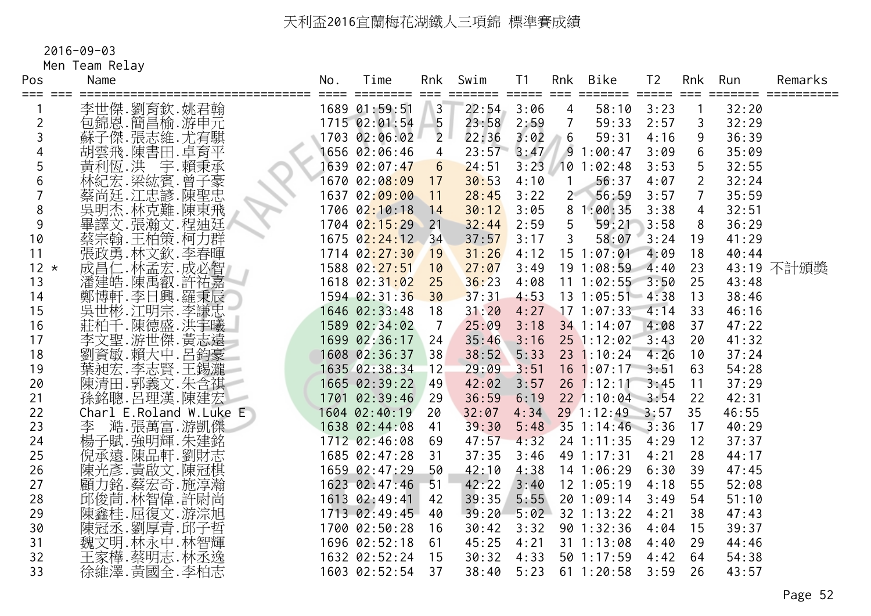2016-09-03

Men Team Relay

| Pos<br>=== === | Name                                                                   | No. | Time<br>======== | Rnk<br>====     | Swim  | T <sub>1</sub><br>===== | Rnk<br>$==$    | Bike                  | T <sub>2</sub> |                | Rnk Run | Remarks    |
|----------------|------------------------------------------------------------------------|-----|------------------|-----------------|-------|-------------------------|----------------|-----------------------|----------------|----------------|---------|------------|
|                | 李世傑.劉育欽.姚君翰                                                            |     | 1689 01:59:51    | $\overline{3}$  | 22:54 | 3:06                    | 4              | 58:10                 | 3:23           |                | 32:20   |            |
| 2              | 包錦恩.簡昌榆.游申元                                                            |     | 1715 02:01:54    | $-5$            | 23:58 | 2:59                    | $\overline{7}$ | 59:33                 | 2:57           | 3              | 32:29   |            |
|                | 蘇子傑.張志維.尤宥騏                                                            |     | 1703 02:06:02    | 2 <sup>1</sup>  | 22:36 | 3:02                    | 6              | 59:31                 | 4:16           | 9              | 36:39   |            |
|                | 胡雲飛.陳書田.卓育平                                                            |     | 1656 02:06:46    | $\overline{4}$  | 23:57 | 3:47                    |                | 91:00:47              | 3:09           | 6              | 35:09   |            |
| 5              | 黃利恆.洪 宇.賴秉承                                                            |     | 1639 02:07:47    | $6\overline{6}$ | 24:51 |                         |                | $3:23$ 10 1:02:48     | 3:53           | 5              | 32:55   |            |
| 6              | 林紀宏.梁紘賓.曾子豪<br>蔡尚廷·江忠諺.陳聖忠                                             |     | 1670 02:08:09    | 17              | 30:53 | 4:10                    | $\mathbf{1}$   | 56:37                 | 4:07           | $\overline{2}$ | 32:24   |            |
|                |                                                                        |     | 1637 02:09:00    | 11              | 28:45 | 3:22                    | 2 <sup>2</sup> | 56:59                 | 3:57           | $\overline{7}$ | 35:59   |            |
| 8              | 冥明杰.林克難.陳東飛                                                            |     | 1706 02:10:18    | 14              | 30:12 | 3:05                    |                | 81:00:35              | 3:38           | $\overline{4}$ | 32:51   |            |
| 9              | 畢譯文.張瀚文.程迪廷                                                            |     | 1704 02:15:29    | 21              | 32:44 | 2:59                    | 5              | 59:21                 | 3:58           | 8              | 36:29   |            |
| 10             | 蔡宗翰.王柏策.柯力群                                                            |     | 1675 02:24:12 34 |                 | 37:57 | 3:17                    | 3              | 58:07                 | 3:24           | 19             | 41:29   |            |
| 11             | 張政勇.林文欽.李春暉                                                            |     | 1714 02:27:30    | 19              | 31:26 | 4:12                    |                | 15 1:07:01            | 4:09           | 18             | 40:44   |            |
| $12 *$         | 成昌仁.林孟宏.成必智                                                            |     | 1588 02:27:51    | 10              | 27:07 | 3:49                    |                | 19 1:08:59 4:40       |                | 23             |         | 43:19 不計頒獎 |
| 13             |                                                                        |     | 1618 02:31:02    | 25              | 36:23 | 4:08                    |                | $11$ 1:02:55 3:50     |                | 25             | 43:48   |            |
| 14             |                                                                        |     | 1594 02:31:36    | 30              | 37:31 | 4:53                    |                | $13 \t1:05:51 \t4:38$ |                | 13             | 38:46   |            |
| 15             |                                                                        |     | 1646 02:33:48    | 18              | 31:20 | 4:27                    |                | $17$ 1:07:33          | 4:14           | 33             | 46:16   |            |
| 16             | 《潘建·陳禹都·羅天帝<br>鄭博軒·李日興·羅秉辰<br>斯博軒·李田宗·李忠曦<br>莊太子,陳德·洪王<br>莊太子,<br>莊太子, |     | 1589 02:34:02    | 7               | 25:09 | 3:18                    |                | 34 1:14:07            | 4:08           | 37             | 47:22   |            |
| 17             | 李文聖.游世傑.黃志遠                                                            |     | 1699 02:36:17    | 24              | 35:46 | 3:16                    |                | $25$ 1:12:02          | 3:43           | 20             | 41:32   |            |
| 18             | 劉資敏.賴大中.呂鈞豪                                                            |     | 1608 02:36:37    | 38              | 38:52 | 5:33                    |                | 23 1:10:24            | 4:26           | 10             | 37:24   |            |
| 19             | 葉昶宏.李志賢.王錫瀧                                                            |     | 1635 02:38:34    | 12              | 29:09 | 3:51                    |                | $16$ 1:07:17 3:51     |                | 63             | 54:28   |            |
| 20             | 陳清田.郭義文.朱含祺                                                            |     | 1665 02:39:22    | 49              | 42:02 | 3:57                    |                | $26$ 1:12:11          | 3:45           | 11             | 37:29   |            |
| 21             | 孫銘聰.呂理漢.陳建宏                                                            |     | 1701 02:39:46    | 29              | 36:59 | 6:19                    |                | $22$ 1:10:04 3:54     |                | 22             | 42:31   |            |
| 22             | Charl E.Roland W.Luke $E_{\parallel}$                                  |     | 1604 02:40:19    | 20              | 32:07 | 4:34                    |                | 29 1:12:49 3:57       |                | 35             | 46:55   |            |
| 23             | 澔.張萬富.游凱傑<br>李                                                         |     | 1638 02:44:08    | 41              | 39:30 | 5:48                    |                | 35 1:14:46 3:36       |                | 17             | 40:29   |            |
| 24             | 楊子賦.強明輝.朱建銘                                                            |     | 1712 02:46:08    | 69              | 47:57 | 4:32                    |                | 24 1:11:35            | 4:29           | 12             | 37:37   |            |
| 25             | 倪承遠.陳品軒.劉財志                                                            |     | 1685 02:47:28    | 31              | 37:35 | 3:46                    |                | 49 1:17:31            | 4:21           | 28             | 44:17   |            |
| 26             | 陳光彥.黃啟文.陳冠棋                                                            |     | 1659 02:47:29    | 50              | 42:10 | 4:38                    |                | 14 1:06:29            | 6:30           | 39             | 47:45   |            |
| 27             | 顧力銘.蔡宏奇.施淳瀚<br>邱俊茼.林智偉.許尉尚                                             |     | 1623 02:47:46    | 51              | 42:22 | 3:40                    |                | $12$ $1:05:19$        | 4:18           | 55             | 52:08   |            |
| 28             |                                                                        |     | 1613 02:49:41    | 42              | 39:35 | 5:55                    |                | 20 1:09:14            | 3:49           | 54             | 51:10   |            |
| 29             |                                                                        |     | 1713 02:49:45    | 40              | 39:20 | 5:02                    |                | 32 1:13:22            | 4:21           | 38             | 47:43   |            |
| 30             | ·陳鑫桂.屈復文.游淙旭<br>陳冠丞.劉厚青.邱子哲<br>魏文明.林永中.林智輝.                            |     | 1700 02:50:28    | 16              | 30:42 | 3:32                    |                | 90 1:32:36            | 4:04           | 15             | 39:37   |            |
| 31             |                                                                        |     | 1696 02:52:18    | 61              | 45:25 | 4:21                    |                | $31 \t1:13:08$        | 4:40           | 29             | 44:46   |            |
| 32             | 王家樺.蔡明志.林丞逸                                                            |     | 1632 02:52:24    | 15              | 30:32 | 4:33                    |                | $50$ 1:17:59          | 4:42           | 64             | 54:38   |            |
| 33             | 徐維澤.黃國全.李柏志                                                            |     | 1603 02:52:54    | 37              | 38:40 | 5:23                    |                | $61 \t1:20:58$        | 3:59           | 26             | 43:57   |            |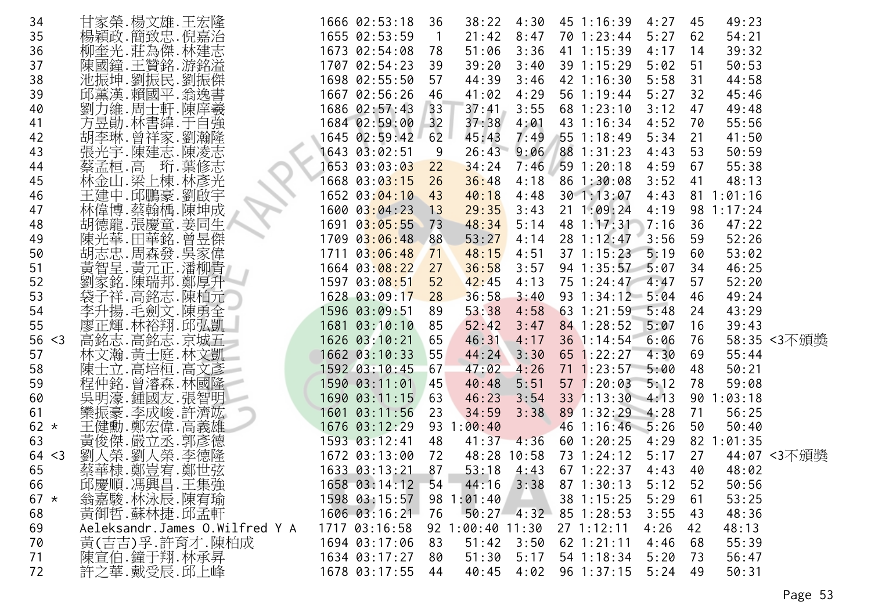| 34     | 甘家榮.楊文雄.王宏隆                             | 1666 02:53:18               | 36             | 38:22            | 4:30        | 45 1:16:39              | 4:27 | 45 | 49:23      |             |
|--------|-----------------------------------------|-----------------------------|----------------|------------------|-------------|-------------------------|------|----|------------|-------------|
| 35     | 楊穎政.簡致忠.倪嘉治                             | 1655 02:53:59               | $\overline{1}$ | 21:42            | 8:47        | 70 1:23:44              | 5:27 | 62 | 54:21      |             |
| 36     | 柳奎光.莊為傑.林建志                             | 1673 02:54:08               | 78             | 51:06            | 3:36        | 41 1:15:39              | 4:17 | 14 | 39:32      |             |
| 37     | 陳國鐘.王贊銘.游銘溢                             | 1707 02:54:23               | 39             | 39:20            | 3:40        | 39 1:15:29              | 5:02 | 51 | 50:53      |             |
| 38     | 池振坤.劉振民.劉振傑                             | 1698 02:55:50               | 57             | 44:39            | 3:46        | 42 1:16:30              | 5:58 | 31 | 44:58      |             |
| 39     | 邱薰漢.賴國平.翁逸書                             | 1667 02:56:26               | 46             | 41:02            | 4:29        | 56 1:19:44              | 5:27 | 32 | 45:46      |             |
| 40     | 劉力維.周士軒.陳庠羲                             | 1686 02:57:43               | 33             | 37:41            | 3:55        | $68$ 1:23:10            | 3:12 | 47 | 49:48      |             |
| 41     | 方昱勛.林書緯.于自強                             | 1684 02:59:00               | 32             | 37:38            | 4:01        | 43 1:16:34              | 4:52 | 70 | 55:56      |             |
| 42     | 胡李琳. 曾祥家. 劉瀚隆                           | 1645 02:59:42               | 62             | 45:43            | 7:49        | 551:18:49               | 5:34 | 21 | 41:50      |             |
| 43     | 張光宇.陳建志.陳凌志                             | 1643 03:02:51               | 9              | 26:43            | 9:06        | 88 1:31:23              | 4:43 | 53 | 50:59      |             |
| 44     | 珩.葉修志<br>蔡孟桓.高                          | 1653 03:03:03               | 22             | 34:24            | 7:46        | 591:20:18               | 4:59 | 67 | 55:38      |             |
| 45     | 林金山.梁上棟.林彥光                             | 1668 03:0 <mark>3:15</mark> | 26             | 36:48            | 4:18        | 86 1:30:08              | 3:52 | 41 | 48:13      |             |
| 46     | 王建中.邱鵬豪.劉啟宇                             | 1652 03:04:10 43            |                | 40:18            | 4:48        | 301:13:07               | 4:43 |    | 811:01:16  |             |
| 47     | 林偉博.蔡翰楀.陳坤成                             | 1600 03:04:23               | 13             | 29:35            | 3:43        | $21 \t1:09:24$          | 4:19 |    | 98 1:17:24 |             |
| 48     | 胡德龍.張慶童.姜同生                             | 1691 03:05:55               | 73             | 48:34            | 5:14        | 48 1:17:31              | 7:16 | 36 | 47:22      |             |
| 49     | $\overline{\phantom{a}}$<br>陳光華.田華銘.曾昱傑 | 1709 03:06:48               | 88             | 53:27            | 4:14        | 28 1:12:47              | 3:56 | 59 | 52:26      |             |
| 50     | 胡志忠 周森發 吳家偉                             | 1711 03:06:48               | 71             | 48:15            | 4:51        | $37 \; 1:15:23$         | 5:19 | 60 | 53:02      |             |
| 51     | 黃智呈. 黃元正. 潘柳青                           | 1664 03:08:22               | 27             | 36:58            | 3:57        | 94 1:35:57              | 5:07 | 34 | 46:25      |             |
| 52     | 劉家銘.陳瑞邦.鄭厚升                             | 1597 03:08:51               | 52             | 42:45            | 4:13        | 75 1:24:47 4:47         |      | 57 | 52:20      |             |
| 53     | 袋子祥.高銘志.陳柏元                             | 1628 03:09:17               | 28             | 36:58            | 3:40        | $93 \t1:34:12 \t5:04$   |      | 46 | 49:24      |             |
| 54     | 李升揚.毛劍文.陳勇全                             | 1596 03:09:51               | 89             | 53:38            | 4:58        | $63$ 1:21:59            | 5:48 | 24 | 43:29      |             |
| 55     | 廖正輝.林裕翔.邱弘凱                             | 1681 03:10:10               | 85             | 52:42            | 3:47        | 84 1:28:52              | 5:07 | 16 | 39:43      |             |
| 56 < 3 | 高銘志.高銘志.京城五                             | 1626 03:10:21               | 65             | 46:31            | 4:17        | 36 1:14:54              | 6:06 | 76 |            | 58:35 <3不頒獎 |
| 57     | 林文瀚.黃士庭.林文凱                             | 1662 03:10:33               | 55             | 44:24            | 3:30        | $65$ 1:22:27            | 4:30 | 69 | 55:44      |             |
| 58     | 陳士立.高培桓.高文彥                             | 1592 03:10:45               | 67             | 47:02            | 4:26        | $71 \t1:23:57$          | 5:00 | 48 | 50:21      |             |
| 59     | 程仲銘. 曾濬森. 林國隆                           | 1590 03:11:01               | 45             | 40:48            | 5:51        | 571:20:03               | 5:12 | 78 | 59:08      |             |
| 60     | 吳明濠.鍾國友.張智明                             | 1690 03:11:15               | 63             | 46:23            | 3:54        | 33 1:13:30 4:13         |      |    | 90 1:03:18 |             |
| 61     |                                         | 1601 03:11:56               | 23             | 34:59            | 3:38        | 89 1:32:29 4:28         |      | 71 | 56:25      |             |
| 62 $*$ | 欒振豪.李成峻.許濟竑<br>王健勳.鄭宏偉.高義雄              | 1676 03:12:29               |                | 93 1:00:40       |             | 46 1:16:46 5:26         |      | 50 | 50:40      |             |
| 63     | 黃俊傑.嚴立丞.郭彥德                             | 1593 03:12:41               | 48             | 41:37            | 4:36        | $60$ 1:20:25            | 4:29 |    | 82 1:01:35 |             |
| 64 < 3 | 劉人榮.劉人榮.李德隆                             | 1672 03:13:00               | 72             |                  | 48:28 10:58 | 73 1:24:12              | 5:17 | 27 |            | 44:07 <3不頒獎 |
| 65     | 蔡華棣.鄭豈宥.鄭世弦                             | 1633 03:13:21               | 87             | 53:18            | 4:43        | $67 \; 1:22:37$         | 4:43 | 40 | 48:02      |             |
| 66     | 邱慶順.馮興昌.王集強                             | 1658 03:14:12               | 54             | 44:16            | 3:38        | $87 \; 1:30:13$         | 5:12 | 52 | 50:56      |             |
| $67 *$ | 翁嘉駿.林泳辰.陳宥瑜                             | 1598 03:15:57               |                | 98 1:01:40       |             | 38 1:15:25              | 5:29 | 61 | 53:25      |             |
| 68     | 黃御哲.蘇林捷.邱孟軒                             | 1606 03:16:21 76            |                |                  |             | $50:27$ 4:32 85 1:28:53 | 3:55 | 43 | 48:36      |             |
| 69     | Aeleksandr.James O.Wilfred Y A          | 1717 03:16:58               |                | 92 1:00:40 11:30 |             | 271:12:11               | 4:26 | 42 | 48:13      |             |
| 70     | 黄(吉吉)孚.許育才.陳柏成                          | 1694 03:17:06               | 83             | 51:42            | 3:50        | $62$ 1:21:11            | 4:46 | 68 | 55:39      |             |
| 71     | 陳宣伯.鐘于翔.林承昇                             | 1634 03:17:27               | 80             | 51:30            | 5:17        | 54 1:18:34              | 5:20 | 73 | 56:47      |             |
| 72     | 許之華.戴受辰.邱上峰                             | 1678 03:17:55               | 44             | 40:45            | 4:02        | 96 1:37:15              | 5:24 | 49 | 50:31      |             |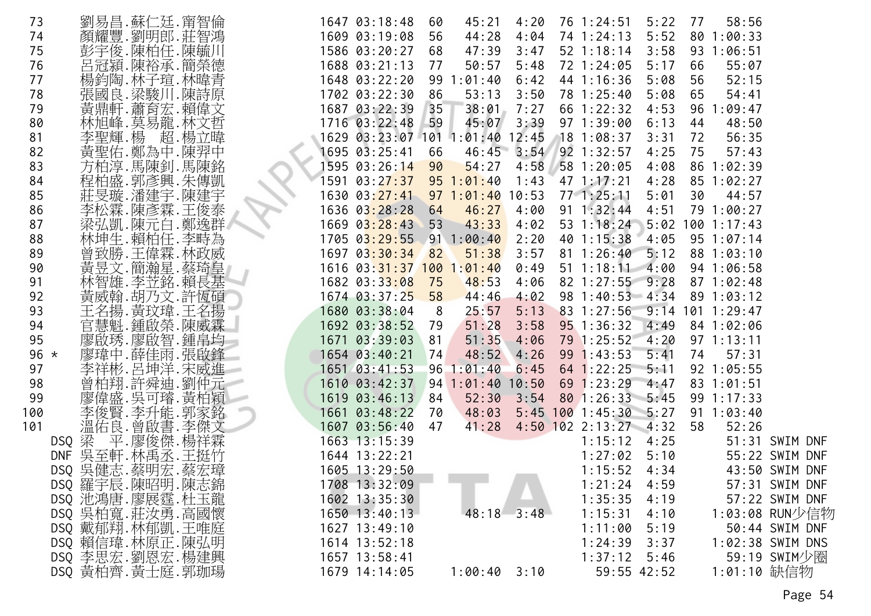| 73     |                   |             | 劉易昌.蘇仁廷.甯智倫   |                 | 1647 03:18:48    | 60 | 45:21                                     | 4:20           | 76 1:24:51              | 5:22        | 77 | 58:56              |                  |
|--------|-------------------|-------------|---------------|-----------------|------------------|----|-------------------------------------------|----------------|-------------------------|-------------|----|--------------------|------------------|
| 74     |                   |             | 顏耀豐.劉明郎.莊智鴻   |                 | 1609 03:19:08    | 56 | 44:28                                     | 4:04           | 74 1:24:13              | 5:52        |    | 80 1:00:33         |                  |
| 75     |                   | 彭宇俊.陳柏任.陳毓川 |               |                 | 1586 03:20:27    | 68 | 47:39                                     | 3:47           | $52$ 1:18:14            | 3:58        |    | 93 1:06:51         |                  |
| 76     |                   |             | 呂冠潁.陳裕承.簡榮德   |                 | 1688 03:21:13    | 77 | 50:57                                     | 5:48           | 72 1:24:05              | 5:17        | 66 | 55:07              |                  |
| 77     |                   |             | 楊鈞陶.林子瑄.林暐青   |                 |                  |    | 1648 03:22:20 99 1:01:40                  | 6:42           | 44 1:16:36              | 5:08        | 56 | 52:15              |                  |
| 78     |                   |             | 張國良.梁駿川.陳詩原   |                 | 1702 03:22:30    | 86 | 53:13                                     | 3:50           | 78 1:25:40              | 5:08        | 65 | 54:41              |                  |
| 79     |                   |             | 黃鼎軒.蕭育宏.賴偉文   |                 | 1687 03:22:39 35 |    | 38:01                                     | 7:27           | 66 1:22:32              | 4:53        |    | 96 1:09:47         |                  |
| 80     |                   | 林旭峰.莫易龍.林文哲 |               |                 | 1716 03:22:48 59 |    | 45:07                                     | 3:39           | 97 1:39:00              | 6:13        | 44 | 48:50              |                  |
| 81     |                   | 李聖輝.楊       | 超.楊立暐         |                 |                  |    | 1629 03:23:07 101 1:01:40 12:45           |                | $18$ 1:08:37            | 3:31        | 72 | 56:35              |                  |
| 82     |                   |             | 黃聖佑.鄭為中.陳羿中   |                 | 1695 03:25:41    | 66 |                                           | $46:45$ $3:54$ | $92$ 1:32:57            | 4:25        | 75 | 57:43              |                  |
| 83     |                   |             | 方柏淳.馬陳釗.馬陳銘   |                 | 1595 03:26:14 90 |    | 54:27                                     | 4:58           | 581:20:05               | 4:08        |    | 86 1:02:39         |                  |
| 84     |                   | 程柏盛.郭彥興.朱傳凱 |               |                 |                  |    | 1591 03:2 <mark>7:37   95 1:01:4</mark> 0 | 1:43           | 471:17:21               | 4:28        |    | 85 1:02:27         |                  |
| 85     |                   | 莊旻璇.潘建宇.陳建宇 |               |                 |                  |    | 1630 03:27:41 97 1:01:40 10:53            |                | $77 \cdot 1:25:11$      | 5:01        | 30 | 44:57              |                  |
| 86     |                   |             | 李松霖.陳彥霖.王俊泰   |                 | 1636 03:28:28    | 64 | 46:27                                     | 4:00           | $91 \t1:32:44$          | 4:51        |    | 79 1:00:27         |                  |
| 87     |                   |             | 梁弘凱.陳元白.鄭逸群   |                 | 1669 03:28:43 53 |    | 43:33                                     | 4:02           | 53 1:18:24              |             |    | $5:02$ 100 1:17:43 |                  |
| 88     |                   |             | 林坤生.賴柏任.李畤為   |                 |                  |    | 1705 03:29:55 91 1:00:40                  | 2:20           | 40 1:15:38              | 4:05        |    | $95 \t1:07:14$     |                  |
| 89     |                   |             | 曾致勝.王偉霖.林政威   |                 | 1697 03:30:34 82 |    | 51:38                                     | 3:57           | 81 1:26:40 5:12         |             |    | 88 1:03:10         |                  |
| 90     |                   |             | 黃昱文.簡瀚星.蔡琦皇   |                 |                  |    | 1616 03:31:37 100 1:01:40                 | 0:49           | $51 \t1:18:11 \t4:00$   |             |    | 94 1:06:58         |                  |
| 91     |                   |             | 林智雄.李苙銘.賴長基   |                 | 1682 03:33:08    | 75 | 48:53                                     | 4:06           | 82 1:27:55 9:28         |             |    | 871:02:48          |                  |
| 92     |                   |             | 黃威翰.胡乃文.許恆碩   |                 | 1674 03:37:25 58 |    | 44:46                                     | 4:02           | 98 1:40:53 4:34         |             |    | 89 1:03:12         |                  |
| 93     |                   |             | 王名揚. 黃玟瑋. 王名揚 |                 | 1680 03:38:04    | 8  | 25:57                                     | 5:13           | 83 1:27:56              | 9:14        |    | $101$ 1:29:47      |                  |
| 94     |                   |             | 三慧魁.鍾啟榮.陳威霖   |                 | 1692 03:38:52 79 |    | 51:28                                     | 3:58           | $95$ 1:36:32            | 4:49        |    | 84 1:02:06         |                  |
| 95     |                   |             | 廖啟琇.廖啟智.鍾帛均   |                 | 1671 03:39:03    | 81 | 51:35                                     | 4:06           | $79$ 1:25:52 4:20       |             |    | $97 \; 1:13:11$    |                  |
| 96 $*$ |                   |             | 廖瑋中.薛佳雨.張啟鋒   |                 | $1654$ 03:40:21  | 74 | 48:52                                     | 4:26           | 99 1:43:53              | 5:41        | 74 | 57:31              |                  |
| 97     |                   |             | 李祥彬.呂坤洋.宋威進 - |                 | 1651 03:41:53    |    | 961:01:40                                 | 6:45           | $64$ 1:22:25            | 5:11        |    | 92 1:05:55         |                  |
| 98     |                   |             | 曾柏翔.許舜迪.劉仲元   | 1610 03:42:37   |                  |    | $94$ 1:01:40 10:50                        |                | $69$ 1:23:29            | 4:47        |    | $83 \t1:01:51$     |                  |
| 99     |                   |             | 廖偉盛. 吳可璿. 黃柏穎 | $1619$ 03:46:13 |                  | 84 | 52:30                                     | 3:54           | 80 1:26:33 5:45         |             |    | 99 1:17:33         |                  |
| 100    |                   |             | 李俊賢.李升能.郭家銘   |                 | 1661 03:48:22    | 70 | 48:03                                     |                | $5:45$ 100 1:45:30 5:27 |             |    | $91 \t1:03:40$     |                  |
| 101    |                   |             | 溫佑良.曾啟書.李傑文   |                 | 1607 03:56:40 47 |    | 41:28                                     |                | $4:50$ 102 2:13:27 4:32 |             | 58 | 52:26              |                  |
|        | DSQ 梁             |             | 平.廖俊傑.楊祥霖     |                 | 1663 13:15:39    |    |                                           |                | 1:15:12                 | 4:25        |    |                    | 51:31 SWIM DNF   |
|        | DNF 吴至軒. 林禹丞. 王挺竹 |             |               |                 | 1644 13:22:21    |    |                                           |                | 1:27:02                 | 5:10        |    |                    | 55:22 SWIM DNF   |
|        | DSQ 吳健志.蔡明宏.蔡宏璋   |             |               |                 | 1605 13:29:50    |    | - - -                                     |                | $1:15:52$ 4:34          |             |    |                    | 43:50 SWIM DNF   |
|        | DSQ 羅宇辰.陳昭明.陳志錦   |             |               |                 | 1708 13:32:09    |    |                                           |                | 1:21:24                 | 4:59        |    |                    | 57:31 SWIM DNF   |
|        | DSQ 池鴻唐.廖展霆.杜玉龍   |             |               |                 | 1602 13:35:30    |    |                                           |                | 1:35:35                 | 4:19        |    |                    | 57:22 SWIM DNF   |
|        | DSQ 吳柏寬. 莊汝勇. 高國懷 |             |               |                 | 1650 13:40:13    |    | 48:18                                     | 3:48           | 1:15:31                 | 4:10        |    |                    | 1:03:08 RUN少信物   |
|        | DSQ 戴郁翔. 林郁凱. 王唯庭 |             |               |                 | 1627 13:49:10    |    |                                           |                | 1:11:00                 | 5:19        |    |                    | 50:44 SWIM DNF   |
|        | DSQ 賴信瑋.林原正.陳弘明   |             |               |                 | 1614 13:52:18    |    |                                           |                | 1:24:39                 | 3:37        |    |                    | 1:02:38 SWIM DNS |
|        | DSQ 李思宏.劉恩宏.楊建興   |             |               |                 | 1657 13:58:41    |    |                                           |                | $1:37:12$ 5:46          |             |    |                    | 59:19 SWIM少圈     |
|        | DSQ 黃柏齊.黃士庭.郭珈瑒   |             |               |                 | 1679 14:14:05    |    | $1:00:40$ 3:10                            |                |                         | 59:55 42:52 |    | 1:01:10 缺信物        |                  |